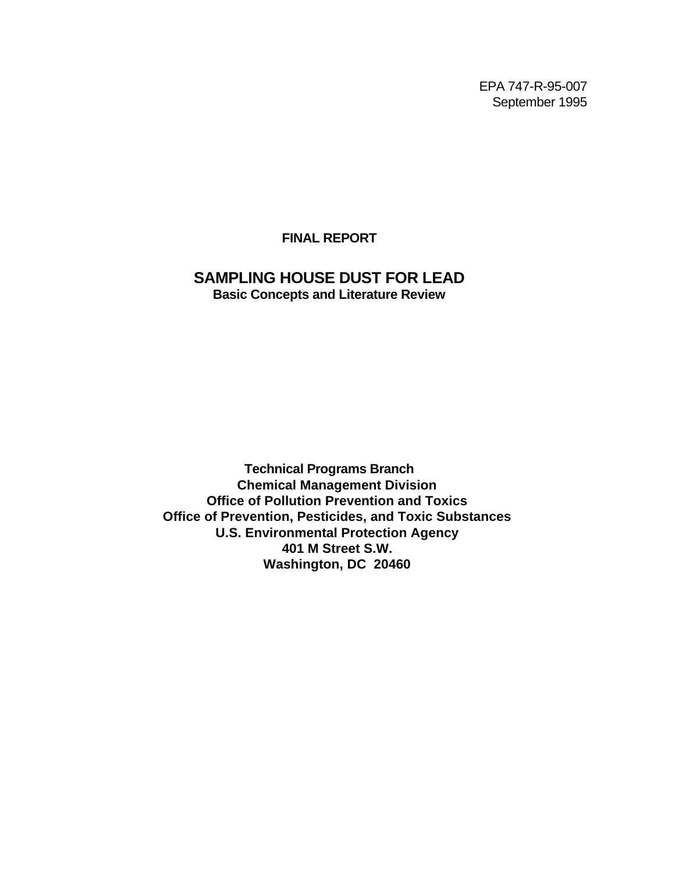EPA 747-R-95-007 September 1995

**FINAL REPORT**

# **SAMPLING HOUSE DUST FOR LEAD Basic Concepts and Literature Review**

**Technical Programs Branch Chemical Management Division Office of Pollution Prevention and Toxics Office of Prevention, Pesticides, and Toxic Substances U.S. Environmental Protection Agency 401 M Street S.W. Washington, DC 20460**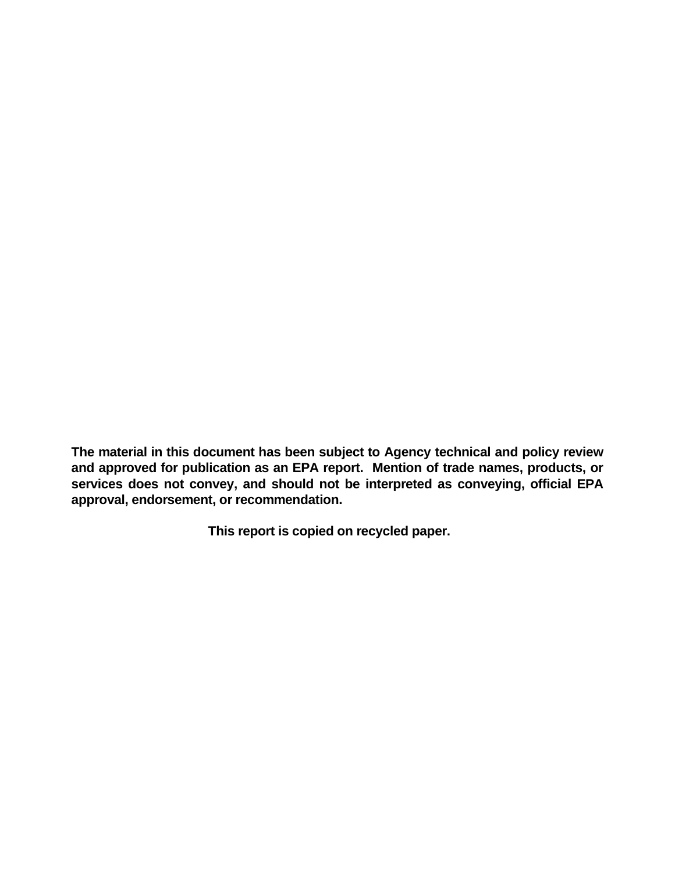**The material in this document has been subject to Agency technical and policy review and approved for publication as an EPA report. Mention of trade names, products, or services does not convey, and should not be interpreted as conveying, official EPA approval, endorsement, or recommendation.**

**This report is copied on recycled paper.**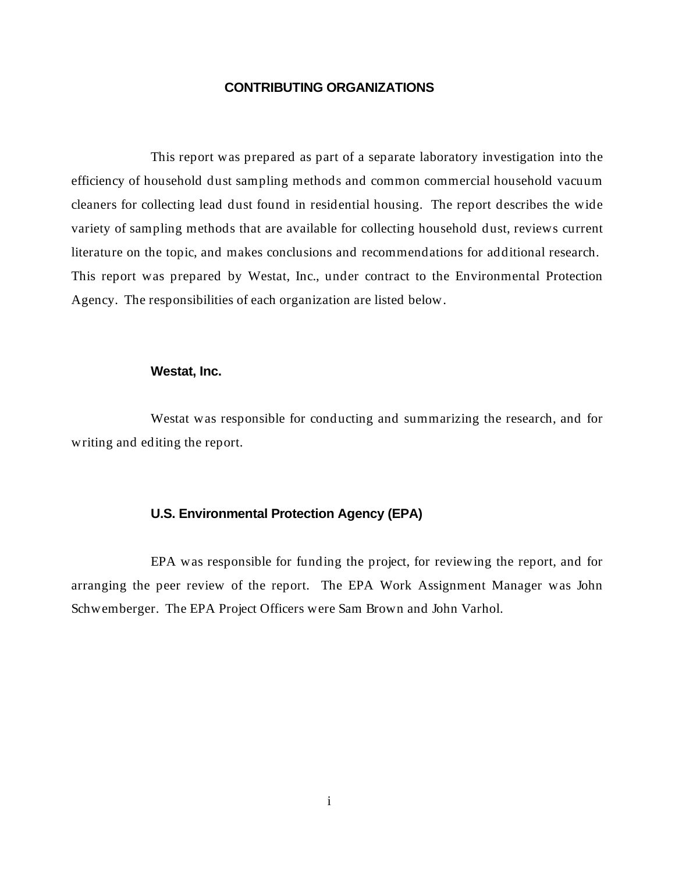# **CONTRIBUTING ORGANIZATIONS**

This report was prepared as part of a separate laboratory investigation into the efficiency of household dust sampling methods and common commercial household vacuum cleaners for collecting lead dust found in residential housing. The report describes the wide variety of sampling methods that are available for collecting household dust, reviews current literature on the topic, and makes conclusions and recommendations for additional research. This report was prepared by Westat, Inc., under contract to the Environmental Protection Agency. The responsibilities of each organization are listed below.

### **Westat, Inc.**

Westat was responsible for conducting and summarizing the research, and for writing and editing the report.

#### **U.S. Environmental Protection Agency (EPA)**

EPA was responsible for funding the project, for reviewing the report, and for arranging the peer review of the report. The EPA Work Assignment Manager was John Schwemberger. The EPA Project Officers were Sam Brown and John Varhol.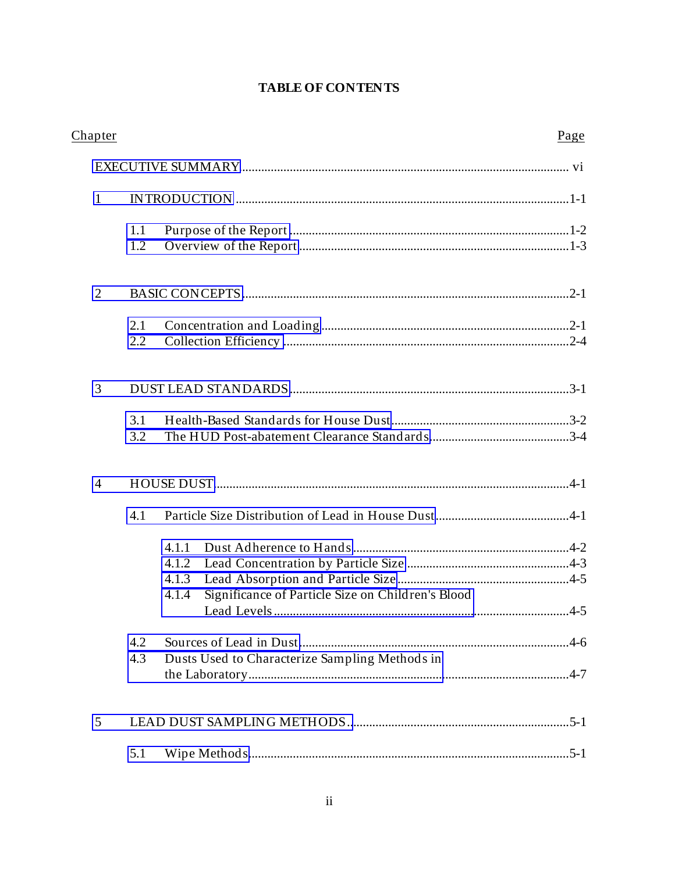# **TABLE OF CONTENTS**

| Chapter        |     |                                                            | Page |
|----------------|-----|------------------------------------------------------------|------|
|                |     |                                                            |      |
| $\mathbf{1}$   |     |                                                            |      |
|                | 1.1 |                                                            |      |
|                | 1.2 |                                                            |      |
| $\overline{2}$ |     |                                                            |      |
|                | 2.1 |                                                            |      |
|                | 2.2 |                                                            |      |
| 3              |     |                                                            |      |
|                | 3.1 |                                                            |      |
|                | 3.2 |                                                            |      |
| $\overline{4}$ |     |                                                            |      |
|                | 4.1 |                                                            |      |
|                |     | 4.1.1                                                      |      |
|                |     | 4.1.2                                                      |      |
|                |     | 4.1.3                                                      |      |
|                |     | Significance of Particle Size on Children's Blood<br>4.1.4 |      |
|                |     |                                                            |      |
|                | 4.2 |                                                            |      |
|                | 4.3 | Dusts Used to Characterize Sampling Methods in             |      |
|                |     |                                                            |      |
| 5              |     |                                                            |      |
|                | 5.1 |                                                            |      |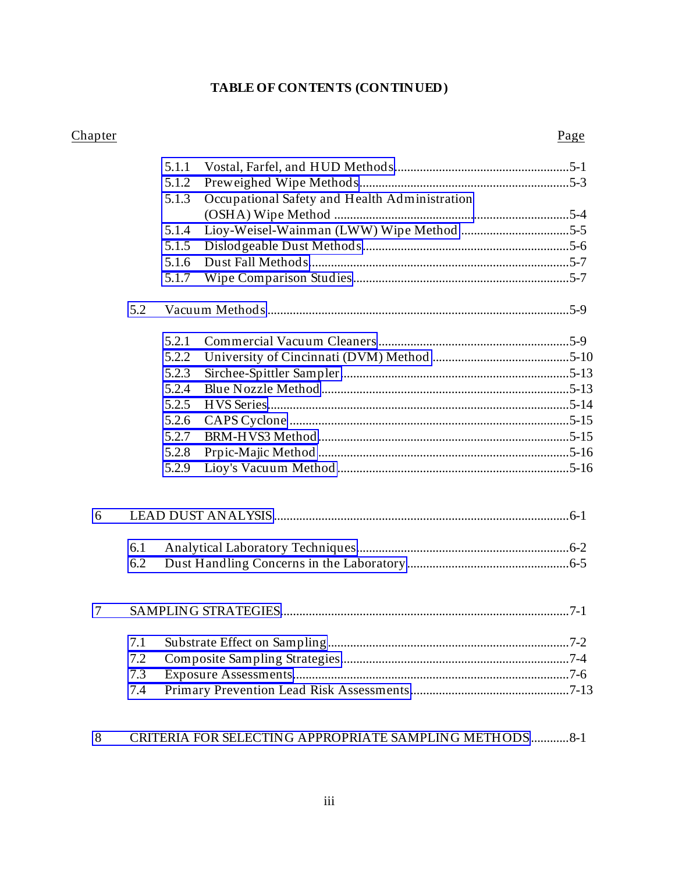# TABLE OF CONTENTS (CONTINUED)

# Chapter

# Page

|        |     | 5.1.1 |                                               |  |
|--------|-----|-------|-----------------------------------------------|--|
|        |     | 5.1.2 |                                               |  |
|        |     | 5.1.3 | Occupational Safety and Health Administration |  |
|        |     |       |                                               |  |
|        |     | 5.1.4 |                                               |  |
|        |     | 5.1.5 |                                               |  |
|        |     | 5.1.6 |                                               |  |
|        |     | 5.1.7 |                                               |  |
|        | 5.2 |       |                                               |  |
|        |     | 5.2.1 |                                               |  |
|        |     | 5.2.2 |                                               |  |
|        |     | 5.2.3 |                                               |  |
|        |     | 5.2.4 |                                               |  |
|        |     | 5.2.5 |                                               |  |
|        |     | 5.2.6 |                                               |  |
|        |     | 5.2.7 |                                               |  |
|        |     | 5.2.8 |                                               |  |
|        |     | 5.2.9 |                                               |  |
| 6      |     |       |                                               |  |
|        |     |       |                                               |  |
|        | 6.1 |       |                                               |  |
|        | 6.2 |       |                                               |  |
| $\tau$ |     |       |                                               |  |
|        | 7.1 |       |                                               |  |
|        | 7.2 |       |                                               |  |
|        | 7.3 |       |                                               |  |
|        | 7.4 |       |                                               |  |
|        |     |       |                                               |  |

#### CRITERIA FOR SELECTING APPROPRIATE SAMPLING METHODS .............8-1 8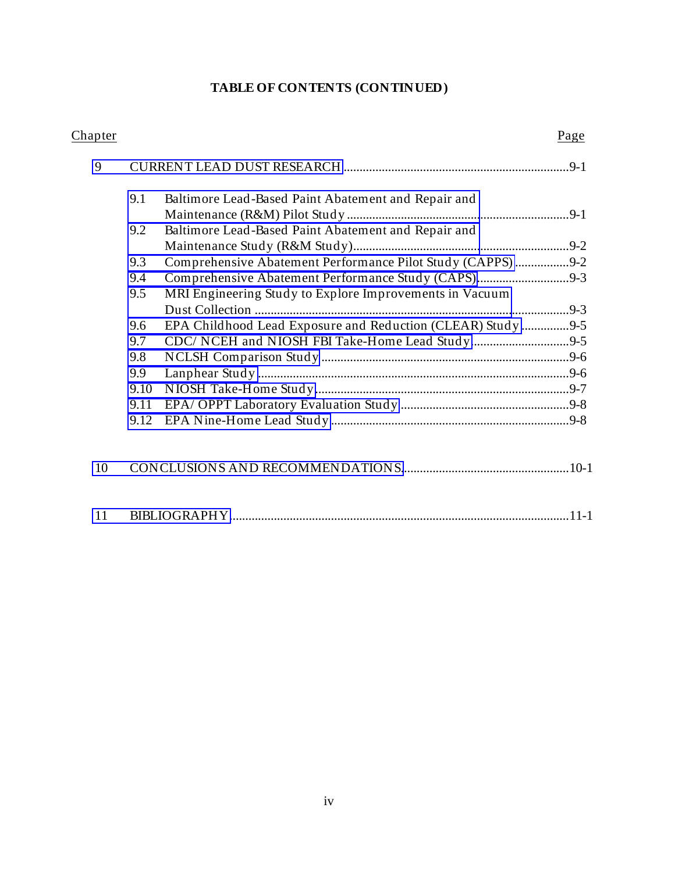# **TABLE OF CONTENTS (CONTINUED)**

| Chapter |      |                                                             | Page |
|---------|------|-------------------------------------------------------------|------|
| 9       |      |                                                             |      |
|         | 9.1  | Baltimore Lead-Based Paint Abatement and Repair and         |      |
|         |      |                                                             |      |
|         | 9.2  | Baltimore Lead-Based Paint Abatement and Repair and         |      |
|         |      |                                                             |      |
|         | 9.3  | Comprehensive Abatement Performance Pilot Study (CAPPS) 9-2 |      |
|         | 9.4  | Comprehensive Abatement Performance Study (CAPS)9-3         |      |
|         | 9.5  | MRI Engineering Study to Explore Improvements in Vacuum     |      |
|         |      |                                                             |      |
|         | 9.6  | EPA Childhood Lead Exposure and Reduction (CLEAR) Study 9-5 |      |
|         | 9.7  |                                                             |      |
|         | 9.8  |                                                             |      |
|         | 9.9  |                                                             |      |
|         | 9.10 |                                                             |      |
|         | 9.11 |                                                             |      |
|         | 9.12 |                                                             |      |
|         |      |                                                             |      |
| 10      |      |                                                             |      |
| 11      |      |                                                             |      |
|         |      |                                                             |      |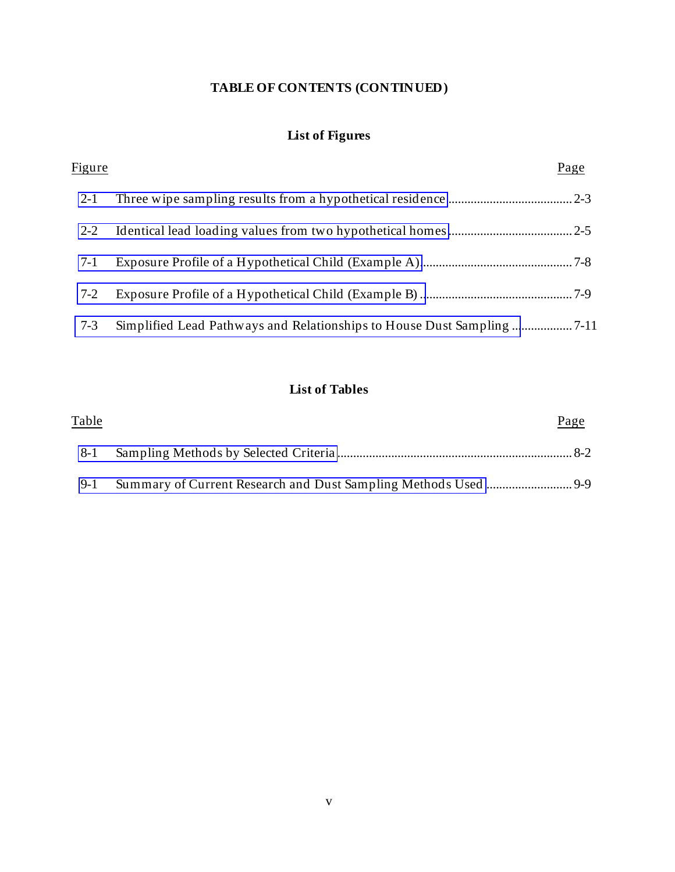# **TABLE OF CONTENTS (CONTINUED)**

# **List of Figures**

| Figure  | Page |
|---------|------|
| $2 - 1$ |      |
| $2 - 2$ |      |
| $7-1$   |      |
| 7-2     |      |
| $7 - 3$ |      |

# **List of Tables**

| <u>Table</u> | Page |
|--------------|------|
| 8-1          |      |
| 9-1          |      |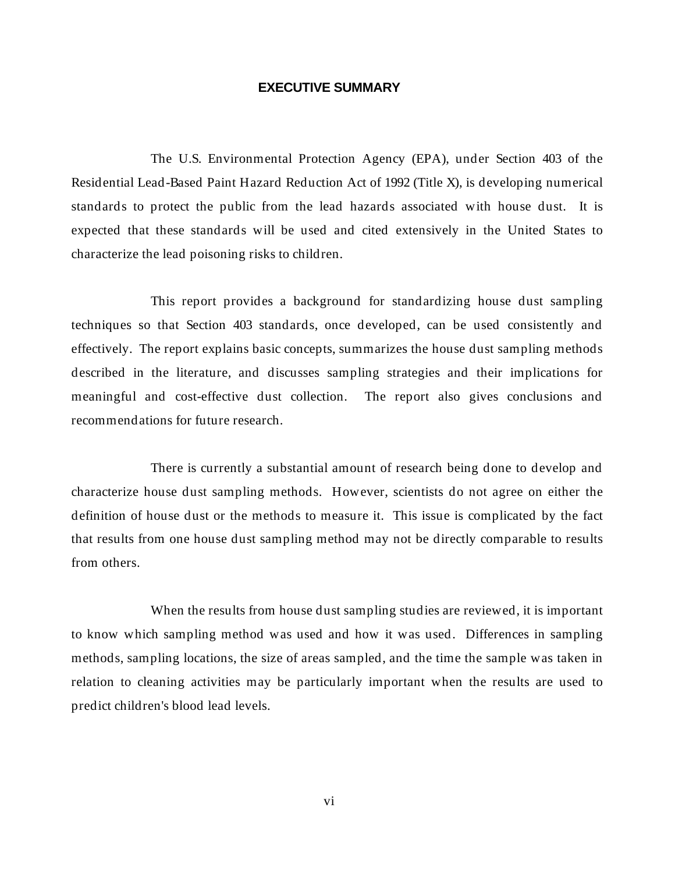### **EXECUTIVE SUMMARY**

<span id="page-7-0"></span>The U.S. Environmental Protection Agency (EPA), under Section 403 of the Residential Lead-Based Paint Hazard Reduction Act of 1992 (Title X), is developing numerical standards to protect the public from the lead hazards associated with house dust. It is expected that these standards will be used and cited extensively in the United States to characterize the lead poisoning risks to children.

This report provides a background for standardizing house dust sampling techniques so that Section 403 standards, once developed, can be used consistently and effectively. The report explains basic concepts, summarizes the house dust sampling methods described in the literature, and discusses sampling strategies and their implications for meaningful and cost-effective dust collection. The report also gives conclusions and recommendations for future research.

There is currently a substantial amount of research being done to develop and characterize house dust sampling methods. However, scientists do not agree on either the definition of house dust or the methods to measure it. This issue is complicated by the fact that results from one house dust sampling method may not be directly comparable to results from others.

When the results from house dust sampling studies are reviewed, it is important to know which sampling method was used and how it was used. Differences in sampling methods, sampling locations, the size of areas sampled, and the time the sample was taken in relation to cleaning activities may be particularly important when the results are used to predict children's blood lead levels.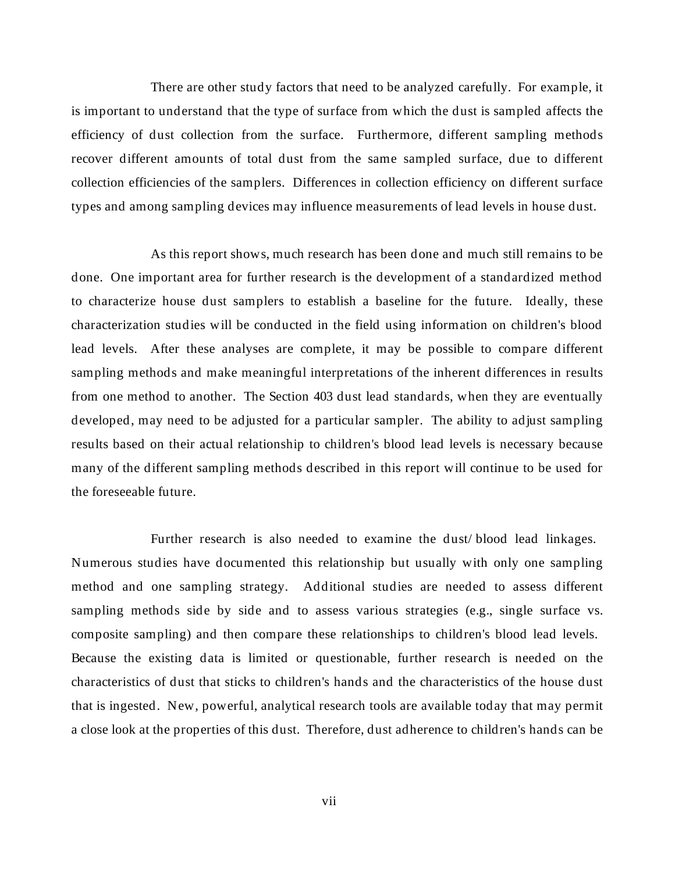There are other study factors that need to be analyzed carefully. For example, it is important to understand that the type of surface from which the dust is sampled affects the efficiency of dust collection from the surface. Furthermore, different sampling methods recover different amounts of total dust from the same sampled surface, due to different collection efficiencies of the samplers. Differences in collection efficiency on different surface types and among sampling devices may influence measurements of lead levels in house dust.

As this report shows, much research has been done and much still remains to be done. One important area for further research is the development of a standardized method to characterize house dust samplers to establish a baseline for the future. Ideally, these characterization studies will be conducted in the field using information on children's blood lead levels. After these analyses are complete, it may be possible to compare different sampling methods and make meaningful interpretations of the inherent differences in results from one method to another. The Section 403 dust lead standards, when they are eventually developed, may need to be adjusted for a particular sampler. The ability to adjust sampling results based on their actual relationship to children's blood lead levels is necessary because many of the different sampling methods described in this report will continue to be used for the foreseeable future.

Further research is also needed to examine the dust/ blood lead linkages. Numerous studies have documented this relationship but usually with only one sampling method and one sampling strategy. Additional studies are needed to assess different sampling methods side by side and to assess various strategies (e.g., single surface vs. composite sampling) and then compare these relationships to children's blood lead levels. Because the existing data is limited or questionable, further research is needed on the characteristics of dust that sticks to children's hands and the characteristics of the house dust that is ingested. New, powerful, analytical research tools are available today that may permit a close look at the properties of this dust. Therefore, dust adherence to children's hands can be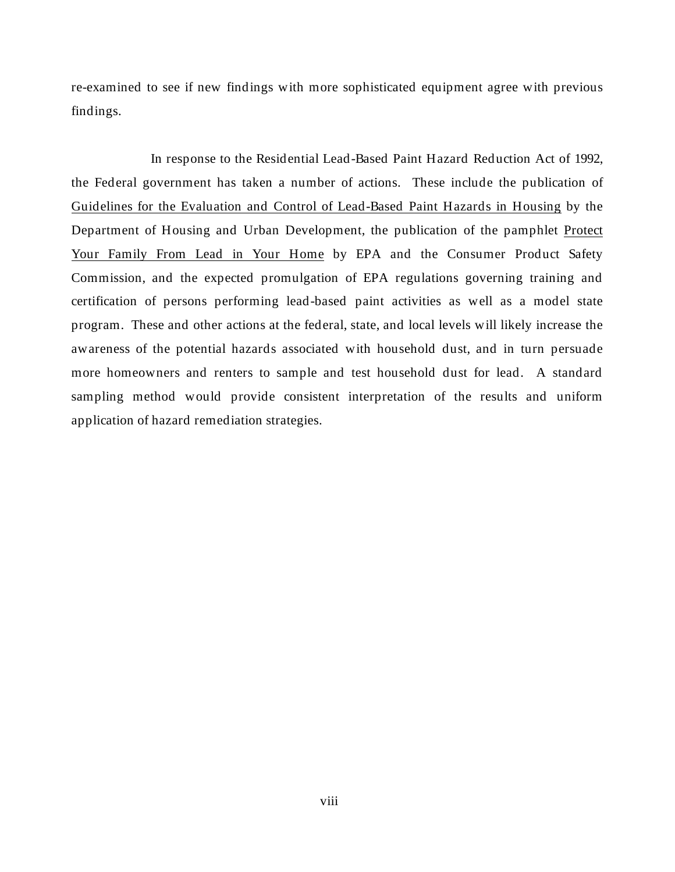re-examined to see if new findings with more sophisticated equipment agree with previous findings.

In response to the Residential Lead-Based Paint Hazard Reduction Act of 1992, the Federal government has taken a number of actions. These include the publication of Guidelines for the Evaluation and Control of Lead-Based Paint Hazards in Housing by the Department of Housing and Urban Development, the publication of the pamphlet Protect Your Family From Lead in Your Home by EPA and the Consumer Product Safety Commission, and the expected promulgation of EPA regulations governing training and certification of persons performing lead-based paint activities as well as a model state program. These and other actions at the federal, state, and local levels will likely increase the awareness of the potential hazards associated with household dust, and in turn persuade more homeowners and renters to sample and test household dust for lead. A standard sampling method would provide consistent interpretation of the results and uniform application of hazard remediation strategies.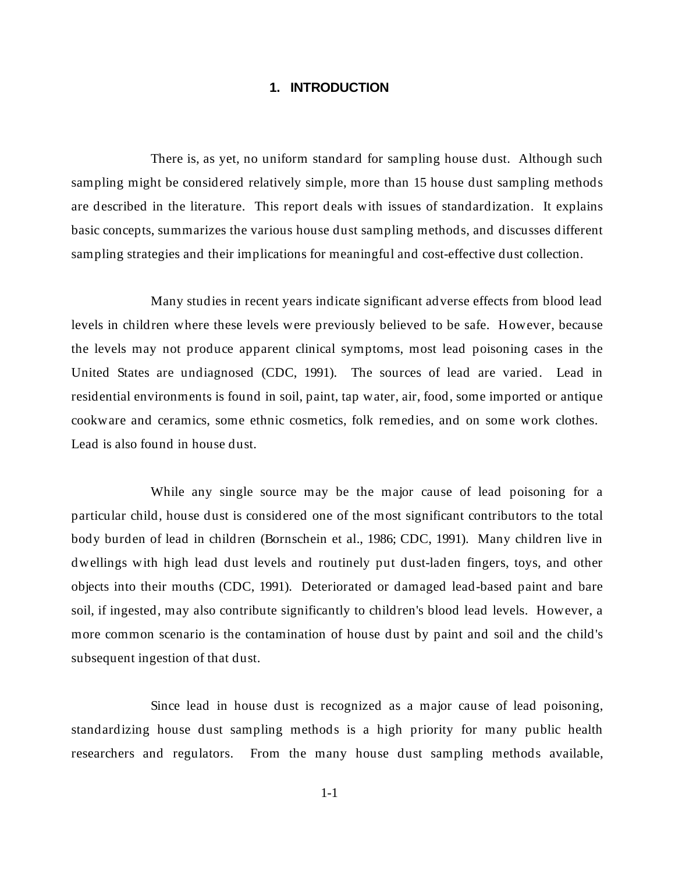# **1. INTRODUCTION**

<span id="page-10-0"></span>There is, as yet, no uniform standard for sampling house dust. Although such sampling might be considered relatively simple, more than 15 house dust sampling methods are described in the literature. This report deals with issues of standardization. It explains basic concepts, summarizes the various house dust sampling methods, and discusses different sampling strategies and their implications for meaningful and cost-effective dust collection.

Many studies in recent years indicate significant adverse effects from blood lead levels in children where these levels were previously believed to be safe. However, because the levels may not produce apparent clinical symptoms, most lead poisoning cases in the United States are undiagnosed (CDC, 1991). The sources of lead are varied. Lead in residential environments is found in soil, paint, tap water, air, food, some imported or antique cookware and ceramics, some ethnic cosmetics, folk remedies, and on some work clothes. Lead is also found in house dust.

While any single source may be the major cause of lead poisoning for a particular child, house dust is considered one of the most significant contributors to the total body burden of lead in children (Bornschein et al., 1986; CDC, 1991). Many children live in dwellings with high lead dust levels and routinely put dust-laden fingers, toys, and other objects into their mouths (CDC, 1991). Deteriorated or damaged lead-based paint and bare soil, if ingested, may also contribute significantly to children's blood lead levels. However, a more common scenario is the contamination of house dust by paint and soil and the child's subsequent ingestion of that dust.

Since lead in house dust is recognized as a major cause of lead poisoning, standardizing house dust sampling methods is a high priority for many public health researchers and regulators. From the many house dust sampling methods available,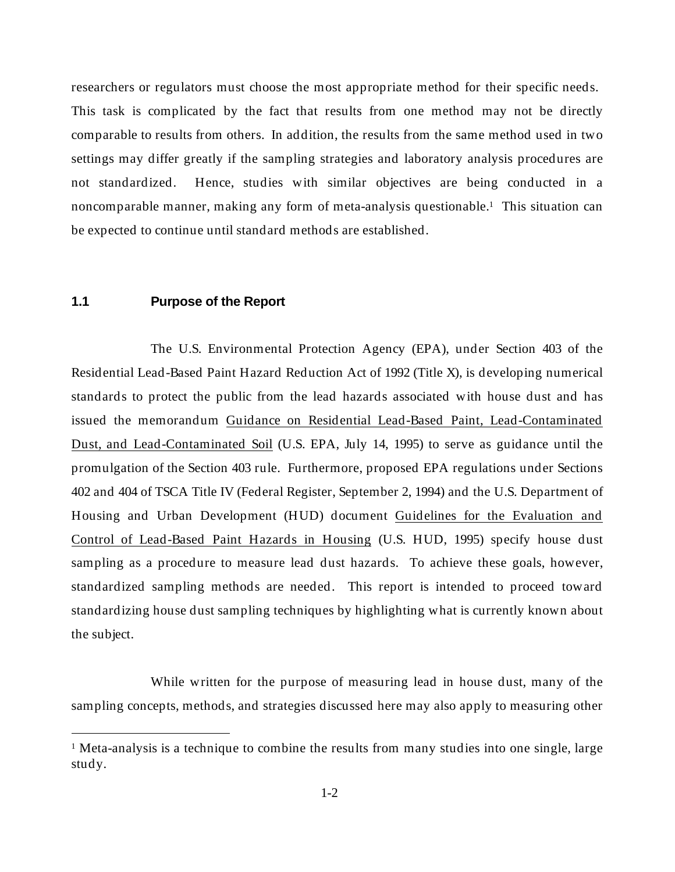<span id="page-11-0"></span>researchers or regulators must choose the most appropriate method for their specific needs. This task is complicated by the fact that results from one method may not be directly comparable to results from others. In addition, the results from the same method used in two settings may differ greatly if the sampling strategies and laboratory analysis procedures are not standardized. Hence, studies with similar objectives are being conducted in a noncomparable manner, making any form of meta-analysis questionable.1 This situation can be expected to continue until standard methods are established.

# **1.1 Purpose of the Report**

 $\overline{a}$ 

The U.S. Environmental Protection Agency (EPA), under Section 403 of the Residential Lead-Based Paint Hazard Reduction Act of 1992 (Title X), is developing numerical standards to protect the public from the lead hazards associated with house dust and has issued the memorandum Guidance on Residential Lead-Based Paint, Lead-Contaminated Dust, and Lead-Contaminated Soil (U.S. EPA, July 14, 1995) to serve as guidance until the promulgation of the Section 403 rule. Furthermore, proposed EPA regulations under Sections 402 and 404 of TSCA Title IV (Federal Register, September 2, 1994) and the U.S. Department of Housing and Urban Development (HUD) document Guidelines for the Evaluation and Control of Lead-Based Paint Hazards in Housing (U.S. HUD, 1995) specify house dust sampling as a procedure to measure lead dust hazards. To achieve these goals, however, standardized sampling methods are needed. This report is intended to proceed toward standardizing house dust sampling techniques by highlighting what is currently known about the subject.

While written for the purpose of measuring lead in house dust, many of the sampling concepts, methods, and strategies discussed here may also apply to measuring other

<sup>&</sup>lt;sup>1</sup> Meta-analysis is a technique to combine the results from many studies into one single, large study.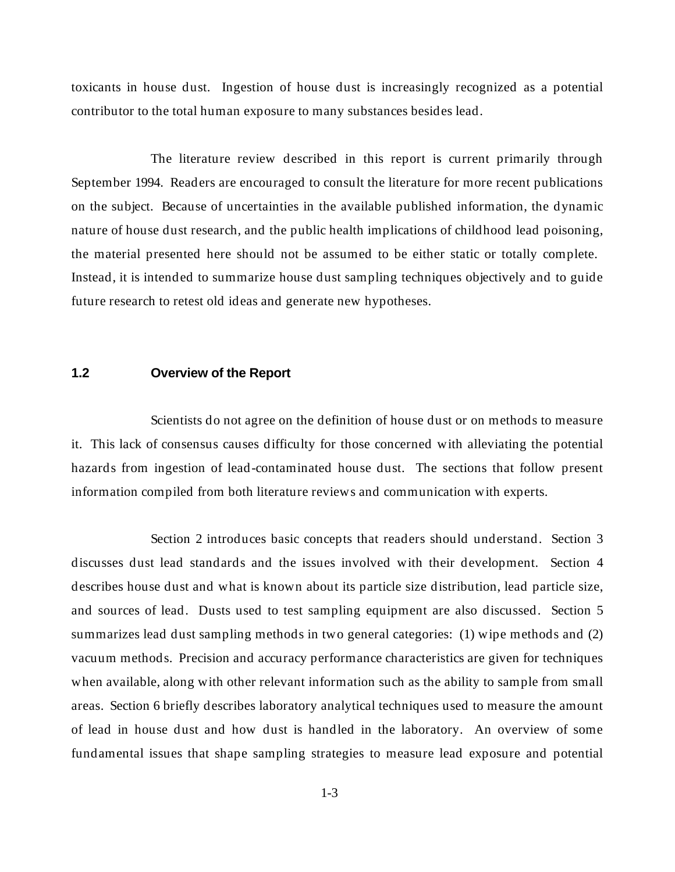<span id="page-12-0"></span>toxicants in house dust. Ingestion of house dust is increasingly recognized as a potential contributor to the total human exposure to many substances besides lead.

The literature review described in this report is current primarily through September 1994. Readers are encouraged to consult the literature for more recent publications on the subject. Because of uncertainties in the available published information, the dynamic nature of house dust research, and the public health implications of childhood lead poisoning, the material presented here should not be assumed to be either static or totally complete. Instead, it is intended to summarize house dust sampling techniques objectively and to guide future research to retest old ideas and generate new hypotheses.

### **1.2 Overview of the Report**

Scientists do not agree on the definition of house dust or on methods to measure it. This lack of consensus causes difficulty for those concerned with alleviating the potential hazards from ingestion of lead-contaminated house dust. The sections that follow present information compiled from both literature reviews and communication with experts.

Section 2 introduces basic concepts that readers should understand. Section 3 discusses dust lead standards and the issues involved with their development. Section 4 describes house dust and what is known about its particle size distribution, lead particle size, and sources of lead. Dusts used to test sampling equipment are also discussed. Section 5 summarizes lead dust sampling methods in two general categories: (1) wipe methods and (2) vacuum methods. Precision and accuracy performance characteristics are given for techniques when available, along with other relevant information such as the ability to sample from small areas. Section 6 briefly describes laboratory analytical techniques used to measure the amount of lead in house dust and how dust is handled in the laboratory. An overview of some fundamental issues that shape sampling strategies to measure lead exposure and potential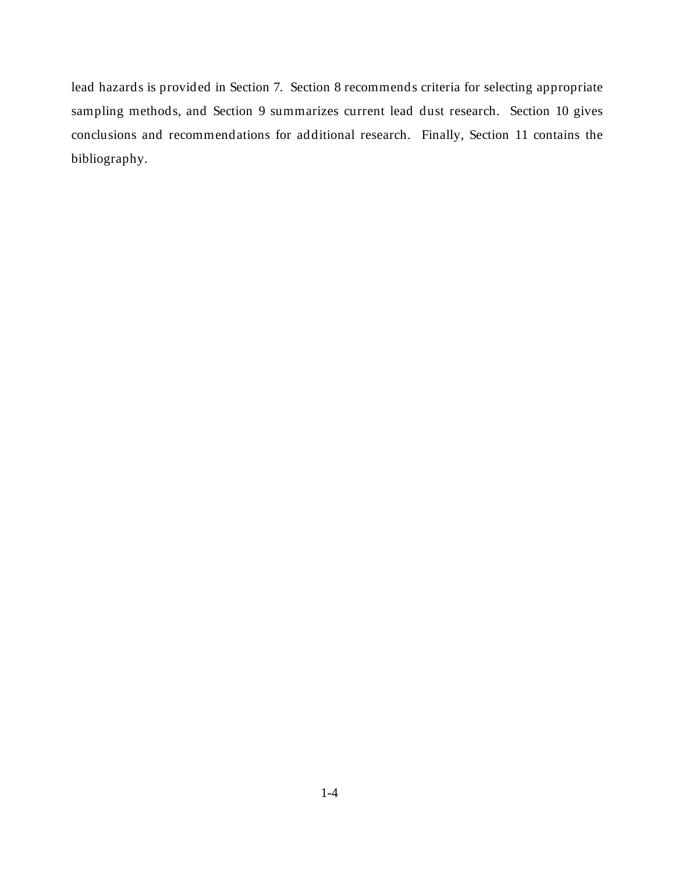lead hazards is provided in Section 7. Section 8 recommends criteria for selecting appropriate sampling methods, and Section 9 summarizes current lead dust research. Section 10 gives conclusions and recommendations for additional research. Finally, Section 11 contains the bibliography.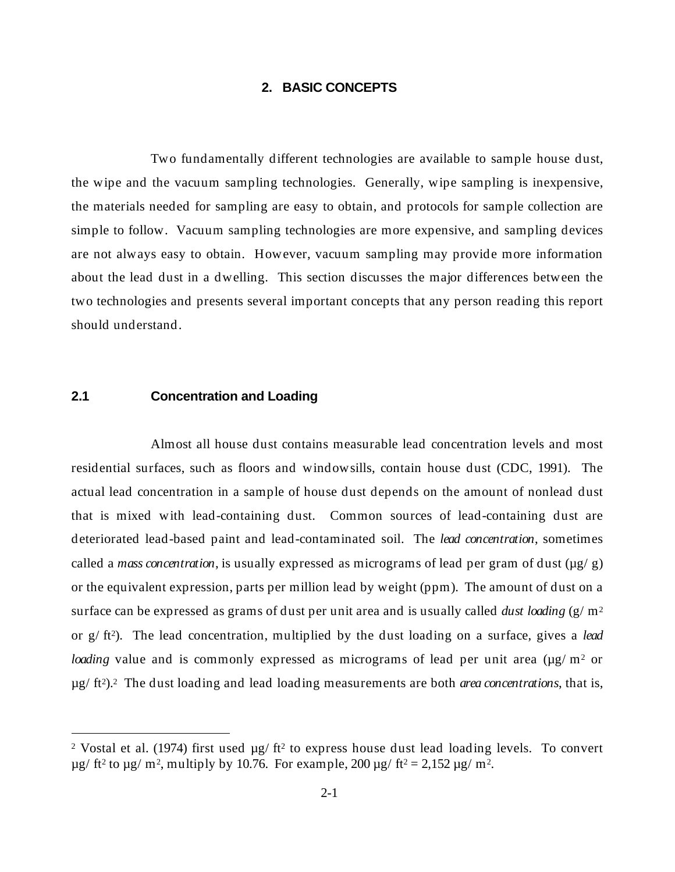# **2. BASIC CONCEPTS**

<span id="page-14-0"></span>Two fundamentally different technologies are available to sample house dust, the wipe and the vacuum sampling technologies. Generally, wipe sampling is inexpensive, the materials needed for sampling are easy to obtain, and protocols for sample collection are simple to follow. Vacuum sampling technologies are more expensive, and sampling devices are not always easy to obtain. However, vacuum sampling may provide more information about the lead dust in a dwelling. This section discusses the major differences between the two technologies and presents several important concepts that any person reading this report should understand.

# **2.1 Concentration and Loading**

 $\overline{a}$ 

Almost all house dust contains measurable lead concentration levels and most residential surfaces, such as floors and windowsills, contain house dust (CDC, 1991). The actual lead concentration in a sample of house dust depends on the amount of nonlead dust that is mixed with lead-containing dust. Common sources of lead-containing dust are deteriorated lead-based paint and lead-contaminated soil. The *lead concentration*, sometimes called a *mass concentration*, is usually expressed as micrograms of lead per gram of dust  $(\mu g/g)$ or the equivalent expression, parts per million lead by weight (ppm). The amount of dust on a surface can be expressed as grams of dust per unit area and is usually called *dust loading* (g/ m2 or g/ ft2). The lead concentration, multiplied by the dust loading on a surface, gives a *lead loading* value and is commonly expressed as micrograms of lead per unit area (µg/m<sup>2</sup> or µg/ ft2).2 The dust loading and lead loading measurements are both *area concentrations*, that is,

<sup>&</sup>lt;sup>2</sup> Vostal et al. (1974) first used  $\mu$ g/ ft<sup>2</sup> to express house dust lead loading levels. To convert  $\mu$ g/ ft<sup>2</sup> to  $\mu$ g/ m<sup>2</sup>, multiply by 10.76. For example, 200  $\mu$ g/ ft<sup>2</sup> = 2,152  $\mu$ g/ m<sup>2</sup>.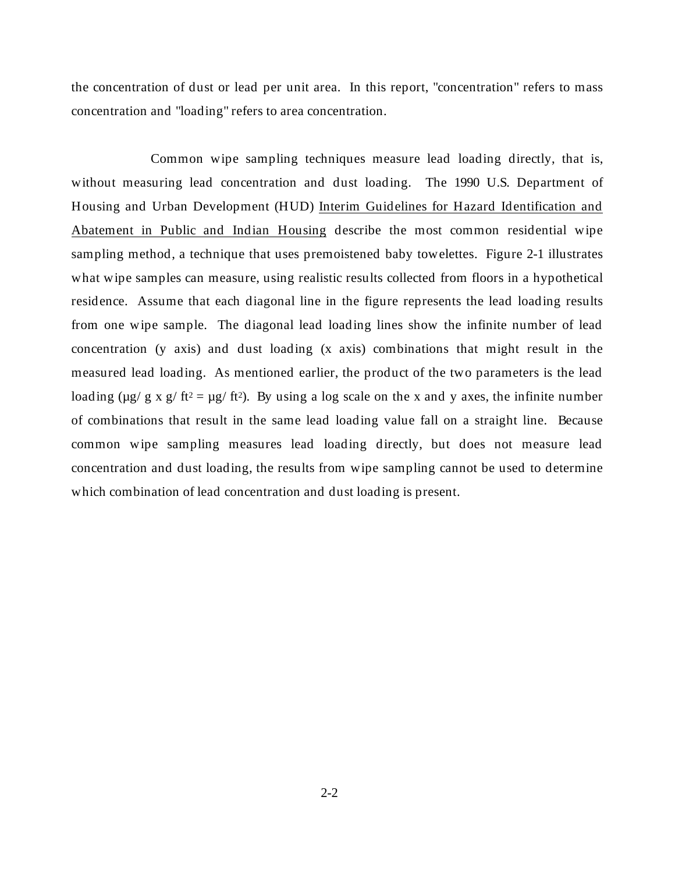the concentration of dust or lead per unit area. In this report, "concentration" refers to mass concentration and "loading" refers to area concentration.

Common wipe sampling techniques measure lead loading directly, that is, without measuring lead concentration and dust loading. The 1990 U.S. Department of Housing and Urban Development (HUD) Interim Guidelines for Hazard Identification and Abatement in Public and Indian Housing describe the most common residential wipe sampling method, a technique that uses premoistened baby towelettes. Figure 2-1 illustrates what wipe samples can measure, using realistic results collected from floors in a hypothetical residence. Assume that each diagonal line in the figure represents the lead loading results from one wipe sample. The diagonal lead loading lines show the infinite number of lead concentration (y axis) and dust loading (x axis) combinations that might result in the measured lead loading. As mentioned earlier, the product of the two parameters is the lead loading ( $\mu$ g/ g x g/ ft<sup>2</sup> =  $\mu$ g/ ft<sup>2</sup>). By using a log scale on the x and y axes, the infinite number of combinations that result in the same lead loading value fall on a straight line. Because common wipe sampling measures lead loading directly, but does not measure lead concentration and dust loading, the results from wipe sampling cannot be used to determine which combination of lead concentration and dust loading is present.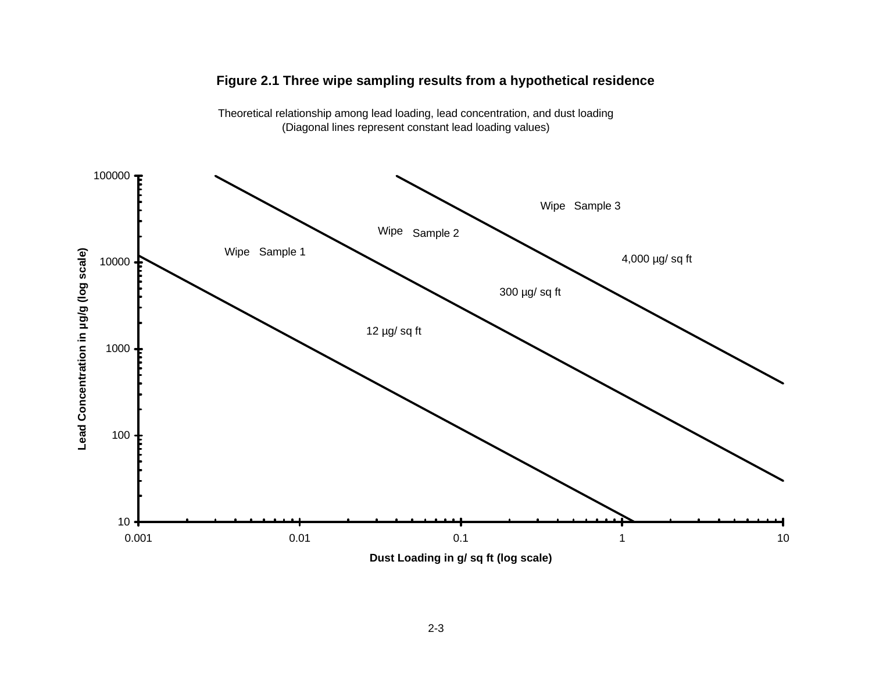



Theoretical relationship among lead loading, lead concentration, and dust loading (Diagonal lines represent constant lead loading values)

**Dust Loading in g/ sq ft (log scale)**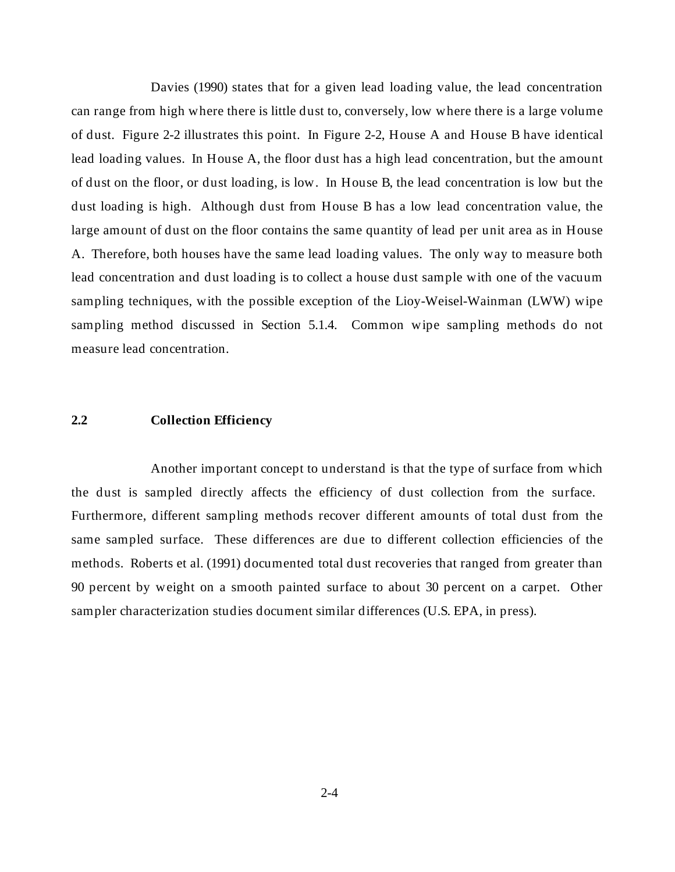<span id="page-17-0"></span>Davies (1990) states that for a given lead loading value, the lead concentration can range from high where there is little dust to, conversely, low where there is a large volume of dust. Figure 2-2 illustrates this point. In Figure 2-2, House A and House B have identical lead loading values. In House A, the floor dust has a high lead concentration, but the amount of dust on the floor, or dust loading, is low. In House B, the lead concentration is low but the dust loading is high. Although dust from House B has a low lead concentration value, the large amount of dust on the floor contains the same quantity of lead per unit area as in House A. Therefore, both houses have the same lead loading values. The only way to measure both lead concentration and dust loading is to collect a house dust sample with one of the vacuum sampling techniques, with the possible exception of the Lioy-Weisel-Wainman (LWW) wipe sampling method discussed in Section 5.1.4. Common wipe sampling methods do not measure lead concentration.

### **2.2 Collection Efficiency**

Another important concept to understand is that the type of surface from which the dust is sampled directly affects the efficiency of dust collection from the surface. Furthermore, different sampling methods recover different amounts of total dust from the same sampled surface. These differences are due to different collection efficiencies of the methods. Roberts et al. (1991) documented total dust recoveries that ranged from greater than 90 percent by weight on a smooth painted surface to about 30 percent on a carpet. Other sampler characterization studies document similar differences (U.S. EPA, in press).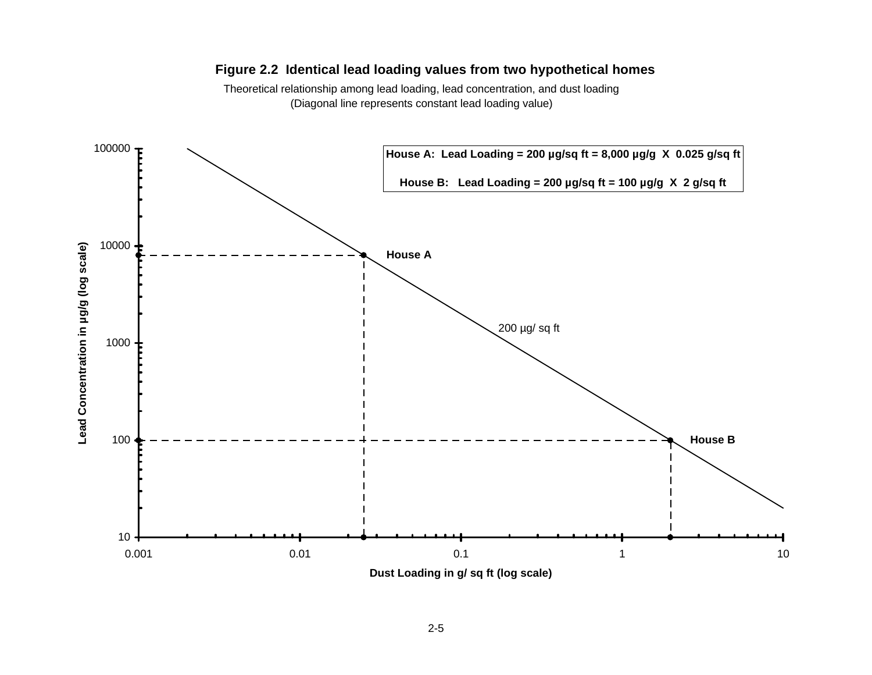# **Figure 2.2 Identical lead loading values from two hypothetical homes**

Theoretical relationship among lead loading, lead concentration, and dust loading (Diagonal line represents constant lead loading value)

<span id="page-18-0"></span>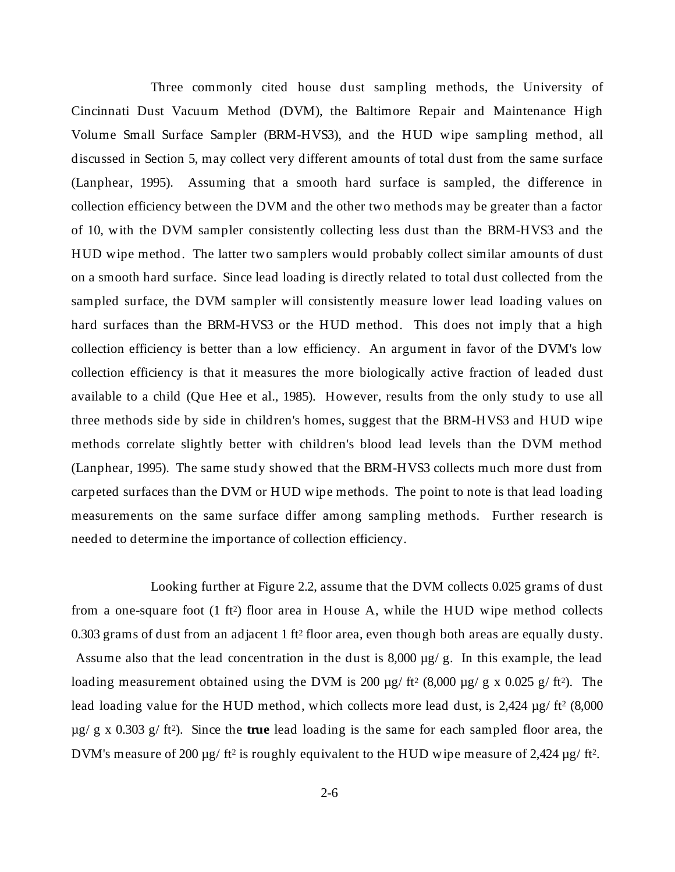Three commonly cited house dust sampling methods, the University of Cincinnati Dust Vacuum Method (DVM), the Baltimore Repair and Maintenance High Volume Small Surface Sampler (BRM-HVS3), and the HUD wipe sampling method, all discussed in Section 5, may collect very different amounts of total dust from the same surface (Lanphear, 1995). Assuming that a smooth hard surface is sampled, the difference in collection efficiency between the DVM and the other two methods may be greater than a factor of 10, with the DVM sampler consistently collecting less dust than the BRM-HVS3 and the HUD wipe method. The latter two samplers would probably collect similar amounts of dust on a smooth hard surface. Since lead loading is directly related to total dust collected from the sampled surface, the DVM sampler will consistently measure lower lead loading values on hard surfaces than the BRM-HVS3 or the HUD method. This does not imply that a high collection efficiency is better than a low efficiency. An argument in favor of the DVM's low collection efficiency is that it measures the more biologically active fraction of leaded dust available to a child (Que Hee et al., 1985). However, results from the only study to use all three methods side by side in children's homes, suggest that the BRM-HVS3 and HUD wipe methods correlate slightly better with children's blood lead levels than the DVM method (Lanphear, 1995). The same study showed that the BRM-HVS3 collects much more dust from carpeted surfaces than the DVM or HUD wipe methods. The point to note is that lead loading measurements on the same surface differ among sampling methods. Further research is needed to determine the importance of collection efficiency.

Looking further at Figure 2.2, assume that the DVM collects 0.025 grams of dust from a one-square foot  $(1 \text{ ft}^2)$  floor area in House A, while the HUD wipe method collects 0.303 grams of dust from an adjacent 1 ft<sup>2</sup> floor area, even though both areas are equally dusty. Assume also that the lead concentration in the dust is  $8,000 \mu g/g$ . In this example, the lead loading measurement obtained using the DVM is 200  $\mu$ g/ ft<sup>2</sup> (8,000  $\mu$ g/ g x 0.025 g/ ft<sup>2</sup>). The lead loading value for the HUD method, which collects more lead dust, is  $2,424 \mu g$  ft<sup>2</sup> (8,000) µg/ g x 0.303 g/ ft2). Since the **true** lead loading is the same for each sampled floor area, the DVM's measure of 200 µg/ ft<sup>2</sup> is roughly equivalent to the HUD wipe measure of 2,424 µg/ ft<sup>2</sup>.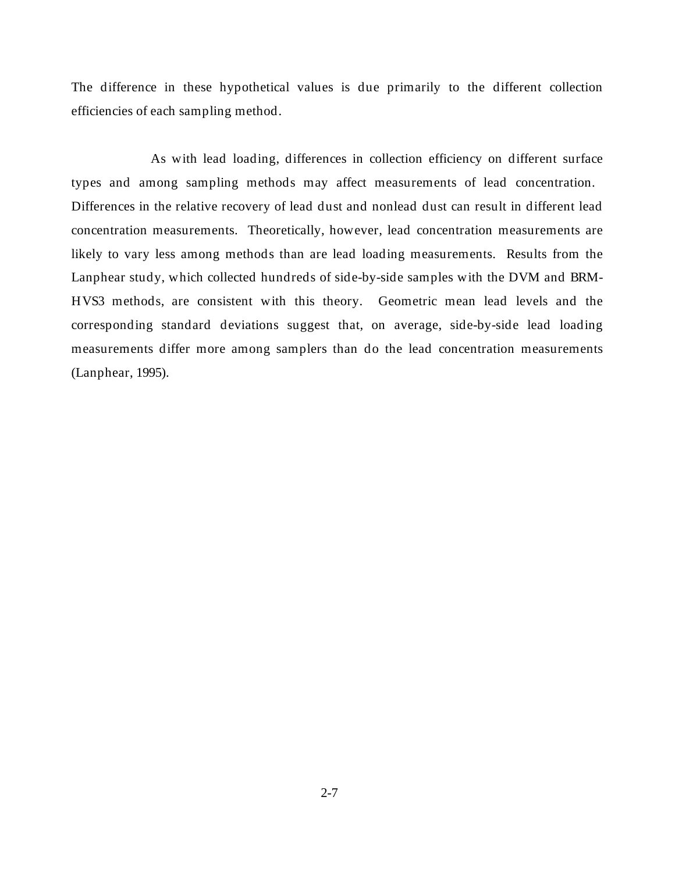The difference in these hypothetical values is due primarily to the different collection efficiencies of each sampling method.

As with lead loading, differences in collection efficiency on different surface types and among sampling methods may affect measurements of lead concentration. Differences in the relative recovery of lead dust and nonlead dust can result in different lead concentration measurements. Theoretically, however, lead concentration measurements are likely to vary less among methods than are lead loading measurements. Results from the Lanphear study, which collected hundreds of side-by-side samples with the DVM and BRM-HVS3 methods, are consistent with this theory. Geometric mean lead levels and the corresponding standard deviations suggest that, on average, side-by-side lead loading measurements differ more among samplers than do the lead concentration measurements (Lanphear, 1995).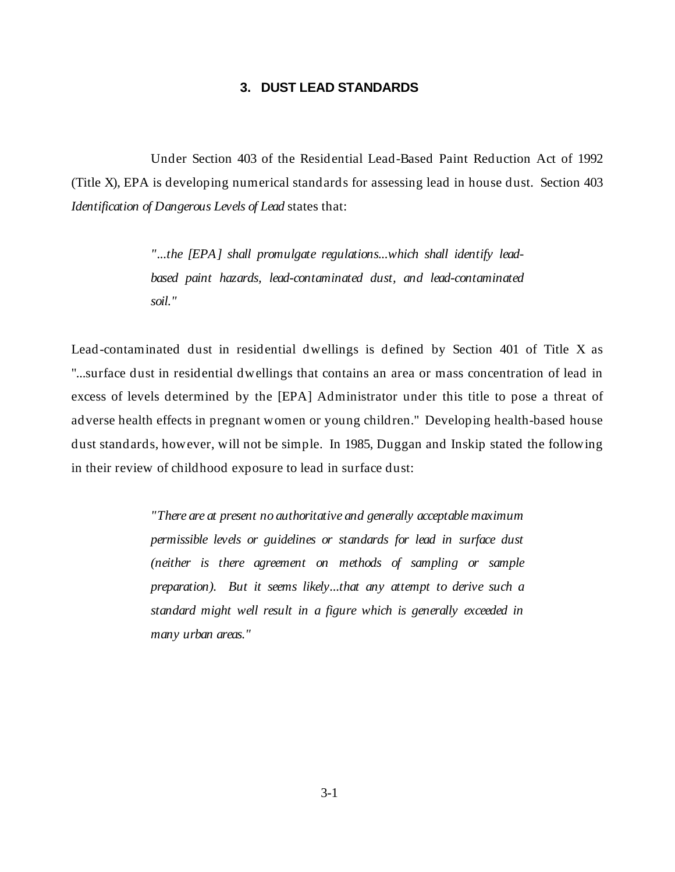# **3. DUST LEAD STANDARDS**

<span id="page-21-0"></span>Under Section 403 of the Residential Lead-Based Paint Reduction Act of 1992 (Title X), EPA is developing numerical standards for assessing lead in house dust. Section 403 *Identification of Dangerous Levels of Lead* states that:

> *"...the [EPA] shall promulgate regulations...which shall identify leadbased paint hazards, lead-contaminated dust, and lead-contaminated soil."*

Lead-contaminated dust in residential dwellings is defined by Section 401 of Title X as "...surface dust in residential dwellings that contains an area or mass concentration of lead in excess of levels determined by the [EPA] Administrator under this title to pose a threat of adverse health effects in pregnant women or young children." Developing health-based house dust standards, however, will not be simple. In 1985, Duggan and Inskip stated the following in their review of childhood exposure to lead in surface dust:

> *"There are at present no authoritative and generally acceptable maximum permissible levels or guidelines or standards for lead in surface dust (neither is there agreement on methods of sampling or sample preparation). But it seems likely...that any attempt to derive such a standard might well result in a figure which is generally exceeded in many urban areas."*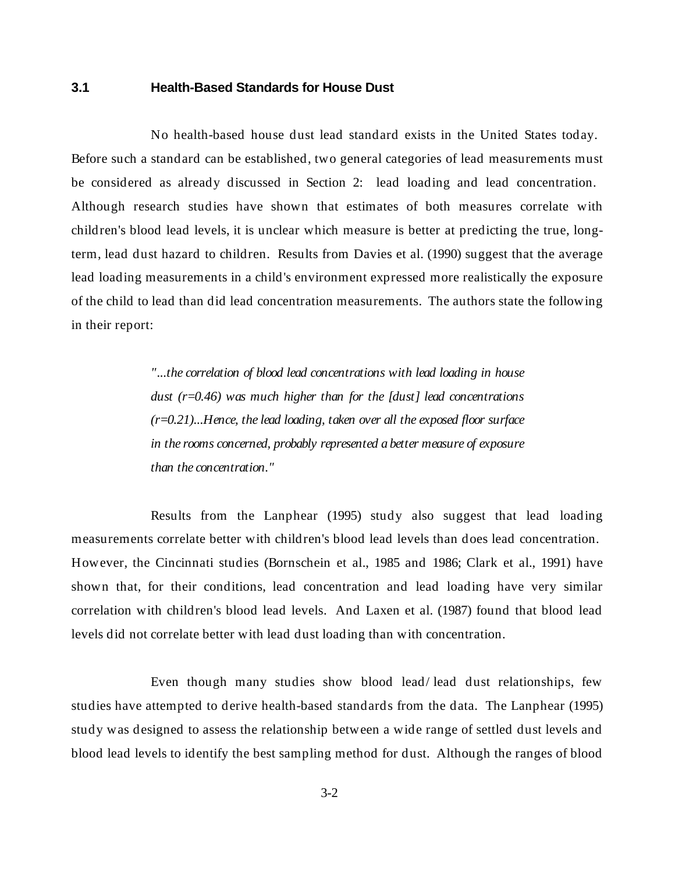# <span id="page-22-0"></span>**3.1 Health-Based Standards for House Dust**

No health-based house dust lead standard exists in the United States today. Before such a standard can be established, two general categories of lead measurements must be considered as already discussed in Section 2: lead loading and lead concentration. Although research studies have shown that estimates of both measures correlate with children's blood lead levels, it is unclear which measure is better at predicting the true, longterm, lead dust hazard to children. Results from Davies et al. (1990) suggest that the average lead loading measurements in a child's environment expressed more realistically the exposure of the child to lead than did lead concentration measurements. The authors state the following in their report:

> *"...the correlation of blood lead concentrations with lead loading in house dust (r=0.46) was much higher than for the [dust] lead concentrations (r=0.21)...Hence, the lead loading, taken over all the exposed floor surface in the rooms concerned, probably represented a better measure of exposure than the concentration."*

Results from the Lanphear (1995) study also suggest that lead loading measurements correlate better with children's blood lead levels than does lead concentration. However, the Cincinnati studies (Bornschein et al., 1985 and 1986; Clark et al., 1991) have shown that, for their conditions, lead concentration and lead loading have very similar correlation with children's blood lead levels. And Laxen et al. (1987) found that blood lead levels did not correlate better with lead dust loading than with concentration.

Even though many studies show blood lead/ lead dust relationships, few studies have attempted to derive health-based standards from the data. The Lanphear (1995) study was designed to assess the relationship between a wide range of settled dust levels and blood lead levels to identify the best sampling method for dust. Although the ranges of blood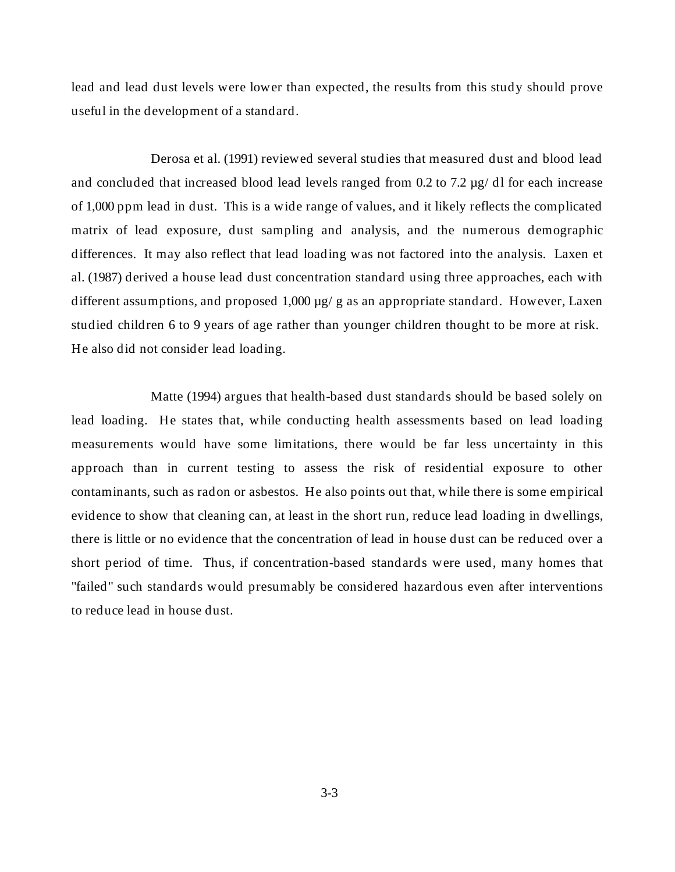lead and lead dust levels were lower than expected, the results from this study should prove useful in the development of a standard.

Derosa et al. (1991) reviewed several studies that measured dust and blood lead and concluded that increased blood lead levels ranged from  $0.2$  to  $7.2 \mu g/d$  for each increase of 1,000 ppm lead in dust. This is a wide range of values, and it likely reflects the complicated matrix of lead exposure, dust sampling and analysis, and the numerous demographic differences. It may also reflect that lead loading was not factored into the analysis. Laxen et al. (1987) derived a house lead dust concentration standard using three approaches, each with different assumptions, and proposed  $1,000 \mu g$  g as an appropriate standard. However, Laxen studied children 6 to 9 years of age rather than younger children thought to be more at risk. He also did not consider lead loading.

Matte (1994) argues that health-based dust standards should be based solely on lead loading. He states that, while conducting health assessments based on lead loading measurements would have some limitations, there would be far less uncertainty in this approach than in current testing to assess the risk of residential exposure to other contaminants, such as radon or asbestos. He also points out that, while there is some empirical evidence to show that cleaning can, at least in the short run, reduce lead loading in dwellings, there is little or no evidence that the concentration of lead in house dust can be reduced over a short period of time. Thus, if concentration-based standards were used, many homes that "failed" such standards would presumably be considered hazardous even after interventions to reduce lead in house dust.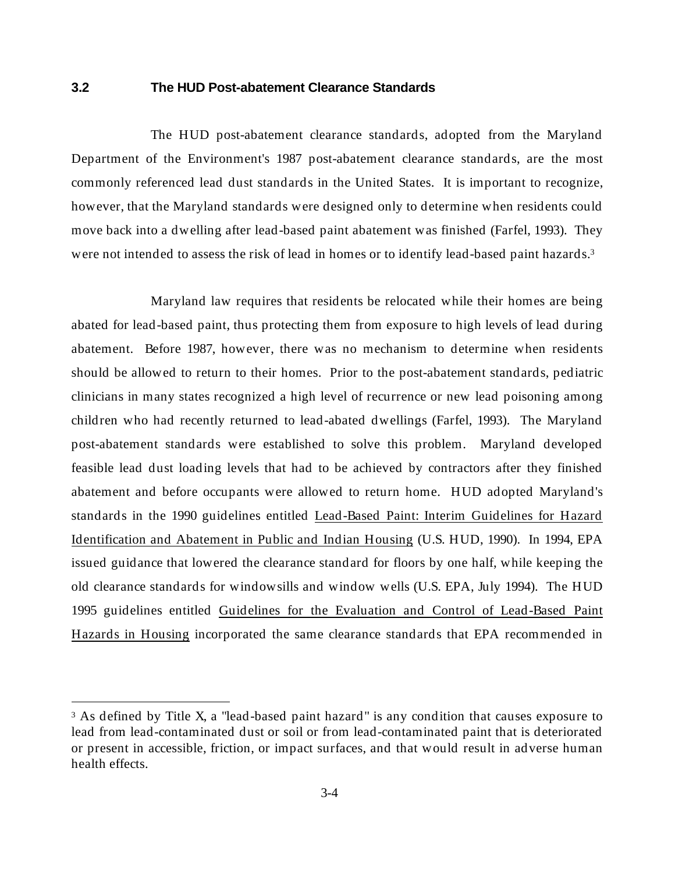### <span id="page-24-0"></span>**3.2 The HUD Post-abatement Clearance Standards**

The HUD post-abatement clearance standards, adopted from the Maryland Department of the Environment's 1987 post-abatement clearance standards, are the most commonly referenced lead dust standards in the United States. It is important to recognize, however, that the Maryland standards were designed only to determine when residents could move back into a dwelling after lead-based paint abatement was finished (Farfel, 1993). They were not intended to assess the risk of lead in homes or to identify lead-based paint hazards.3

Maryland law requires that residents be relocated while their homes are being abated for lead-based paint, thus protecting them from exposure to high levels of lead during abatement. Before 1987, however, there was no mechanism to determine when residents should be allowed to return to their homes. Prior to the post-abatement standards, pediatric clinicians in many states recognized a high level of recurrence or new lead poisoning among children who had recently returned to lead-abated dwellings (Farfel, 1993). The Maryland post-abatement standards were established to solve this problem. Maryland developed feasible lead dust loading levels that had to be achieved by contractors after they finished abatement and before occupants were allowed to return home. HUD adopted Maryland's standards in the 1990 guidelines entitled Lead-Based Paint: Interim Guidelines for Hazard Identification and Abatement in Public and Indian Housing (U.S. HUD, 1990). In 1994, EPA issued guidance that lowered the clearance standard for floors by one half, while keeping the old clearance standards for windowsills and window wells (U.S. EPA, July 1994). The HUD 1995 guidelines entitled Guidelines for the Evaluation and Control of Lead-Based Paint Hazards in Housing incorporated the same clearance standards that EPA recommended in

 $\overline{a}$ 

<sup>&</sup>lt;sup>3</sup> As defined by Title X, a "lead-based paint hazard" is any condition that causes exposure to lead from lead-contaminated dust or soil or from lead-contaminated paint that is deteriorated or present in accessible, friction, or impact surfaces, and that would result in adverse human health effects.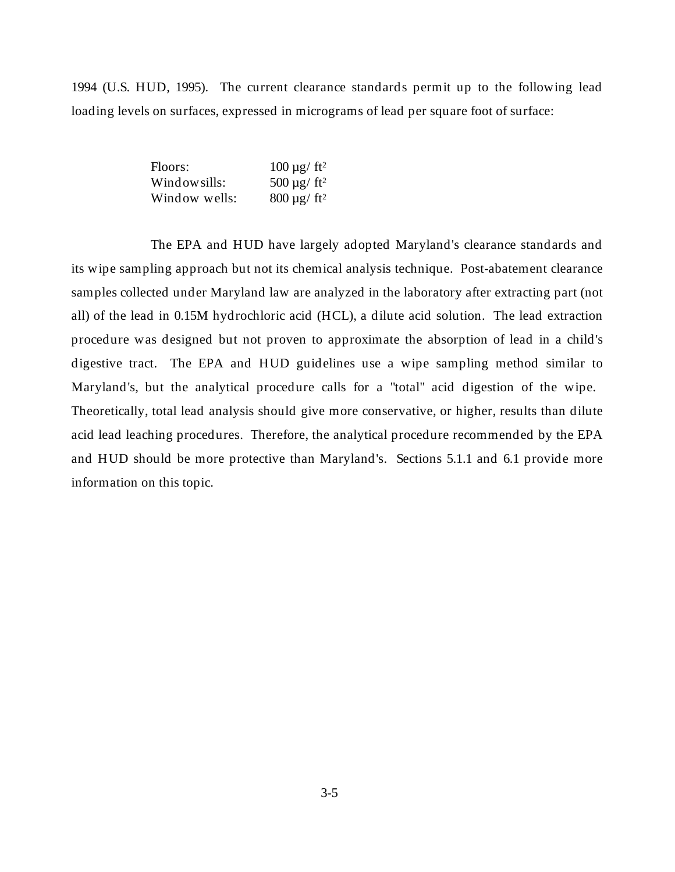1994 (U.S. HUD, 1995). The current clearance standards permit up to the following lead loading levels on surfaces, expressed in micrograms of lead per square foot of surface:

| Floors:       | $100 \mu g / \text{ft}^2$     |
|---------------|-------------------------------|
| Window sills: | 500 $\mu$ g/ ft <sup>2</sup>  |
| Window wells: | $800 \,\mu g$ ft <sup>2</sup> |

The EPA and HUD have largely adopted Maryland's clearance standards and its wipe sampling approach but not its chemical analysis technique. Post-abatement clearance samples collected under Maryland law are analyzed in the laboratory after extracting part (not all) of the lead in 0.15M hydrochloric acid (HCL), a dilute acid solution. The lead extraction procedure was designed but not proven to approximate the absorption of lead in a child's digestive tract. The EPA and HUD guidelines use a wipe sampling method similar to Maryland's, but the analytical procedure calls for a "total" acid digestion of the wipe. Theoretically, total lead analysis should give more conservative, or higher, results than dilute acid lead leaching procedures. Therefore, the analytical procedure recommended by the EPA and HUD should be more protective than Maryland's. Sections 5.1.1 and 6.1 provide more information on this topic.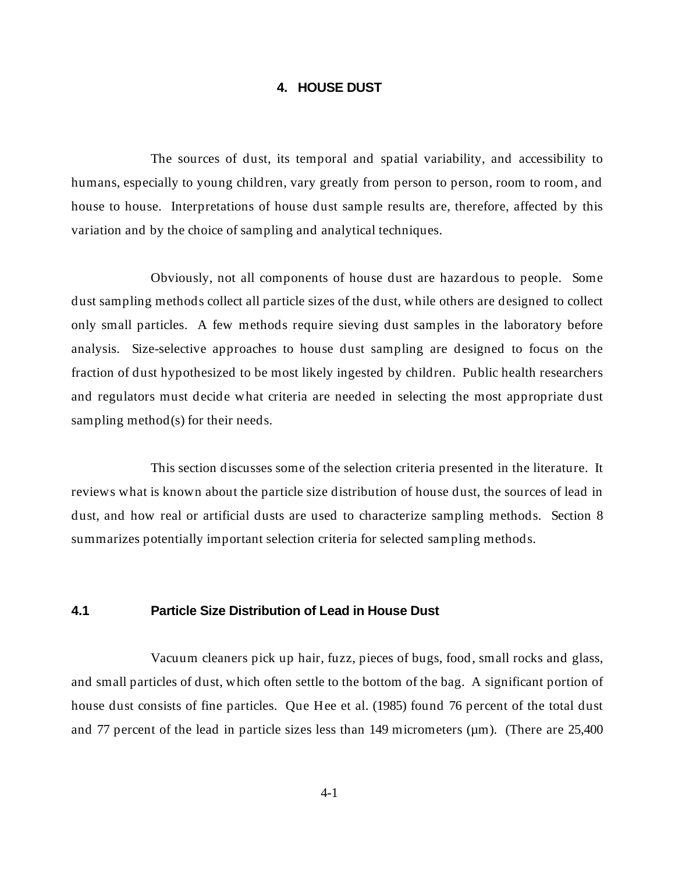### **4. HOUSE DUST**

<span id="page-26-0"></span>The sources of dust, its temporal and spatial variability, and accessibility to humans, especially to young children, vary greatly from person to person, room to room, and house to house. Interpretations of house dust sample results are, therefore, affected by this variation and by the choice of sampling and analytical techniques.

Obviously, not all components of house dust are hazardous to people. Some dust sampling methods collect all particle sizes of the dust, while others are designed to collect only small particles. A few methods require sieving dust samples in the laboratory before analysis. Size-selective approaches to house dust sampling are designed to focus on the fraction of dust hypothesized to be most likely ingested by children. Public health researchers and regulators must decide what criteria are needed in selecting the most appropriate dust sampling method(s) for their needs.

This section discusses some of the selection criteria presented in the literature. It reviews what is known about the particle size distribution of house dust, the sources of lead in dust, and how real or artificial dusts are used to characterize sampling methods. Section 8 summarizes potentially important selection criteria for selected sampling methods.

# **4.1 Particle Size Distribution of Lead in House Dust**

Vacuum cleaners pick up hair, fuzz, pieces of bugs, food, small rocks and glass, and small particles of dust, which often settle to the bottom of the bag. A significant portion of house dust consists of fine particles. Que Hee et al. (1985) found 76 percent of the total dust and 77 percent of the lead in particle sizes less than 149 micrometers ( $\mu$ m). (There are 25,400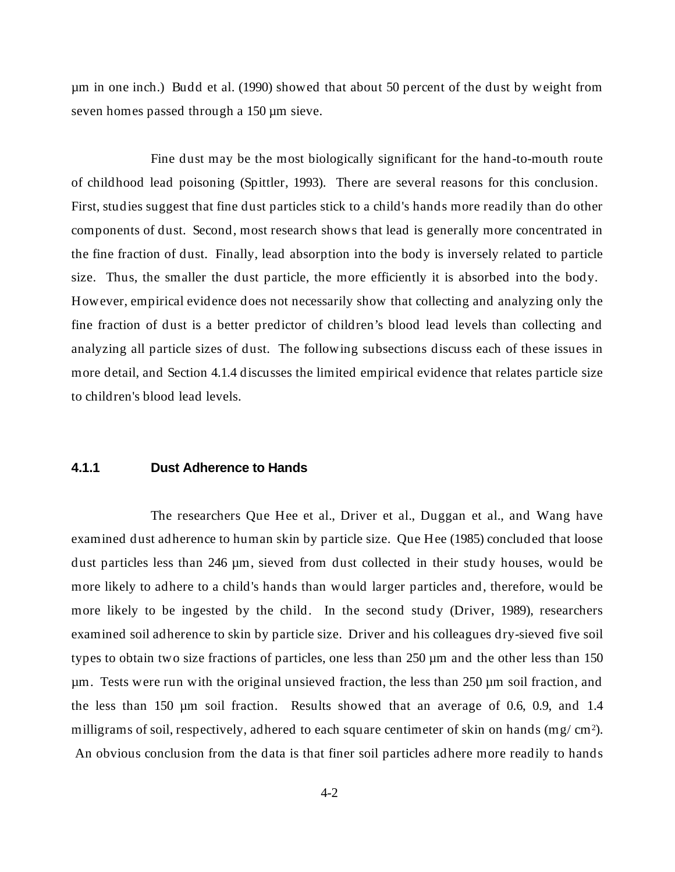<span id="page-27-0"></span>µm in one inch.) Budd et al. (1990) showed that about 50 percent of the dust by weight from seven homes passed through a 150 µm sieve.

Fine dust may be the most biologically significant for the hand-to-mouth route of childhood lead poisoning (Spittler, 1993). There are several reasons for this conclusion. First, studies suggest that fine dust particles stick to a child's hands more readily than do other components of dust. Second, most research shows that lead is generally more concentrated in the fine fraction of dust. Finally, lead absorption into the body is inversely related to particle size. Thus, the smaller the dust particle, the more efficiently it is absorbed into the body. However, empirical evidence does not necessarily show that collecting and analyzing only the fine fraction of dust is a better predictor of children's blood lead levels than collecting and analyzing all particle sizes of dust. The following subsections discuss each of these issues in more detail, and Section 4.1.4 discusses the limited empirical evidence that relates particle size to children's blood lead levels.

# **4.1.1 Dust Adherence to Hands**

The researchers Que Hee et al., Driver et al., Duggan et al., and Wang have examined dust adherence to human skin by particle size. Que Hee (1985) concluded that loose dust particles less than 246 µm, sieved from dust collected in their study houses, would be more likely to adhere to a child's hands than would larger particles and, therefore, would be more likely to be ingested by the child. In the second study (Driver, 1989), researchers examined soil adherence to skin by particle size. Driver and his colleagues dry-sieved five soil types to obtain two size fractions of particles, one less than 250 µm and the other less than 150 µm. Tests were run with the original unsieved fraction, the less than 250 µm soil fraction, and the less than 150 µm soil fraction. Results showed that an average of 0.6, 0.9, and 1.4 milligrams of soil, respectively, adhered to each square centimeter of skin on hands (mg/  $\text{cm}^2$ ). An obvious conclusion from the data is that finer soil particles adhere more readily to hands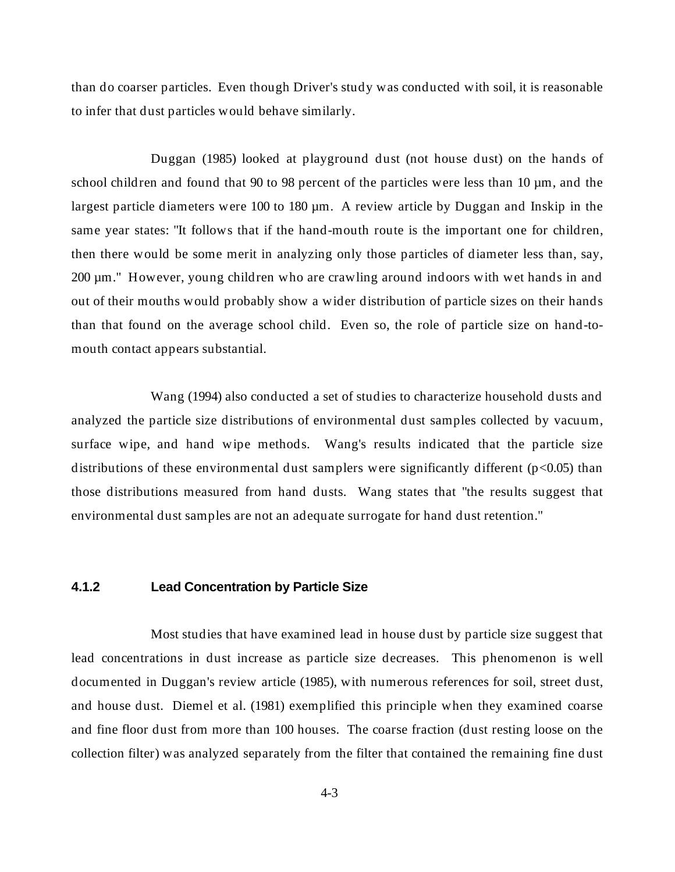<span id="page-28-0"></span>than do coarser particles. Even though Driver's study was conducted with soil, it is reasonable to infer that dust particles would behave similarly.

Duggan (1985) looked at playground dust (not house dust) on the hands of school children and found that 90 to 98 percent of the particles were less than 10  $\mu$ m, and the largest particle diameters were 100 to 180  $\mu$ m. A review article by Duggan and Inskip in the same year states: "It follows that if the hand-mouth route is the important one for children, then there would be some merit in analyzing only those particles of diameter less than, say, 200 µm." However, young children who are crawling around indoors with wet hands in and out of their mouths would probably show a wider distribution of particle sizes on their hands than that found on the average school child. Even so, the role of particle size on hand-tomouth contact appears substantial.

Wang (1994) also conducted a set of studies to characterize household dusts and analyzed the particle size distributions of environmental dust samples collected by vacuum, surface wipe, and hand wipe methods. Wang's results indicated that the particle size distributions of these environmental dust samplers were significantly different ( $p<0.05$ ) than those distributions measured from hand dusts. Wang states that "the results suggest that environmental dust samples are not an adequate surrogate for hand dust retention."

# **4.1.2 Lead Concentration by Particle Size**

Most studies that have examined lead in house dust by particle size suggest that lead concentrations in dust increase as particle size decreases. This phenomenon is well documented in Duggan's review article (1985), with numerous references for soil, street dust, and house dust. Diemel et al. (1981) exemplified this principle when they examined coarse and fine floor dust from more than 100 houses. The coarse fraction (dust resting loose on the collection filter) was analyzed separately from the filter that contained the remaining fine dust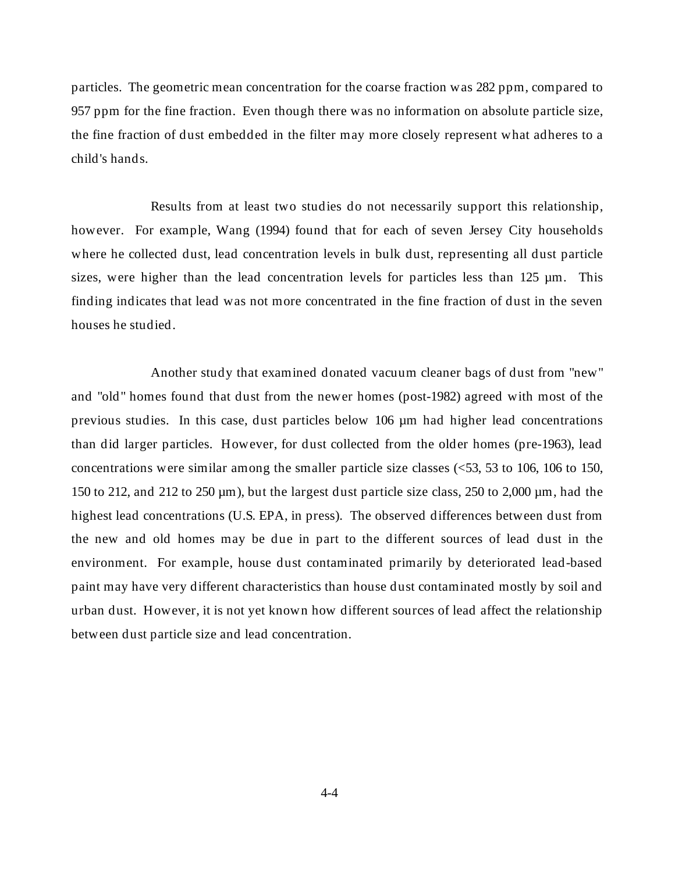particles. The geometric mean concentration for the coarse fraction was 282 ppm, compared to 957 ppm for the fine fraction. Even though there was no information on absolute particle size, the fine fraction of dust embedded in the filter may more closely represent what adheres to a child's hands.

Results from at least two studies do not necessarily support this relationship, however. For example, Wang (1994) found that for each of seven Jersey City households where he collected dust, lead concentration levels in bulk dust, representing all dust particle sizes, were higher than the lead concentration levels for particles less than  $125 \mu m$ . This finding indicates that lead was not more concentrated in the fine fraction of dust in the seven houses he studied.

Another study that examined donated vacuum cleaner bags of dust from "new" and "old" homes found that dust from the newer homes (post-1982) agreed with most of the previous studies. In this case, dust particles below 106 µm had higher lead concentrations than did larger particles. However, for dust collected from the older homes (pre-1963), lead concentrations were similar among the smaller particle size classes (<53, 53 to 106, 106 to 150, 150 to 212, and 212 to 250  $\mu$ m), but the largest dust particle size class, 250 to 2,000  $\mu$ m, had the highest lead concentrations (U.S. EPA, in press). The observed differences between dust from the new and old homes may be due in part to the different sources of lead dust in the environment. For example, house dust contaminated primarily by deteriorated lead-based paint may have very different characteristics than house dust contaminated mostly by soil and urban dust. However, it is not yet known how different sources of lead affect the relationship between dust particle size and lead concentration.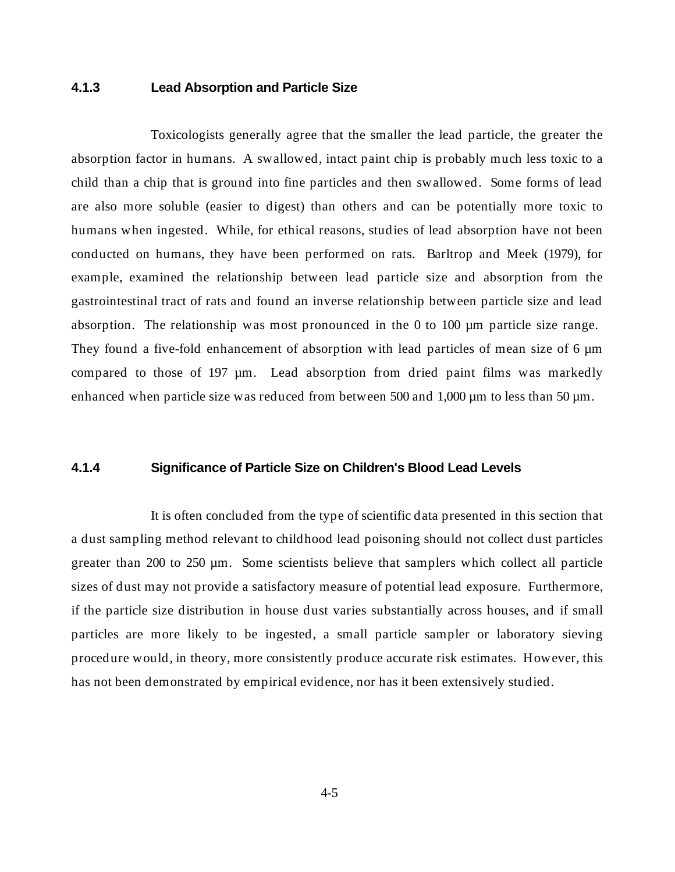# <span id="page-30-0"></span>**4.1.3 Lead Absorption and Particle Size**

Toxicologists generally agree that the smaller the lead particle, the greater the absorption factor in humans. A swallowed, intact paint chip is probably much less toxic to a child than a chip that is ground into fine particles and then swallowed. Some forms of lead are also more soluble (easier to digest) than others and can be potentially more toxic to humans when ingested. While, for ethical reasons, studies of lead absorption have not been conducted on humans, they have been performed on rats. Barltrop and Meek (1979), for example, examined the relationship between lead particle size and absorption from the gastrointestinal tract of rats and found an inverse relationship between particle size and lead absorption. The relationship was most pronounced in the 0 to 100 µm particle size range. They found a five-fold enhancement of absorption with lead particles of mean size of 6  $\mu$ m compared to those of 197 µm. Lead absorption from dried paint films was markedly enhanced when particle size was reduced from between 500 and  $1,000 \mu m$  to less than 50  $\mu m$ .

### **4.1.4 Significance of Particle Size on Children's Blood Lead Levels**

It is often concluded from the type of scientific data presented in this section that a dust sampling method relevant to childhood lead poisoning should not collect dust particles greater than 200 to 250 µm. Some scientists believe that samplers which collect all particle sizes of dust may not provide a satisfactory measure of potential lead exposure. Furthermore, if the particle size distribution in house dust varies substantially across houses, and if small particles are more likely to be ingested, a small particle sampler or laboratory sieving procedure would, in theory, more consistently produce accurate risk estimates. However, this has not been demonstrated by empirical evidence, nor has it been extensively studied.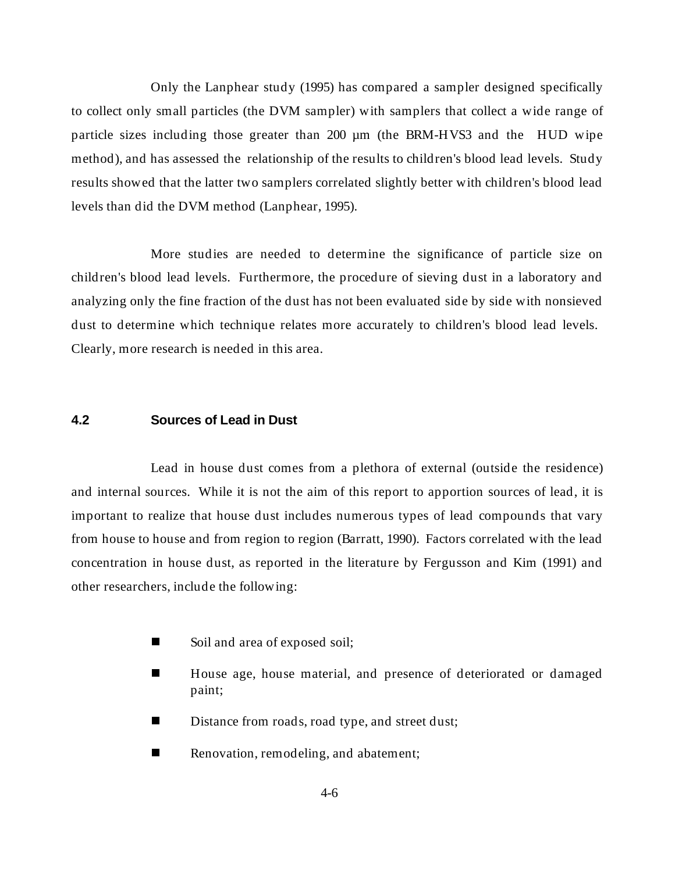<span id="page-31-0"></span>Only the Lanphear study (1995) has compared a sampler designed specifically to collect only small particles (the DVM sampler) with samplers that collect a wide range of particle sizes including those greater than 200 µm (the BRM-HVS3 and the HUD wipe method), and has assessed the relationship of the results to children's blood lead levels. Study results showed that the latter two samplers correlated slightly better with children's blood lead levels than did the DVM method (Lanphear, 1995).

More studies are needed to determine the significance of particle size on children's blood lead levels. Furthermore, the procedure of sieving dust in a laboratory and analyzing only the fine fraction of the dust has not been evaluated side by side with nonsieved dust to determine which technique relates more accurately to children's blood lead levels. Clearly, more research is needed in this area.

# **4.2 Sources of Lead in Dust**

Lead in house dust comes from a plethora of external (outside the residence) and internal sources. While it is not the aim of this report to apportion sources of lead, it is important to realize that house dust includes numerous types of lead compounds that vary from house to house and from region to region (Barratt, 1990). Factors correlated with the lead concentration in house dust, as reported in the literature by Fergusson and Kim (1991) and other researchers, include the following:

- nSoil and area of exposed soil;
- n House age, house material, and presence of deteriorated or damaged paint;
- nDistance from roads, road type, and street dust;
- nRenovation, remodeling, and abatement;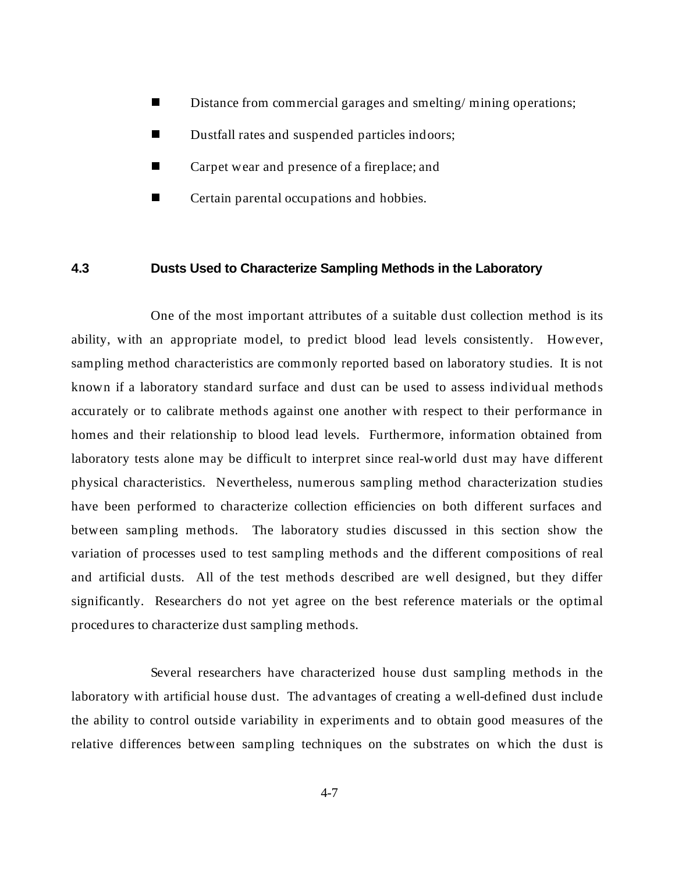- <span id="page-32-0"></span>nDistance from commercial garages and smelting/ mining operations;
- nDustfall rates and suspended particles indoors;
- nCarpet wear and presence of a fireplace; and
- nCertain parental occupations and hobbies.

# **4.3 Dusts Used to Characterize Sampling Methods in the Laboratory**

One of the most important attributes of a suitable dust collection method is its ability, with an appropriate model, to predict blood lead levels consistently. However, sampling method characteristics are commonly reported based on laboratory studies. It is not known if a laboratory standard surface and dust can be used to assess individual methods accurately or to calibrate methods against one another with respect to their performance in homes and their relationship to blood lead levels. Furthermore, information obtained from laboratory tests alone may be difficult to interpret since real-world dust may have different physical characteristics. Nevertheless, numerous sampling method characterization studies have been performed to characterize collection efficiencies on both different surfaces and between sampling methods. The laboratory studies discussed in this section show the variation of processes used to test sampling methods and the different compositions of real and artificial dusts. All of the test methods described are well designed, but they differ significantly. Researchers do not yet agree on the best reference materials or the optimal procedures to characterize dust sampling methods.

Several researchers have characterized house dust sampling methods in the laboratory with artificial house dust. The advantages of creating a well-defined dust include the ability to control outside variability in experiments and to obtain good measures of the relative differences between sampling techniques on the substrates on which the dust is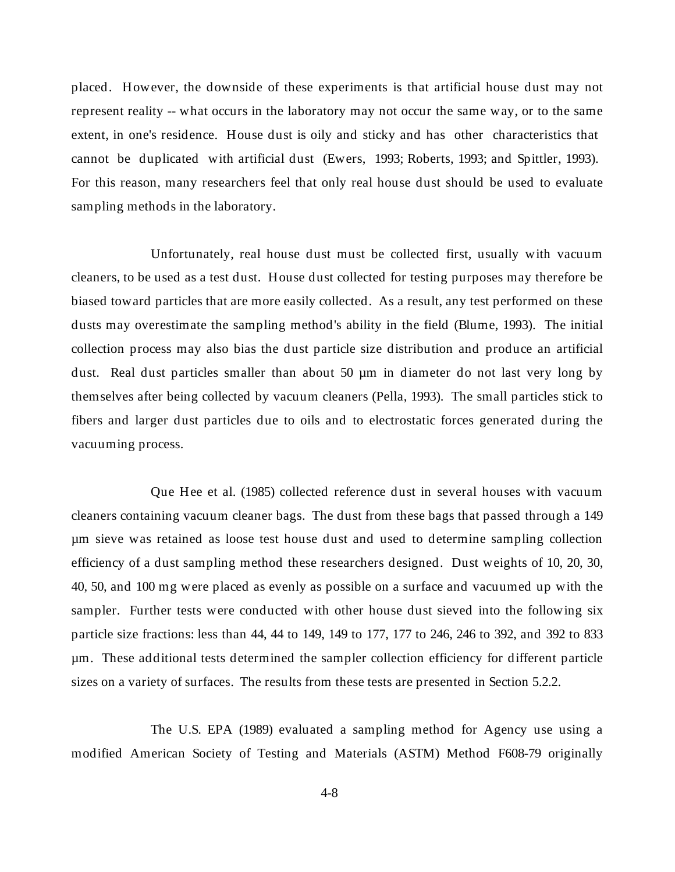placed. However, the downside of these experiments is that artificial house dust may not represent reality -- what occurs in the laboratory may not occur the same way, or to the same extent, in one's residence. House dust is oily and sticky and has other characteristics that cannot be duplicated with artificial dust (Ewers, 1993; Roberts, 1993; and Spittler, 1993). For this reason, many researchers feel that only real house dust should be used to evaluate sampling methods in the laboratory.

Unfortunately, real house dust must be collected first, usually with vacuum cleaners, to be used as a test dust. House dust collected for testing purposes may therefore be biased toward particles that are more easily collected. As a result, any test performed on these dusts may overestimate the sampling method's ability in the field (Blume, 1993). The initial collection process may also bias the dust particle size distribution and produce an artificial dust. Real dust particles smaller than about 50 µm in diameter do not last very long by themselves after being collected by vacuum cleaners (Pella, 1993). The small particles stick to fibers and larger dust particles due to oils and to electrostatic forces generated during the vacuuming process.

Que Hee et al. (1985) collected reference dust in several houses with vacuum cleaners containing vacuum cleaner bags. The dust from these bags that passed through a 149 µm sieve was retained as loose test house dust and used to determine sampling collection efficiency of a dust sampling method these researchers designed. Dust weights of 10, 20, 30, 40, 50, and 100 mg were placed as evenly as possible on a surface and vacuumed up with the sampler. Further tests were conducted with other house dust sieved into the following six particle size fractions: less than 44, 44 to 149, 149 to 177, 177 to 246, 246 to 392, and 392 to 833 µm. These additional tests determined the sampler collection efficiency for different particle sizes on a variety of surfaces. The results from these tests are presented in Section 5.2.2.

The U.S. EPA (1989) evaluated a sampling method for Agency use using a modified American Society of Testing and Materials (ASTM) Method F608-79 originally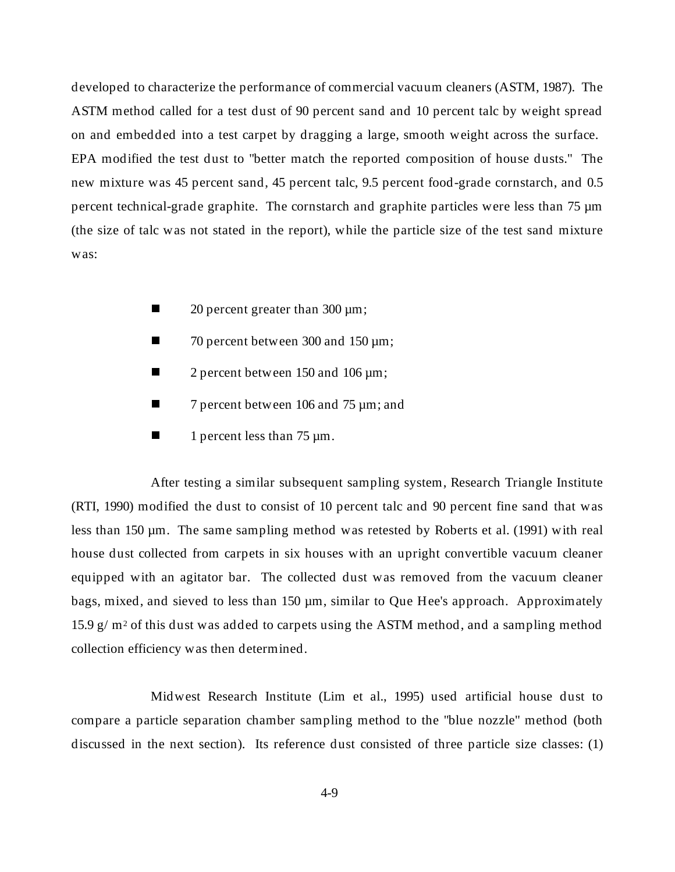developed to characterize the performance of commercial vacuum cleaners (ASTM, 1987). The ASTM method called for a test dust of 90 percent sand and 10 percent talc by weight spread on and embedded into a test carpet by dragging a large, smooth weight across the surface. EPA modified the test dust to "better match the reported composition of house dusts." The new mixture was 45 percent sand, 45 percent talc, 9.5 percent food-grade cornstarch, and 0.5 percent technical-grade graphite. The cornstarch and graphite particles were less than 75 µm (the size of talc was not stated in the report), while the particle size of the test sand mixture was:

- n20 percent greater than 300 µm;
- n70 percent between 300 and 150 µm;
- n2 percent between 150 and 106 µm;
- n7 percent between 106 and 75 µm; and
- n1 percent less than 75 µm.

After testing a similar subsequent sampling system, Research Triangle Institute (RTI, 1990) modified the dust to consist of 10 percent talc and 90 percent fine sand that was less than 150 µm. The same sampling method was retested by Roberts et al. (1991) with real house dust collected from carpets in six houses with an upright convertible vacuum cleaner equipped with an agitator bar. The collected dust was removed from the vacuum cleaner bags, mixed, and sieved to less than 150  $\mu$ m, similar to Que Hee's approach. Approximately 15.9 g/  $m<sup>2</sup>$  of this dust was added to carpets using the ASTM method, and a sampling method collection efficiency was then determined.

Midwest Research Institute (Lim et al., 1995) used artificial house dust to compare a particle separation chamber sampling method to the "blue nozzle" method (both discussed in the next section). Its reference dust consisted of three particle size classes: (1)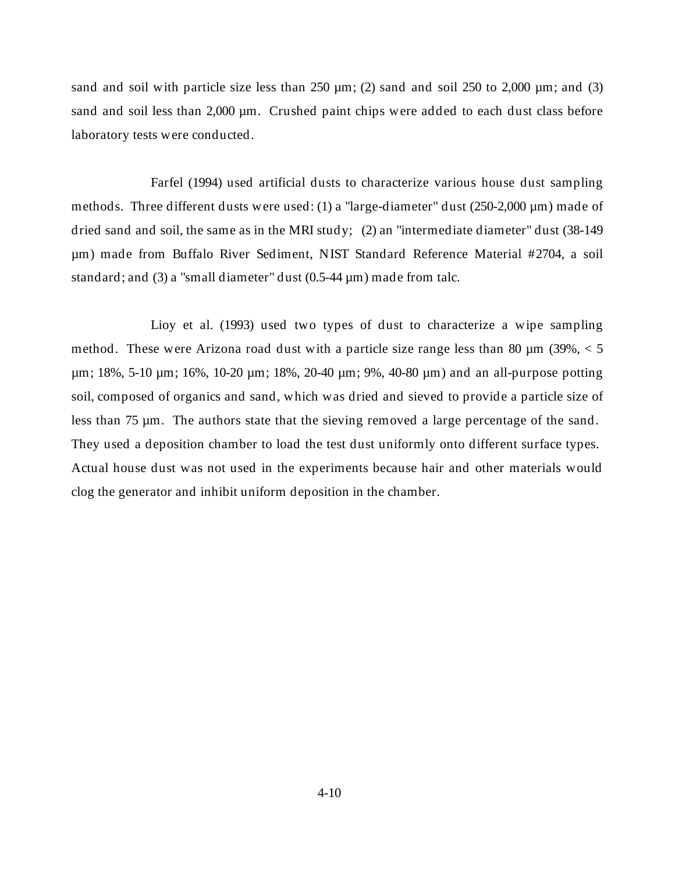sand and soil with particle size less than  $250 \mu m$ ; (2) sand and soil  $250$  to  $2,000 \mu m$ ; and (3) sand and soil less than 2,000  $\mu$ m. Crushed paint chips were added to each dust class before laboratory tests were conducted.

Farfel (1994) used artificial dusts to characterize various house dust sampling methods. Three different dusts were used: (1) a "large-diameter" dust (250-2,000 µm) made of dried sand and soil, the same as in the MRI study; (2) an "intermediate diameter" dust (38-149 µm) made from Buffalo River Sediment, NIST Standard Reference Material #2704, a soil standard; and (3) a "small diameter" dust (0.5-44 µm) made from talc.

Lioy et al. (1993) used two types of dust to characterize a wipe sampling method. These were Arizona road dust with a particle size range less than 80  $\mu$ m (39%, < 5 µm; 18%, 5-10 µm; 16%, 10-20 µm; 18%, 20-40 µm; 9%, 40-80 µm) and an all-purpose potting soil, composed of organics and sand, which was dried and sieved to provide a particle size of less than 75 µm. The authors state that the sieving removed a large percentage of the sand. They used a deposition chamber to load the test dust uniformly onto different surface types. Actual house dust was not used in the experiments because hair and other materials would clog the generator and inhibit uniform deposition in the chamber.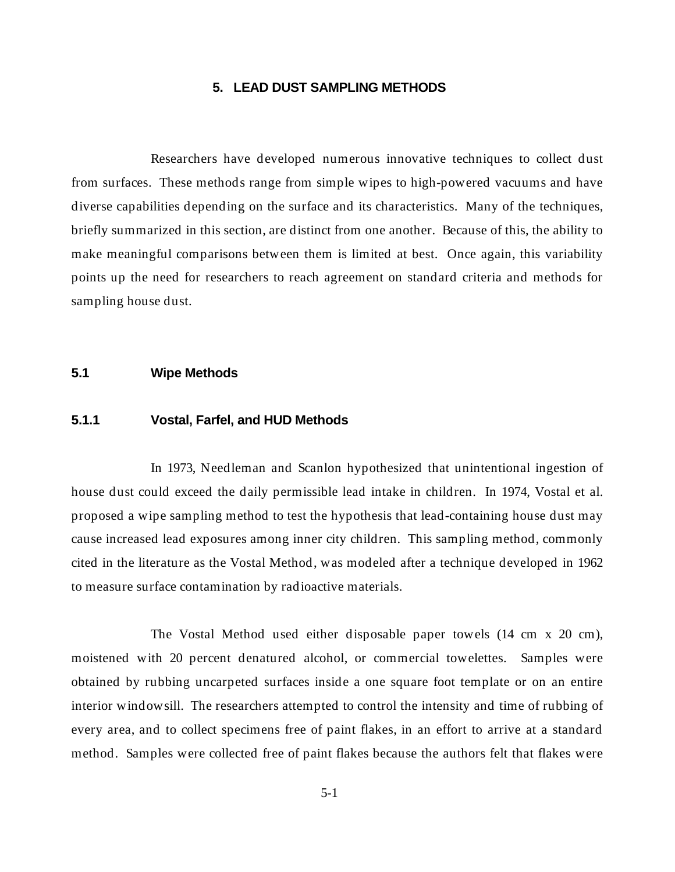# **5. LEAD DUST SAMPLING METHODS**

Researchers have developed numerous innovative techniques to collect dust from surfaces. These methods range from simple wipes to high-powered vacuums and have diverse capabilities depending on the surface and its characteristics. Many of the techniques, briefly summarized in this section, are distinct from one another. Because of this, the ability to make meaningful comparisons between them is limited at best. Once again, this variability points up the need for researchers to reach agreement on standard criteria and methods for sampling house dust.

#### **5.1 Wipe Methods**

# **5.1.1 Vostal, Farfel, and HUD Methods**

In 1973, Needleman and Scanlon hypothesized that unintentional ingestion of house dust could exceed the daily permissible lead intake in children. In 1974, Vostal et al. proposed a wipe sampling method to test the hypothesis that lead-containing house dust may cause increased lead exposures among inner city children. This sampling method, commonly cited in the literature as the Vostal Method, was modeled after a technique developed in 1962 to measure surface contamination by radioactive materials.

The Vostal Method used either disposable paper towels (14 cm x 20 cm), moistened with 20 percent denatured alcohol, or commercial towelettes. Samples were obtained by rubbing uncarpeted surfaces inside a one square foot template or on an entire interior windowsill. The researchers attempted to control the intensity and time of rubbing of every area, and to collect specimens free of paint flakes, in an effort to arrive at a standard method. Samples were collected free of paint flakes because the authors felt that flakes were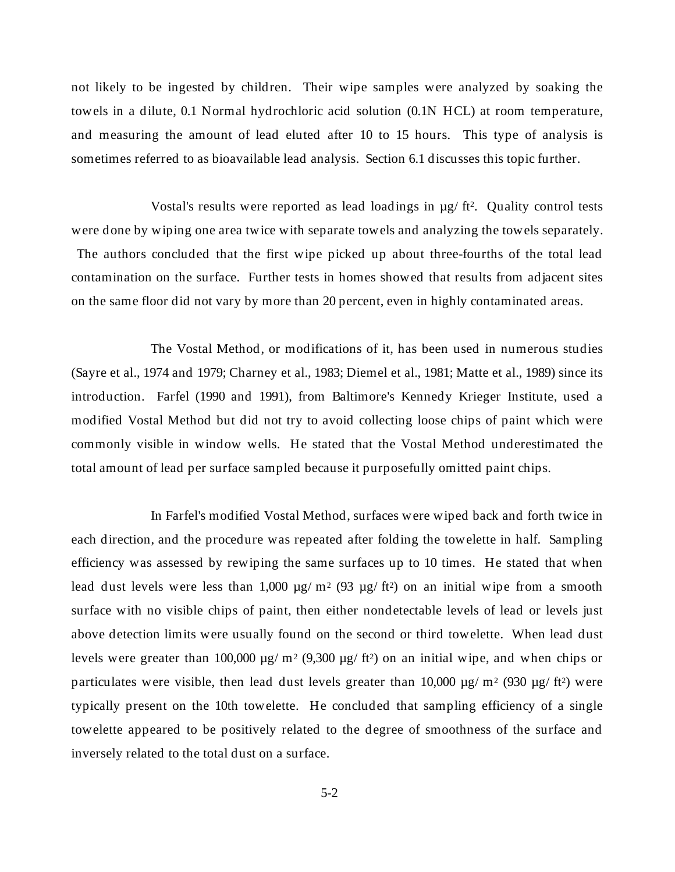not likely to be ingested by children. Their wipe samples were analyzed by soaking the towels in a dilute, 0.1 Normal hydrochloric acid solution (0.1N HCL) at room temperature, and measuring the amount of lead eluted after 10 to 15 hours. This type of analysis is sometimes referred to as bioavailable lead analysis. Section 6.1 discusses this topic further.

Vostal's results were reported as lead loadings in  $\mu$ g/ ft<sup>2</sup>. Quality control tests were done by wiping one area twice with separate towels and analyzing the towels separately. The authors concluded that the first wipe picked up about three-fourths of the total lead contamination on the surface. Further tests in homes showed that results from adjacent sites on the same floor did not vary by more than 20 percent, even in highly contaminated areas.

The Vostal Method, or modifications of it, has been used in numerous studies (Sayre et al., 1974 and 1979; Charney et al., 1983; Diemel et al., 1981; Matte et al., 1989) since its introduction. Farfel (1990 and 1991), from Baltimore's Kennedy Krieger Institute, used a modified Vostal Method but did not try to avoid collecting loose chips of paint which were commonly visible in window wells. He stated that the Vostal Method underestimated the total amount of lead per surface sampled because it purposefully omitted paint chips.

In Farfel's modified Vostal Method, surfaces were wiped back and forth twice in each direction, and the procedure was repeated after folding the towelette in half. Sampling efficiency was assessed by rewiping the same surfaces up to 10 times. He stated that when lead dust levels were less than 1,000  $\mu$ g/ m<sup>2</sup> (93  $\mu$ g/ ft<sup>2</sup>) on an initial wipe from a smooth surface with no visible chips of paint, then either nondetectable levels of lead or levels just above detection limits were usually found on the second or third towelette. When lead dust levels were greater than 100,000  $\mu$ g/ m<sup>2</sup> (9,300  $\mu$ g/ ft<sup>2</sup>) on an initial wipe, and when chips or particulates were visible, then lead dust levels greater than  $10,000 \mu g/m^2$  (930  $\mu g/ft^2$ ) were typically present on the 10th towelette. He concluded that sampling efficiency of a single towelette appeared to be positively related to the degree of smoothness of the surface and inversely related to the total dust on a surface.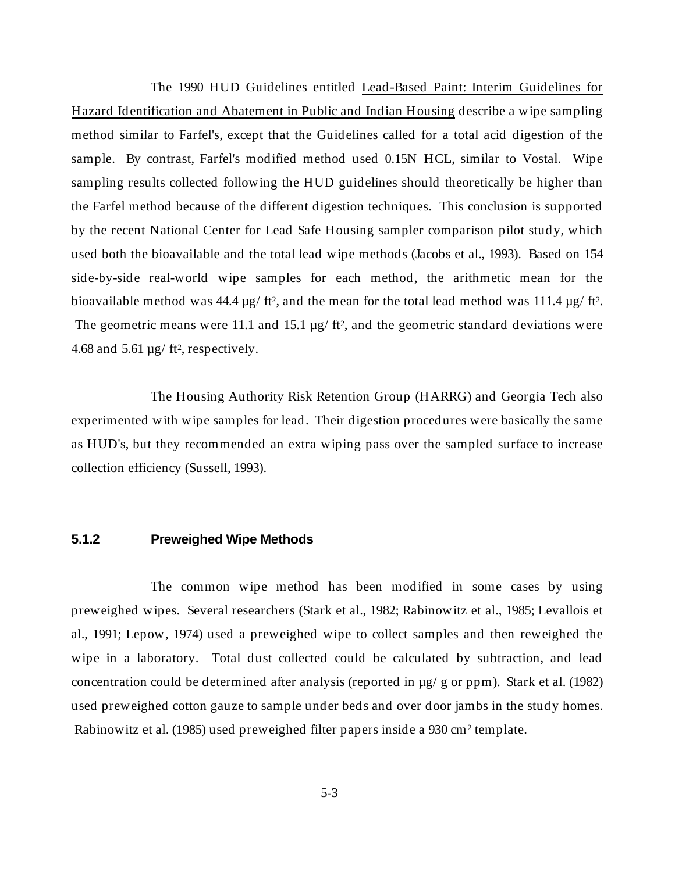The 1990 HUD Guidelines entitled Lead-Based Paint: Interim Guidelines for Hazard Identification and Abatement in Public and Indian Housing describe a wipe sampling method similar to Farfel's, except that the Guidelines called for a total acid digestion of the sample. By contrast, Farfel's modified method used 0.15N HCL, similar to Vostal. Wipe sampling results collected following the HUD guidelines should theoretically be higher than the Farfel method because of the different digestion techniques. This conclusion is supported by the recent National Center for Lead Safe Housing sampler comparison pilot study, which used both the bioavailable and the total lead wipe methods (Jacobs et al., 1993). Based on 154 side-by-side real-world wipe samples for each method, the arithmetic mean for the bioavailable method was 44.4  $\mu$ g/ ft<sup>2</sup>, and the mean for the total lead method was 111.4  $\mu$ g/ ft<sup>2</sup>. The geometric means were 11.1 and 15.1  $\mu$ g/ ft<sup>2</sup>, and the geometric standard deviations were 4.68 and 5.61  $\mu$ g/ ft<sup>2</sup>, respectively.

The Housing Authority Risk Retention Group (HARRG) and Georgia Tech also experimented with wipe samples for lead. Their digestion procedures were basically the same as HUD's, but they recommended an extra wiping pass over the sampled surface to increase collection efficiency (Sussell, 1993).

### **5.1.2 Preweighed Wipe Methods**

The common wipe method has been modified in some cases by using preweighed wipes. Several researchers (Stark et al., 1982; Rabinowitz et al., 1985; Levallois et al., 1991; Lepow, 1974) used a preweighed wipe to collect samples and then reweighed the wipe in a laboratory. Total dust collected could be calculated by subtraction, and lead concentration could be determined after analysis (reported in µg/ g or ppm). Stark et al. (1982) used preweighed cotton gauze to sample under beds and over door jambs in the study homes. Rabinowitz et al. (1985) used preweighed filter papers inside a 930 cm2 template.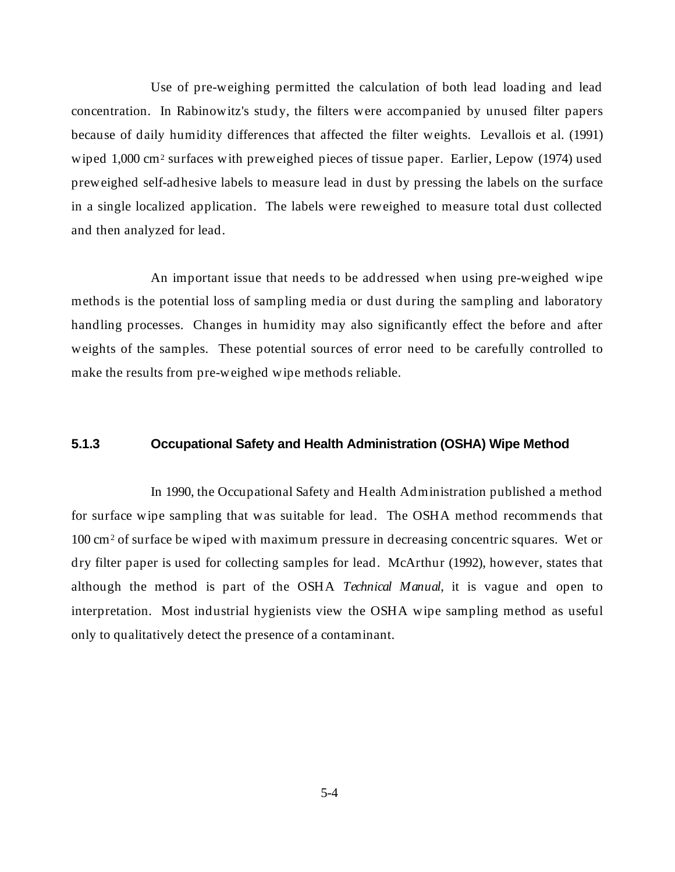Use of pre-weighing permitted the calculation of both lead loading and lead concentration. In Rabinowitz's study, the filters were accompanied by unused filter papers because of daily humidity differences that affected the filter weights. Levallois et al. (1991) wiped 1,000 cm<sup>2</sup> surfaces with preweighed pieces of tissue paper. Earlier, Lepow (1974) used preweighed self-adhesive labels to measure lead in dust by pressing the labels on the surface in a single localized application. The labels were reweighed to measure total dust collected and then analyzed for lead.

An important issue that needs to be addressed when using pre-weighed wipe methods is the potential loss of sampling media or dust during the sampling and laboratory handling processes. Changes in humidity may also significantly effect the before and after weights of the samples. These potential sources of error need to be carefully controlled to make the results from pre-weighed wipe methods reliable.

# **5.1.3 Occupational Safety and Health Administration (OSHA) Wipe Method**

In 1990, the Occupational Safety and Health Administration published a method for surface wipe sampling that was suitable for lead. The OSHA method recommends that 100 cm2 of surface be wiped with maximum pressure in decreasing concentric squares. Wet or dry filter paper is used for collecting samples for lead. McArthur (1992), however, states that although the method is part of the OSHA *Technical Manual*, it is vague and open to interpretation. Most industrial hygienists view the OSHA wipe sampling method as useful only to qualitatively detect the presence of a contaminant.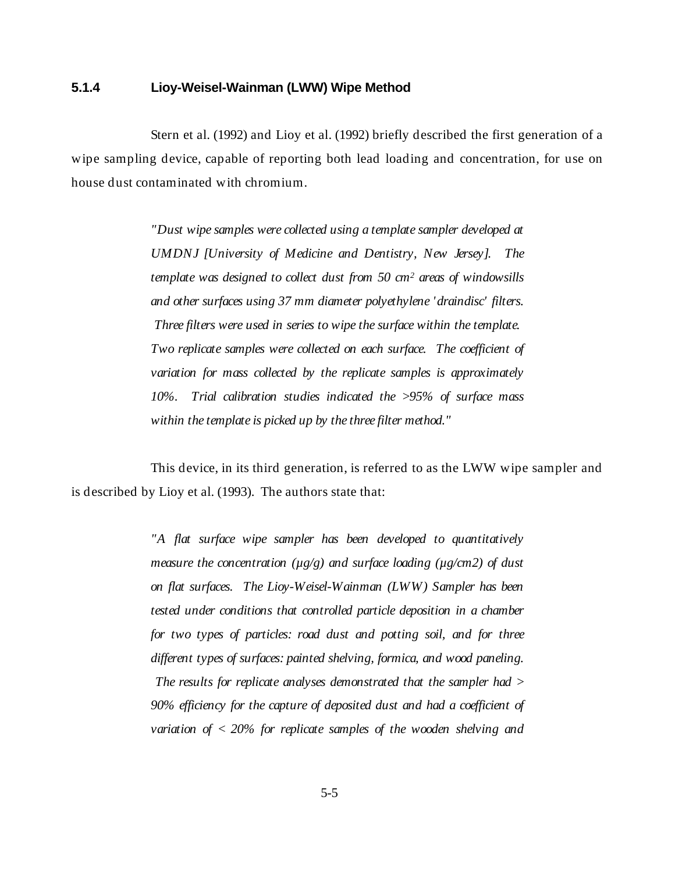# **5.1.4 Lioy-Weisel-Wainman (LWW) Wipe Method**

Stern et al. (1992) and Lioy et al. (1992) briefly described the first generation of a wipe sampling device, capable of reporting both lead loading and concentration, for use on house dust contaminated with chromium.

> *"Dust wipe samples were collected using a template sampler developed at UMDNJ [University of Medicine and Dentistry, New Jersey]. The template was designed to collect dust from 50 cm2 areas of windowsills and other surfaces using 37 mm diameter polyethylene 'draindisc' filters. Three filters were used in series to wipe the surface within the template. Two replicate samples were collected on each surface. The coefficient of variation for mass collected by the replicate samples is approximately 10%. Trial calibration studies indicated the >95% of surface mass within the template is picked up by the three filter method."*

This device, in its third generation, is referred to as the LWW wipe sampler and is described by Lioy et al. (1993). The authors state that:

> *"A flat surface wipe sampler has been developed to quantitatively measure the concentration (µg/g) and surface loading (µg/cm2) of dust on flat surfaces. The Lioy-Weisel-Wainman (LWW) Sampler has been tested under conditions that controlled particle deposition in a chamber for two types of particles: road dust and potting soil, and for three different types of surfaces: painted shelving, formica, and wood paneling. The results for replicate analyses demonstrated that the sampler had > 90% efficiency for the capture of deposited dust and had a coefficient of variation of < 20% for replicate samples of the wooden shelving and*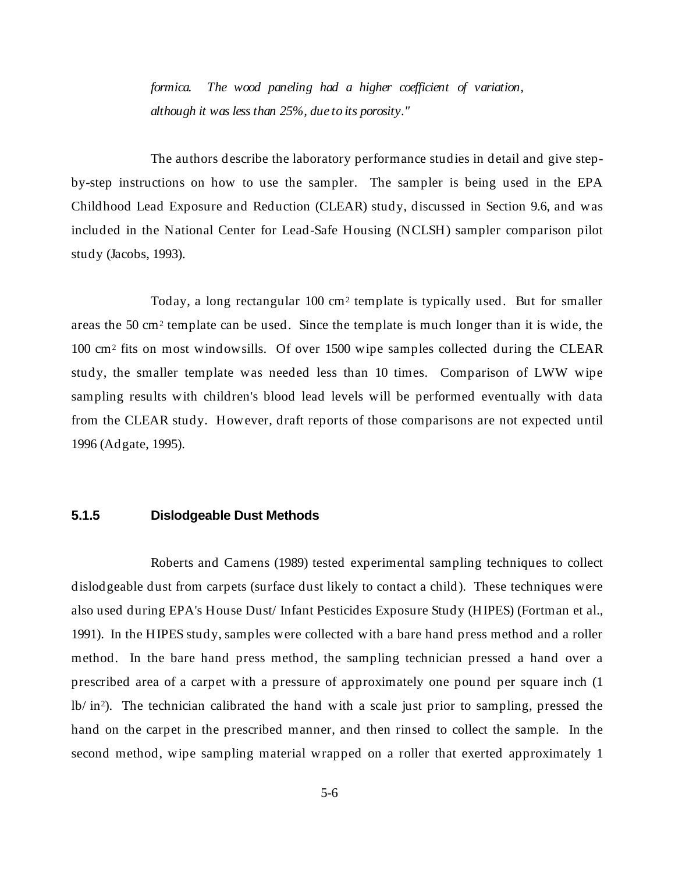*formica. The wood paneling had a higher coefficient of variation, although it was less than 25%, due to its porosity."*

The authors describe the laboratory performance studies in detail and give stepby-step instructions on how to use the sampler. The sampler is being used in the EPA Childhood Lead Exposure and Reduction (CLEAR) study, discussed in Section 9.6, and was included in the National Center for Lead-Safe Housing (NCLSH) sampler comparison pilot study (Jacobs, 1993).

Today, a long rectangular 100 cm2 template is typically used. But for smaller areas the 50 cm2 template can be used. Since the template is much longer than it is wide, the 100 cm2 fits on most windowsills. Of over 1500 wipe samples collected during the CLEAR study, the smaller template was needed less than 10 times. Comparison of LWW wipe sampling results with children's blood lead levels will be performed eventually with data from the CLEAR study. However, draft reports of those comparisons are not expected until 1996 (Adgate, 1995).

#### **5.1.5 Dislodgeable Dust Methods**

Roberts and Camens (1989) tested experimental sampling techniques to collect dislodgeable dust from carpets (surface dust likely to contact a child). These techniques were also used during EPA's House Dust/ Infant Pesticides Exposure Study (HIPES) (Fortman et al., 1991). In the HIPES study, samples were collected with a bare hand press method and a roller method. In the bare hand press method, the sampling technician pressed a hand over a prescribed area of a carpet with a pressure of approximately one pound per square inch (1  $\frac{1}{b}$  in<sup>2</sup>). The technician calibrated the hand with a scale just prior to sampling, pressed the hand on the carpet in the prescribed manner, and then rinsed to collect the sample. In the second method, wipe sampling material wrapped on a roller that exerted approximately 1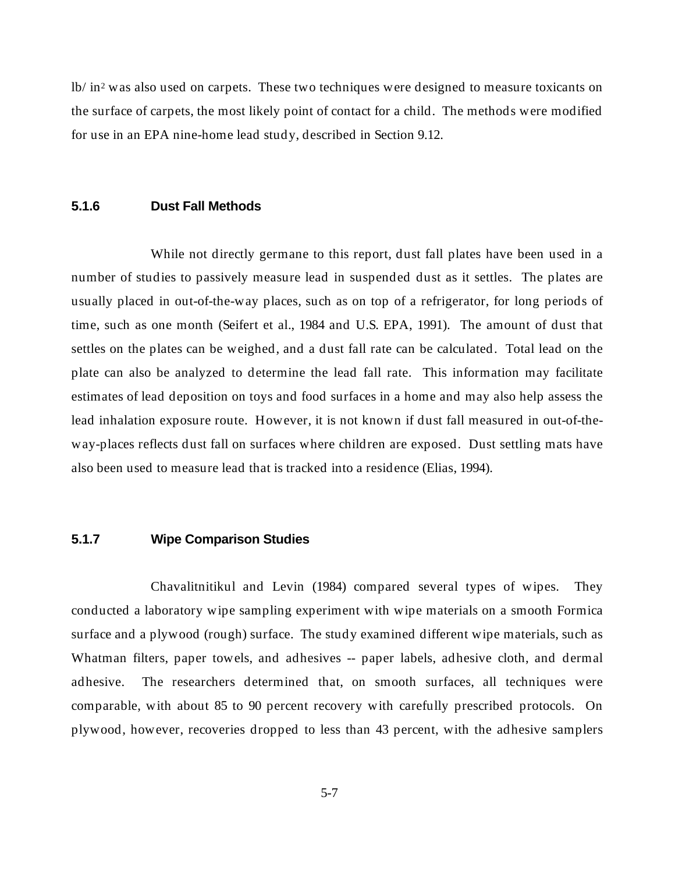lb/ in2 was also used on carpets. These two techniques were designed to measure toxicants on the surface of carpets, the most likely point of contact for a child. The methods were modified for use in an EPA nine-home lead study, described in Section 9.12.

#### **5.1.6 Dust Fall Methods**

While not directly germane to this report, dust fall plates have been used in a number of studies to passively measure lead in suspended dust as it settles. The plates are usually placed in out-of-the-way places, such as on top of a refrigerator, for long periods of time, such as one month (Seifert et al., 1984 and U.S. EPA, 1991). The amount of dust that settles on the plates can be weighed, and a dust fall rate can be calculated. Total lead on the plate can also be analyzed to determine the lead fall rate. This information may facilitate estimates of lead deposition on toys and food surfaces in a home and may also help assess the lead inhalation exposure route. However, it is not known if dust fall measured in out-of-theway-places reflects dust fall on surfaces where children are exposed. Dust settling mats have also been used to measure lead that is tracked into a residence (Elias, 1994).

### **5.1.7 Wipe Comparison Studies**

Chavalitnitikul and Levin (1984) compared several types of wipes. They conducted a laboratory wipe sampling experiment with wipe materials on a smooth Formica surface and a plywood (rough) surface. The study examined different wipe materials, such as Whatman filters, paper towels, and adhesives -- paper labels, adhesive cloth, and dermal adhesive. The researchers determined that, on smooth surfaces, all techniques were comparable, with about 85 to 90 percent recovery with carefully prescribed protocols. On plywood, however, recoveries dropped to less than 43 percent, with the adhesive samplers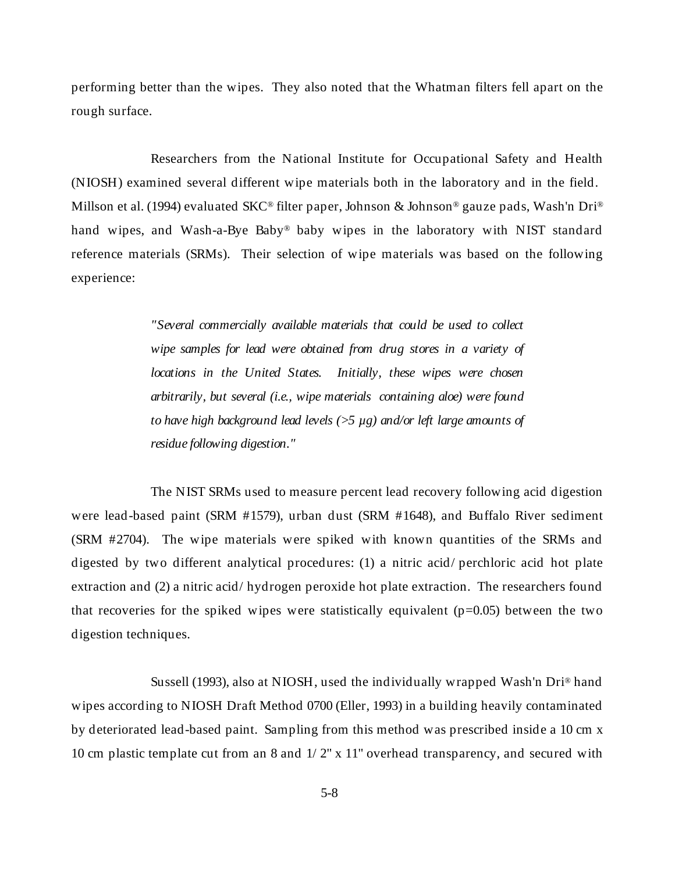performing better than the wipes. They also noted that the Whatman filters fell apart on the rough surface.

Researchers from the National Institute for Occupational Safety and Health (NIOSH) examined several different wipe materials both in the laboratory and in the field. Millson et al. (1994) evaluated SKC® filter paper, Johnson & Johnson® gauze pads, Wash'n Dri® hand wipes, and Wash-a-Bye Baby® baby wipes in the laboratory with NIST standard reference materials (SRMs). Their selection of wipe materials was based on the following experience:

> *"Several commercially available materials that could be used to collect wipe samples for lead were obtained from drug stores in a variety of locations in the United States. Initially, these wipes were chosen arbitrarily, but several (i.e., wipe materials containing aloe) were found to have high background lead levels (>5 µg) and/or left large amounts of residue following digestion."*

The NIST SRMs used to measure percent lead recovery following acid digestion were lead-based paint (SRM #1579), urban dust (SRM #1648), and Buffalo River sediment (SRM #2704). The wipe materials were spiked with known quantities of the SRMs and digested by two different analytical procedures: (1) a nitric acid/ perchloric acid hot plate extraction and (2) a nitric acid/ hydrogen peroxide hot plate extraction. The researchers found that recoveries for the spiked wipes were statistically equivalent  $(p=0.05)$  between the two digestion techniques.

Sussell (1993), also at NIOSH, used the individually wrapped Wash'n Dri® hand wipes according to NIOSH Draft Method 0700 (Eller, 1993) in a building heavily contaminated by deteriorated lead-based paint. Sampling from this method was prescribed inside a 10 cm x 10 cm plastic template cut from an 8 and 1/ 2" x 11" overhead transparency, and secured with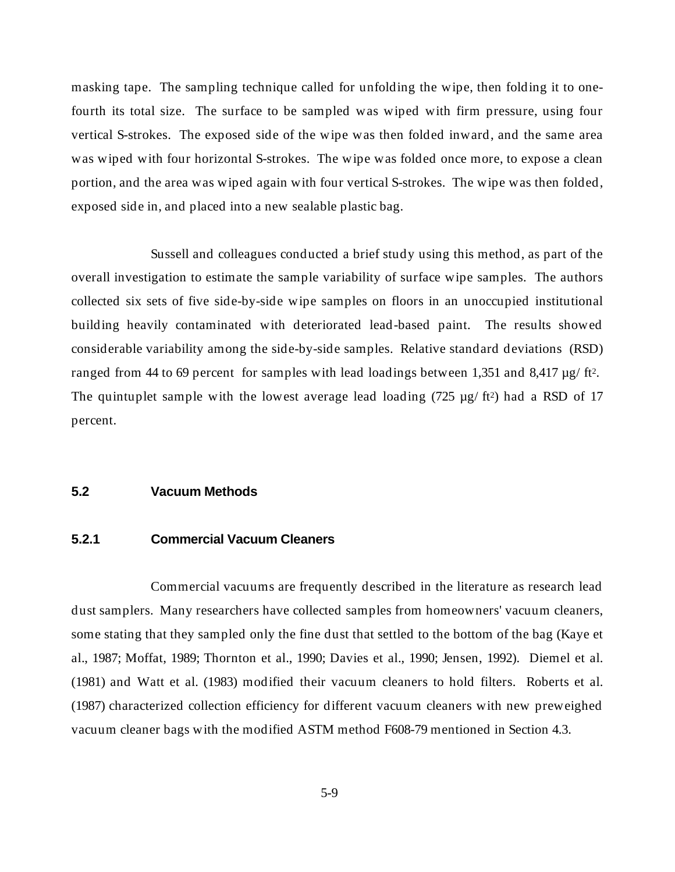masking tape. The sampling technique called for unfolding the wipe, then folding it to onefourth its total size. The surface to be sampled was wiped with firm pressure, using four vertical S-strokes. The exposed side of the wipe was then folded inward, and the same area was wiped with four horizontal S-strokes. The wipe was folded once more, to expose a clean portion, and the area was wiped again with four vertical S-strokes. The wipe was then folded, exposed side in, and placed into a new sealable plastic bag.

Sussell and colleagues conducted a brief study using this method, as part of the overall investigation to estimate the sample variability of surface wipe samples. The authors collected six sets of five side-by-side wipe samples on floors in an unoccupied institutional building heavily contaminated with deteriorated lead-based paint. The results showed considerable variability among the side-by-side samples. Relative standard deviations (RSD) ranged from 44 to 69 percent for samples with lead loadings between 1,351 and 8,417  $\mu$ g/ ft<sup>2</sup>. The quintuplet sample with the lowest average lead loading  $(725 \mu g / ft^2)$  had a RSD of 17 percent.

#### **5.2 Vacuum Methods**

# **5.2.1 Commercial Vacuum Cleaners**

Commercial vacuums are frequently described in the literature as research lead dust samplers. Many researchers have collected samples from homeowners' vacuum cleaners, some stating that they sampled only the fine dust that settled to the bottom of the bag (Kaye et al., 1987; Moffat, 1989; Thornton et al., 1990; Davies et al., 1990; Jensen, 1992). Diemel et al. (1981) and Watt et al. (1983) modified their vacuum cleaners to hold filters. Roberts et al. (1987) characterized collection efficiency for different vacuum cleaners with new preweighed vacuum cleaner bags with the modified ASTM method F608-79 mentioned in Section 4.3.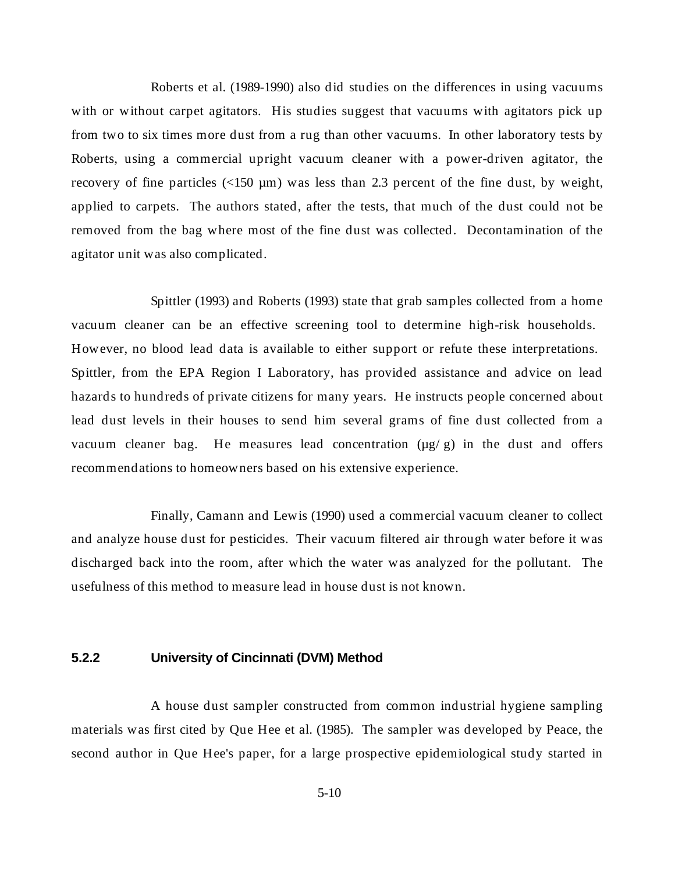Roberts et al. (1989-1990) also did studies on the differences in using vacuums with or without carpet agitators. His studies suggest that vacuums with agitators pick up from two to six times more dust from a rug than other vacuums. In other laboratory tests by Roberts, using a commercial upright vacuum cleaner with a power-driven agitator, the recovery of fine particles  $(150 \mu m)$  was less than 2.3 percent of the fine dust, by weight, applied to carpets. The authors stated, after the tests, that much of the dust could not be removed from the bag where most of the fine dust was collected. Decontamination of the agitator unit was also complicated.

Spittler (1993) and Roberts (1993) state that grab samples collected from a home vacuum cleaner can be an effective screening tool to determine high-risk households. However, no blood lead data is available to either support or refute these interpretations. Spittler, from the EPA Region I Laboratory, has provided assistance and advice on lead hazards to hundreds of private citizens for many years. He instructs people concerned about lead dust levels in their houses to send him several grams of fine dust collected from a vacuum cleaner bag. He measures lead concentration  $(\mu g/g)$  in the dust and offers recommendations to homeowners based on his extensive experience.

Finally, Camann and Lewis (1990) used a commercial vacuum cleaner to collect and analyze house dust for pesticides. Their vacuum filtered air through water before it was discharged back into the room, after which the water was analyzed for the pollutant. The usefulness of this method to measure lead in house dust is not known.

# **5.2.2 University of Cincinnati (DVM) Method**

A house dust sampler constructed from common industrial hygiene sampling materials was first cited by Que Hee et al. (1985). The sampler was developed by Peace, the second author in Que Hee's paper, for a large prospective epidemiological study started in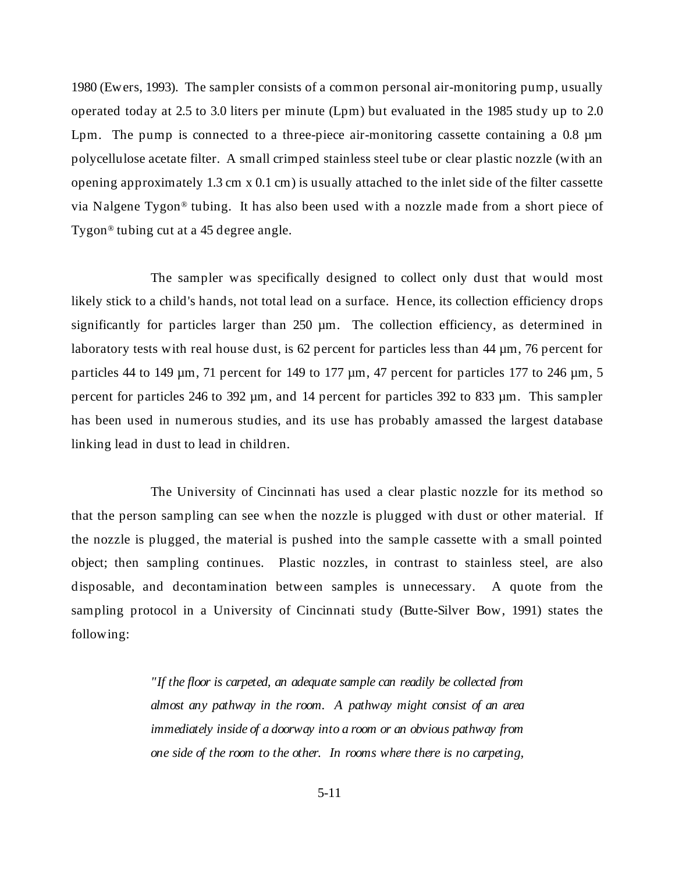1980 (Ewers, 1993). The sampler consists of a common personal air-monitoring pump, usually operated today at 2.5 to 3.0 liters per minute (Lpm) but evaluated in the 1985 study up to 2.0 Lpm. The pump is connected to a three-piece air-monitoring cassette containing a 0.8  $\mu$ m polycellulose acetate filter. A small crimped stainless steel tube or clear plastic nozzle (with an opening approximately 1.3 cm x 0.1 cm) is usually attached to the inlet side of the filter cassette via Nalgene Tygon® tubing. It has also been used with a nozzle made from a short piece of Tygon® tubing cut at a 45 degree angle.

The sampler was specifically designed to collect only dust that would most likely stick to a child's hands, not total lead on a surface. Hence, its collection efficiency drops significantly for particles larger than 250  $\mu$ m. The collection efficiency, as determined in laboratory tests with real house dust, is 62 percent for particles less than 44  $\mu$ m, 76 percent for particles 44 to 149  $\mu$ m, 71 percent for 149 to 177  $\mu$ m, 47 percent for particles 177 to 246  $\mu$ m, 5 percent for particles 246 to 392 µm, and 14 percent for particles 392 to 833 µm. This sampler has been used in numerous studies, and its use has probably amassed the largest database linking lead in dust to lead in children.

The University of Cincinnati has used a clear plastic nozzle for its method so that the person sampling can see when the nozzle is plugged with dust or other material. If the nozzle is plugged, the material is pushed into the sample cassette with a small pointed object; then sampling continues. Plastic nozzles, in contrast to stainless steel, are also disposable, and decontamination between samples is unnecessary. A quote from the sampling protocol in a University of Cincinnati study (Butte-Silver Bow, 1991) states the following:

> *"If the floor is carpeted, an adequate sample can readily be collected from almost any pathway in the room. A pathway might consist of an area immediately inside of a doorway into a room or an obvious pathway from one side of the room to the other. In rooms where there is no carpeting,*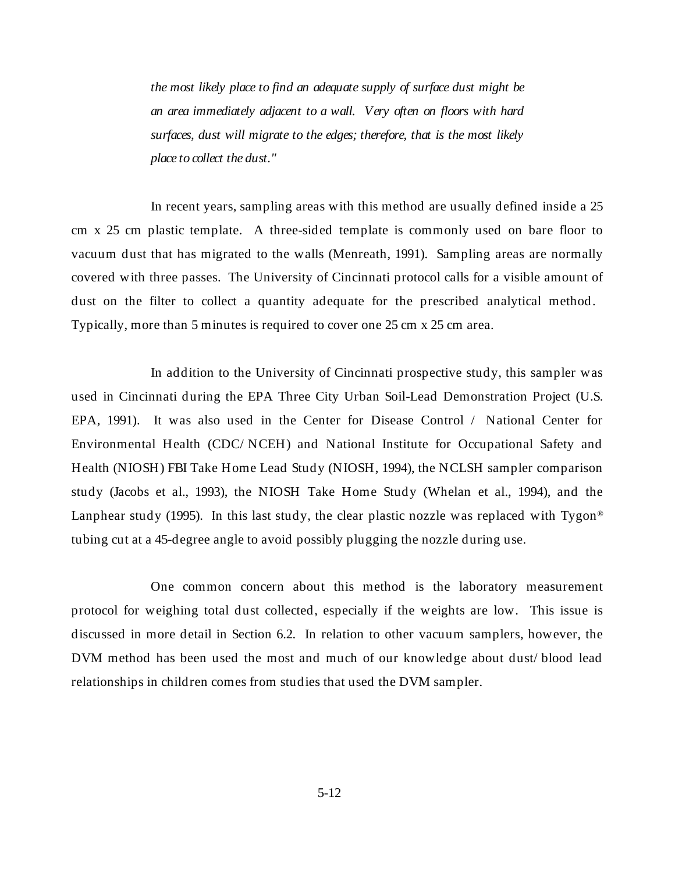*the most likely place to find an adequate supply of surface dust might be an area immediately adjacent to a wall. Very often on floors with hard surfaces, dust will migrate to the edges; therefore, that is the most likely place to collect the dust."*

In recent years, sampling areas with this method are usually defined inside a 25 cm x 25 cm plastic template. A three-sided template is commonly used on bare floor to vacuum dust that has migrated to the walls (Menreath, 1991). Sampling areas are normally covered with three passes. The University of Cincinnati protocol calls for a visible amount of dust on the filter to collect a quantity adequate for the prescribed analytical method. Typically, more than 5 minutes is required to cover one 25 cm x 25 cm area.

In addition to the University of Cincinnati prospective study, this sampler was used in Cincinnati during the EPA Three City Urban Soil-Lead Demonstration Project (U.S. EPA, 1991). It was also used in the Center for Disease Control / National Center for Environmental Health (CDC/ NCEH) and National Institute for Occupational Safety and Health (NIOSH) FBI Take Home Lead Study (NIOSH, 1994), the NCLSH sampler comparison study (Jacobs et al., 1993), the NIOSH Take Home Study (Whelan et al., 1994), and the Lanphear study (1995). In this last study, the clear plastic nozzle was replaced with Tygon<sup>®</sup> tubing cut at a 45-degree angle to avoid possibly plugging the nozzle during use.

One common concern about this method is the laboratory measurement protocol for weighing total dust collected, especially if the weights are low. This issue is discussed in more detail in Section 6.2. In relation to other vacuum samplers, however, the DVM method has been used the most and much of our knowledge about dust/ blood lead relationships in children comes from studies that used the DVM sampler.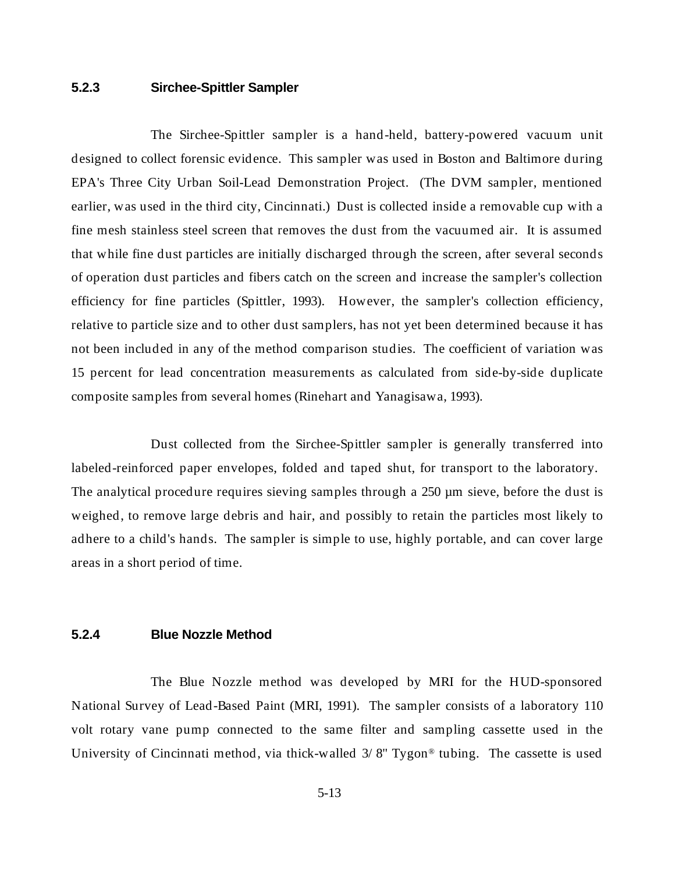# **5.2.3 Sirchee-Spittler Sampler**

The Sirchee-Spittler sampler is a hand-held, battery-powered vacuum unit designed to collect forensic evidence. This sampler was used in Boston and Baltimore during EPA's Three City Urban Soil-Lead Demonstration Project. (The DVM sampler, mentioned earlier, was used in the third city, Cincinnati.) Dust is collected inside a removable cup with a fine mesh stainless steel screen that removes the dust from the vacuumed air. It is assumed that while fine dust particles are initially discharged through the screen, after several seconds of operation dust particles and fibers catch on the screen and increase the sampler's collection efficiency for fine particles (Spittler, 1993). However, the sampler's collection efficiency, relative to particle size and to other dust samplers, has not yet been determined because it has not been included in any of the method comparison studies. The coefficient of variation was 15 percent for lead concentration measurements as calculated from side-by-side duplicate composite samples from several homes (Rinehart and Yanagisawa, 1993).

Dust collected from the Sirchee-Spittler sampler is generally transferred into labeled-reinforced paper envelopes, folded and taped shut, for transport to the laboratory. The analytical procedure requires sieving samples through a 250 µm sieve, before the dust is weighed, to remove large debris and hair, and possibly to retain the particles most likely to adhere to a child's hands. The sampler is simple to use, highly portable, and can cover large areas in a short period of time.

# **5.2.4 Blue Nozzle Method**

The Blue Nozzle method was developed by MRI for the HUD-sponsored National Survey of Lead-Based Paint (MRI, 1991). The sampler consists of a laboratory 110 volt rotary vane pump connected to the same filter and sampling cassette used in the University of Cincinnati method, via thick-walled 3/ 8" Tygon® tubing. The cassette is used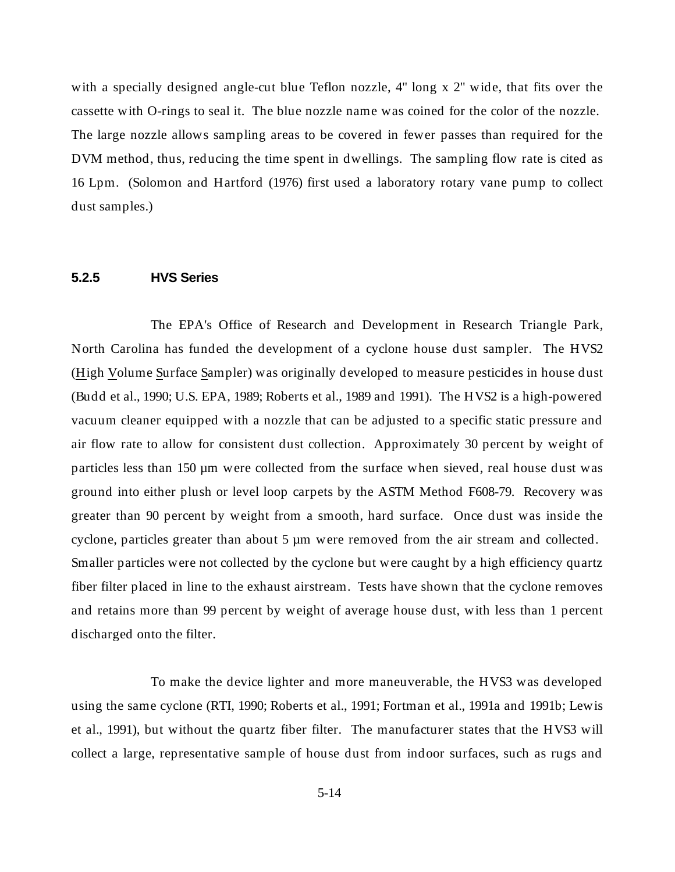with a specially designed angle-cut blue Teflon nozzle, 4" long x 2" wide, that fits over the cassette with O-rings to seal it. The blue nozzle name was coined for the color of the nozzle. The large nozzle allows sampling areas to be covered in fewer passes than required for the DVM method, thus, reducing the time spent in dwellings. The sampling flow rate is cited as 16 Lpm. (Solomon and Hartford (1976) first used a laboratory rotary vane pump to collect dust samples.)

## **5.2.5 HVS Series**

The EPA's Office of Research and Development in Research Triangle Park, North Carolina has funded the development of a cyclone house dust sampler. The HVS2 (High Volume Surface Sampler) was originally developed to measure pesticides in house dust (Budd et al., 1990; U.S. EPA, 1989; Roberts et al., 1989 and 1991). The HVS2 is a high-powered vacuum cleaner equipped with a nozzle that can be adjusted to a specific static pressure and air flow rate to allow for consistent dust collection. Approximately 30 percent by weight of particles less than 150 µm were collected from the surface when sieved, real house dust was ground into either plush or level loop carpets by the ASTM Method F608-79. Recovery was greater than 90 percent by weight from a smooth, hard surface. Once dust was inside the cyclone, particles greater than about 5  $\mu$ m were removed from the air stream and collected. Smaller particles were not collected by the cyclone but were caught by a high efficiency quartz fiber filter placed in line to the exhaust airstream. Tests have shown that the cyclone removes and retains more than 99 percent by weight of average house dust, with less than 1 percent discharged onto the filter.

To make the device lighter and more maneuverable, the HVS3 was developed using the same cyclone (RTI, 1990; Roberts et al., 1991; Fortman et al., 1991a and 1991b; Lewis et al., 1991), but without the quartz fiber filter. The manufacturer states that the HVS3 will collect a large, representative sample of house dust from indoor surfaces, such as rugs and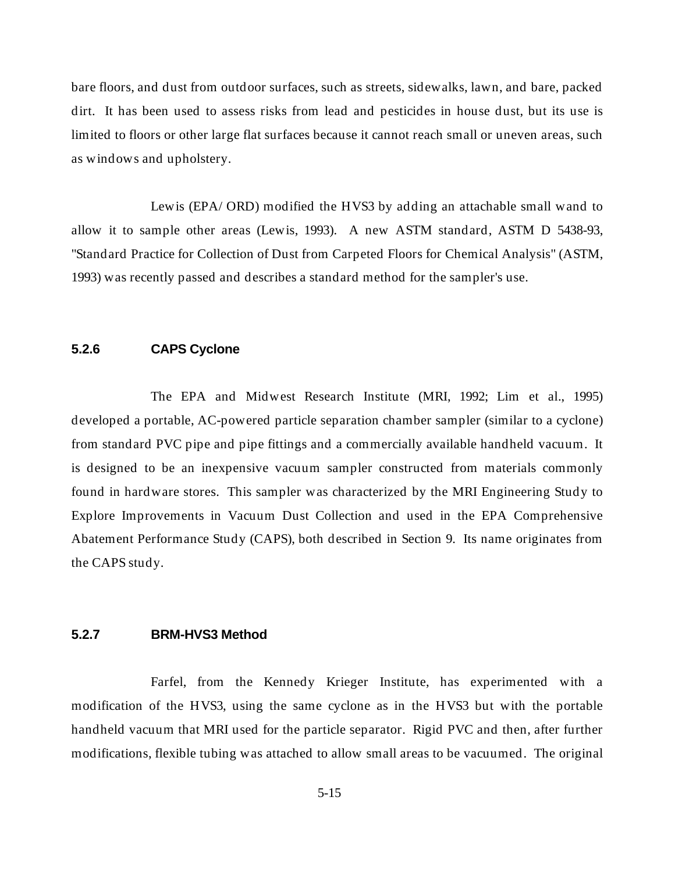bare floors, and dust from outdoor surfaces, such as streets, sidewalks, lawn, and bare, packed dirt. It has been used to assess risks from lead and pesticides in house dust, but its use is limited to floors or other large flat surfaces because it cannot reach small or uneven areas, such as windows and upholstery.

Lewis (EPA/ ORD) modified the HVS3 by adding an attachable small wand to allow it to sample other areas (Lewis, 1993). A new ASTM standard, ASTM D 5438-93, "Standard Practice for Collection of Dust from Carpeted Floors for Chemical Analysis" (ASTM, 1993) was recently passed and describes a standard method for the sampler's use.

# **5.2.6 CAPS Cyclone**

The EPA and Midwest Research Institute (MRI, 1992; Lim et al., 1995) developed a portable, AC-powered particle separation chamber sampler (similar to a cyclone) from standard PVC pipe and pipe fittings and a commercially available handheld vacuum. It is designed to be an inexpensive vacuum sampler constructed from materials commonly found in hardware stores. This sampler was characterized by the MRI Engineering Study to Explore Improvements in Vacuum Dust Collection and used in the EPA Comprehensive Abatement Performance Study (CAPS), both described in Section 9. Its name originates from the CAPS study.

#### **5.2.7 BRM-HVS3 Method**

Farfel, from the Kennedy Krieger Institute, has experimented with a modification of the HVS3, using the same cyclone as in the HVS3 but with the portable handheld vacuum that MRI used for the particle separator. Rigid PVC and then, after further modifications, flexible tubing was attached to allow small areas to be vacuumed. The original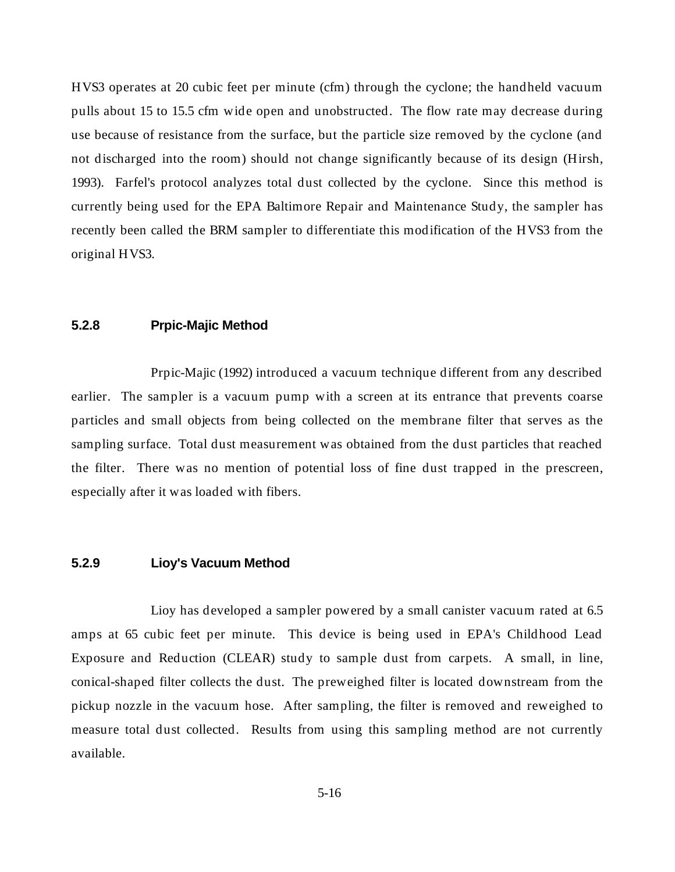HVS3 operates at 20 cubic feet per minute (cfm) through the cyclone; the handheld vacuum pulls about 15 to 15.5 cfm wide open and unobstructed. The flow rate may decrease during use because of resistance from the surface, but the particle size removed by the cyclone (and not discharged into the room) should not change significantly because of its design (Hirsh, 1993). Farfel's protocol analyzes total dust collected by the cyclone. Since this method is currently being used for the EPA Baltimore Repair and Maintenance Study, the sampler has recently been called the BRM sampler to differentiate this modification of the HVS3 from the original HVS3.

#### **5.2.8 Prpic-Majic Method**

Prpic-Majic (1992) introduced a vacuum technique different from any described earlier. The sampler is a vacuum pump with a screen at its entrance that prevents coarse particles and small objects from being collected on the membrane filter that serves as the sampling surface. Total dust measurement was obtained from the dust particles that reached the filter. There was no mention of potential loss of fine dust trapped in the prescreen, especially after it was loaded with fibers.

#### **5.2.9 Lioy's Vacuum Method**

Lioy has developed a sampler powered by a small canister vacuum rated at 6.5 amps at 65 cubic feet per minute. This device is being used in EPA's Childhood Lead Exposure and Reduction (CLEAR) study to sample dust from carpets. A small, in line, conical-shaped filter collects the dust. The preweighed filter is located downstream from the pickup nozzle in the vacuum hose. After sampling, the filter is removed and reweighed to measure total dust collected. Results from using this sampling method are not currently available.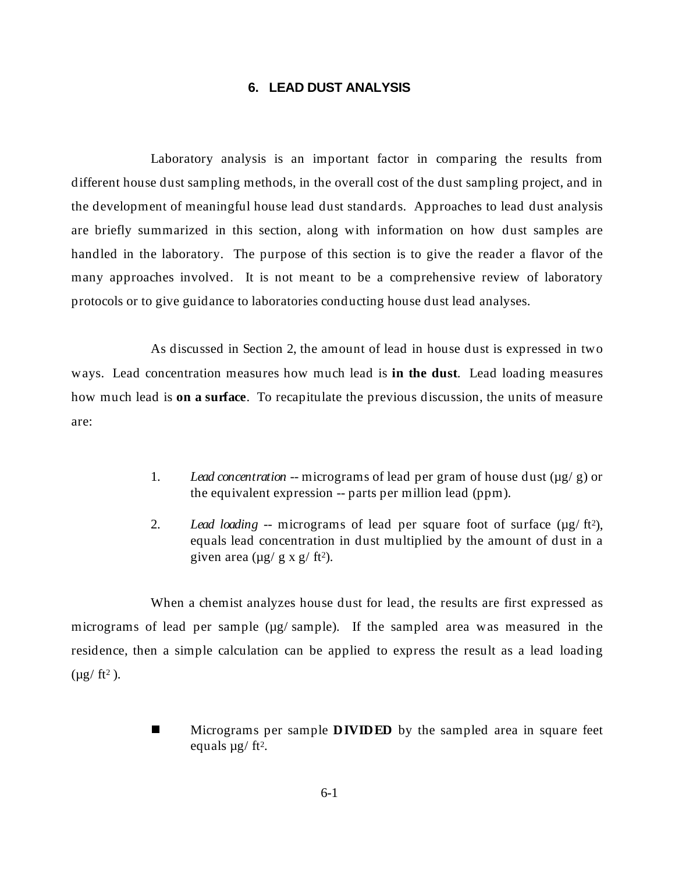# **6. LEAD DUST ANALYSIS**

Laboratory analysis is an important factor in comparing the results from different house dust sampling methods, in the overall cost of the dust sampling project, and in the development of meaningful house lead dust standards. Approaches to lead dust analysis are briefly summarized in this section, along with information on how dust samples are handled in the laboratory. The purpose of this section is to give the reader a flavor of the many approaches involved. It is not meant to be a comprehensive review of laboratory protocols or to give guidance to laboratories conducting house dust lead analyses.

As discussed in Section 2, the amount of lead in house dust is expressed in two ways. Lead concentration measures how much lead is **in the dust**. Lead loading measures how much lead is **on a surface**. To recapitulate the previous discussion, the units of measure are:

- 1. *Lead concentration* -- micrograms of lead per gram of house dust (µg/ g) or the equivalent expression -- parts per million lead (ppm).
- 2. *Lead loading* -- micrograms of lead per square foot of surface (µg/ ft2), equals lead concentration in dust multiplied by the amount of dust in a given area  $(\mu g / g x g / ft^2)$ .

When a chemist analyzes house dust for lead, the results are first expressed as micrograms of lead per sample ( $\mu$ g/ sample). If the sampled area was measured in the residence, then a simple calculation can be applied to express the result as a lead loading  $(\mu g / ft^2)$ .

> n Micrograms per sample **DIVIDED** by the sampled area in square feet equals  $\mu$ g/ ft<sup>2</sup>.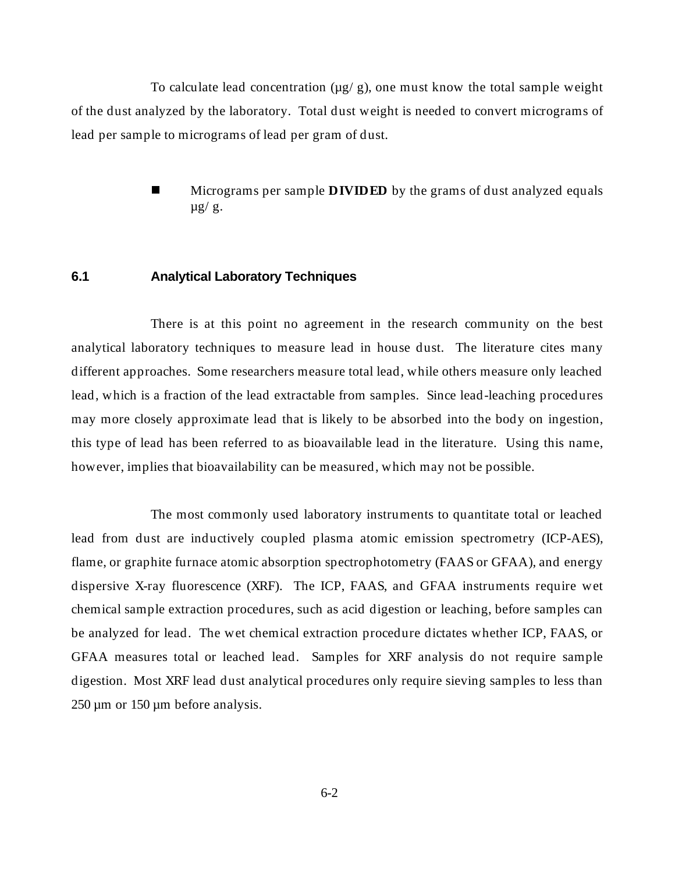To calculate lead concentration  $(\mu g / g)$ , one must know the total sample weight of the dust analyzed by the laboratory. Total dust weight is needed to convert micrograms of lead per sample to micrograms of lead per gram of dust.

> n Micrograms per sample **DIVIDED** by the grams of dust analyzed equals  $\mu$ g/g.

#### **6.1 Analytical Laboratory Techniques**

There is at this point no agreement in the research community on the best analytical laboratory techniques to measure lead in house dust. The literature cites many different approaches. Some researchers measure total lead, while others measure only leached lead, which is a fraction of the lead extractable from samples. Since lead-leaching procedures may more closely approximate lead that is likely to be absorbed into the body on ingestion, this type of lead has been referred to as bioavailable lead in the literature. Using this name, however, implies that bioavailability can be measured, which may not be possible.

The most commonly used laboratory instruments to quantitate total or leached lead from dust are inductively coupled plasma atomic emission spectrometry (ICP-AES), flame, or graphite furnace atomic absorption spectrophotometry (FAAS or GFAA), and energy dispersive X-ray fluorescence (XRF). The ICP, FAAS, and GFAA instruments require wet chemical sample extraction procedures, such as acid digestion or leaching, before samples can be analyzed for lead. The wet chemical extraction procedure dictates whether ICP, FAAS, or GFAA measures total or leached lead. Samples for XRF analysis do not require sample digestion. Most XRF lead dust analytical procedures only require sieving samples to less than 250 µm or 150 µm before analysis.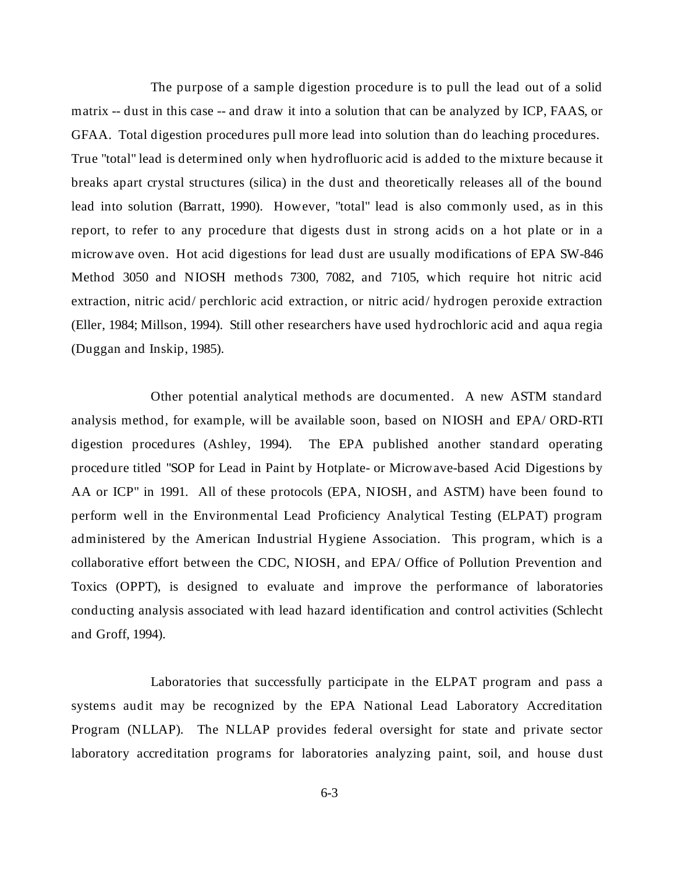The purpose of a sample digestion procedure is to pull the lead out of a solid matrix -- dust in this case -- and draw it into a solution that can be analyzed by ICP, FAAS, or GFAA. Total digestion procedures pull more lead into solution than do leaching procedures. True "total" lead is determined only when hydrofluoric acid is added to the mixture because it breaks apart crystal structures (silica) in the dust and theoretically releases all of the bound lead into solution (Barratt, 1990). However, "total" lead is also commonly used, as in this report, to refer to any procedure that digests dust in strong acids on a hot plate or in a microwave oven. Hot acid digestions for lead dust are usually modifications of EPA SW-846 Method 3050 and NIOSH methods 7300, 7082, and 7105, which require hot nitric acid extraction, nitric acid/ perchloric acid extraction, or nitric acid/ hydrogen peroxide extraction (Eller, 1984; Millson, 1994). Still other researchers have used hydrochloric acid and aqua regia (Duggan and Inskip, 1985).

Other potential analytical methods are documented. A new ASTM standard analysis method, for example, will be available soon, based on NIOSH and EPA/ ORD-RTI digestion procedures (Ashley, 1994). The EPA published another standard operating procedure titled "SOP for Lead in Paint by Hotplate- or Microwave-based Acid Digestions by AA or ICP" in 1991. All of these protocols (EPA, NIOSH, and ASTM) have been found to perform well in the Environmental Lead Proficiency Analytical Testing (ELPAT) program administered by the American Industrial Hygiene Association. This program, which is a collaborative effort between the CDC, NIOSH, and EPA/ Office of Pollution Prevention and Toxics (OPPT), is designed to evaluate and improve the performance of laboratories conducting analysis associated with lead hazard identification and control activities (Schlecht and Groff, 1994).

Laboratories that successfully participate in the ELPAT program and pass a systems audit may be recognized by the EPA National Lead Laboratory Accreditation Program (NLLAP). The NLLAP provides federal oversight for state and private sector laboratory accreditation programs for laboratories analyzing paint, soil, and house dust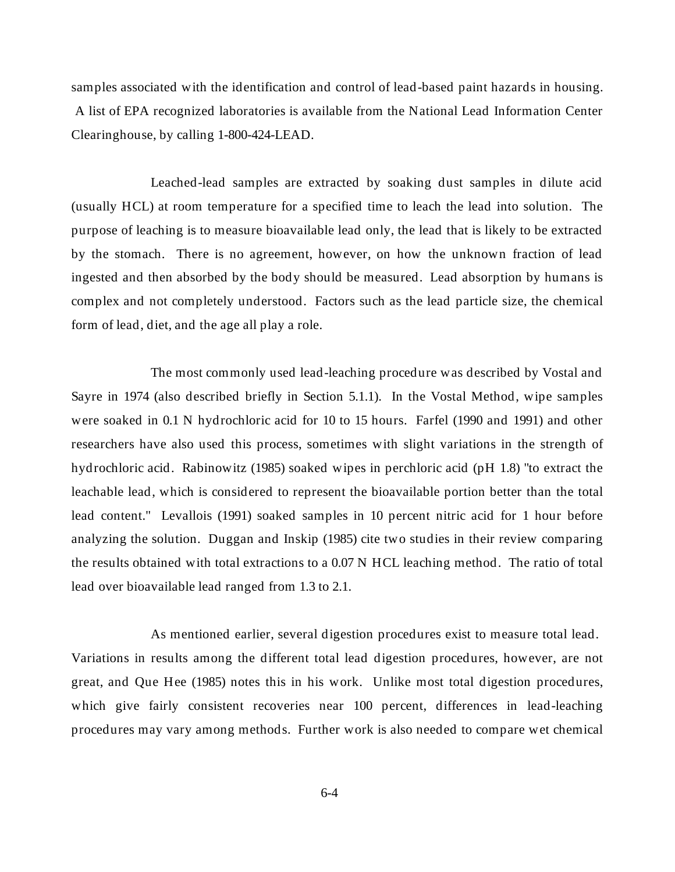samples associated with the identification and control of lead-based paint hazards in housing. A list of EPA recognized laboratories is available from the National Lead Information Center Clearinghouse, by calling 1-800-424-LEAD.

Leached-lead samples are extracted by soaking dust samples in dilute acid (usually HCL) at room temperature for a specified time to leach the lead into solution. The purpose of leaching is to measure bioavailable lead only, the lead that is likely to be extracted by the stomach. There is no agreement, however, on how the unknown fraction of lead ingested and then absorbed by the body should be measured. Lead absorption by humans is complex and not completely understood. Factors such as the lead particle size, the chemical form of lead, diet, and the age all play a role.

The most commonly used lead-leaching procedure was described by Vostal and Sayre in 1974 (also described briefly in Section 5.1.1). In the Vostal Method, wipe samples were soaked in 0.1 N hydrochloric acid for 10 to 15 hours. Farfel (1990 and 1991) and other researchers have also used this process, sometimes with slight variations in the strength of hydrochloric acid. Rabinowitz (1985) soaked wipes in perchloric acid (pH 1.8) "to extract the leachable lead, which is considered to represent the bioavailable portion better than the total lead content." Levallois (1991) soaked samples in 10 percent nitric acid for 1 hour before analyzing the solution. Duggan and Inskip (1985) cite two studies in their review comparing the results obtained with total extractions to a 0.07 N HCL leaching method. The ratio of total lead over bioavailable lead ranged from 1.3 to 2.1.

As mentioned earlier, several digestion procedures exist to measure total lead. Variations in results among the different total lead digestion procedures, however, are not great, and Que Hee (1985) notes this in his work. Unlike most total digestion procedures, which give fairly consistent recoveries near 100 percent, differences in lead-leaching procedures may vary among methods. Further work is also needed to compare wet chemical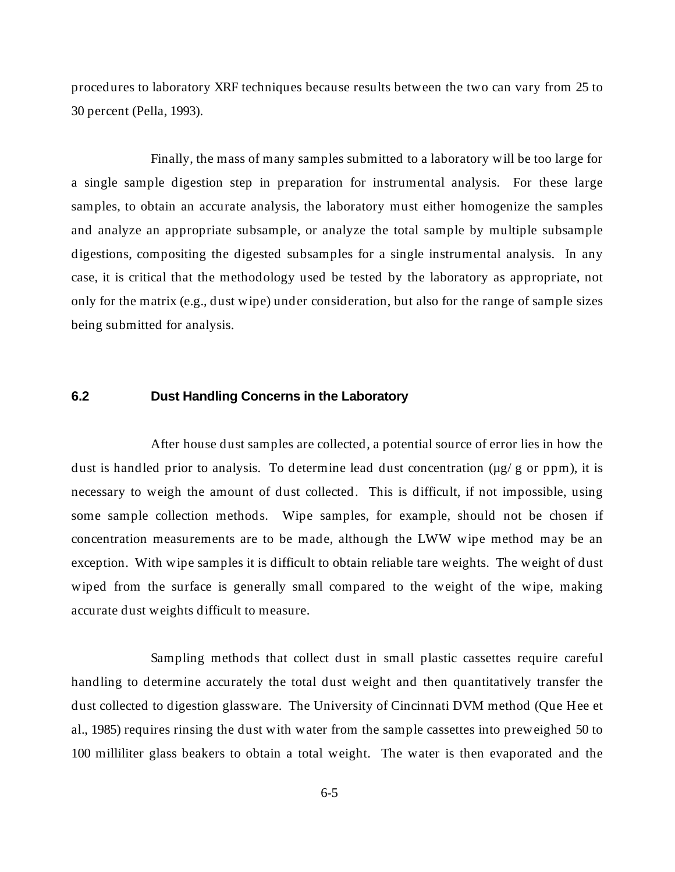procedures to laboratory XRF techniques because results between the two can vary from 25 to 30 percent (Pella, 1993).

Finally, the mass of many samples submitted to a laboratory will be too large for a single sample digestion step in preparation for instrumental analysis. For these large samples, to obtain an accurate analysis, the laboratory must either homogenize the samples and analyze an appropriate subsample, or analyze the total sample by multiple subsample digestions, compositing the digested subsamples for a single instrumental analysis. In any case, it is critical that the methodology used be tested by the laboratory as appropriate, not only for the matrix (e.g., dust wipe) under consideration, but also for the range of sample sizes being submitted for analysis.

### **6.2 Dust Handling Concerns in the Laboratory**

After house dust samples are collected, a potential source of error lies in how the dust is handled prior to analysis. To determine lead dust concentration ( $\mu$ g/g or ppm), it is necessary to weigh the amount of dust collected. This is difficult, if not impossible, using some sample collection methods. Wipe samples, for example, should not be chosen if concentration measurements are to be made, although the LWW wipe method may be an exception. With wipe samples it is difficult to obtain reliable tare weights. The weight of dust wiped from the surface is generally small compared to the weight of the wipe, making accurate dust weights difficult to measure.

Sampling methods that collect dust in small plastic cassettes require careful handling to determine accurately the total dust weight and then quantitatively transfer the dust collected to digestion glassware. The University of Cincinnati DVM method (Que Hee et al., 1985) requires rinsing the dust with water from the sample cassettes into preweighed 50 to 100 milliliter glass beakers to obtain a total weight. The water is then evaporated and the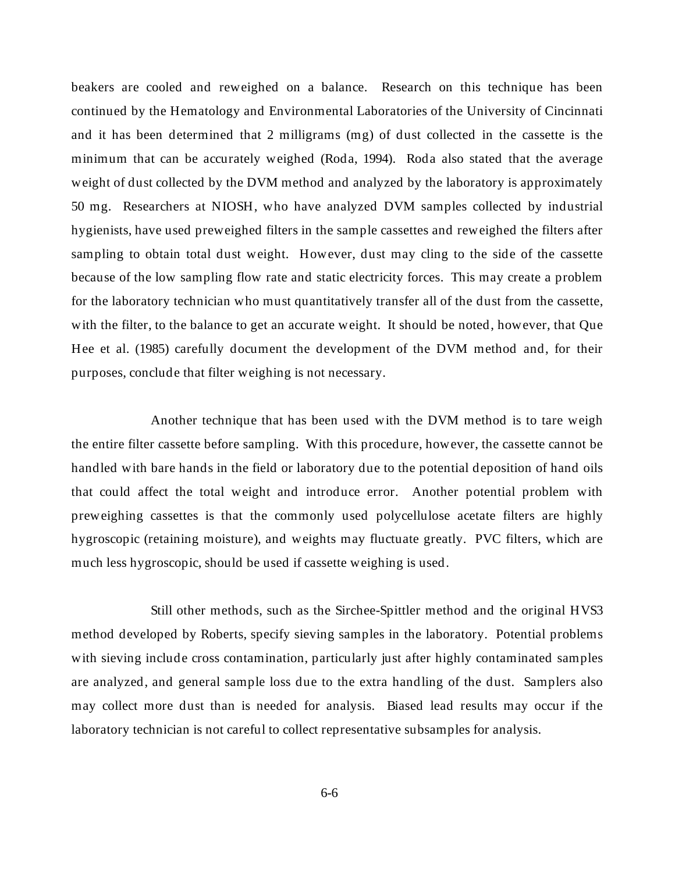beakers are cooled and reweighed on a balance. Research on this technique has been continued by the Hematology and Environmental Laboratories of the University of Cincinnati and it has been determined that 2 milligrams (mg) of dust collected in the cassette is the minimum that can be accurately weighed (Roda, 1994). Roda also stated that the average weight of dust collected by the DVM method and analyzed by the laboratory is approximately 50 mg. Researchers at NIOSH, who have analyzed DVM samples collected by industrial hygienists, have used preweighed filters in the sample cassettes and reweighed the filters after sampling to obtain total dust weight. However, dust may cling to the side of the cassette because of the low sampling flow rate and static electricity forces. This may create a problem for the laboratory technician who must quantitatively transfer all of the dust from the cassette, with the filter, to the balance to get an accurate weight. It should be noted, however, that Que Hee et al. (1985) carefully document the development of the DVM method and, for their purposes, conclude that filter weighing is not necessary.

Another technique that has been used with the DVM method is to tare weigh the entire filter cassette before sampling. With this procedure, however, the cassette cannot be handled with bare hands in the field or laboratory due to the potential deposition of hand oils that could affect the total weight and introduce error. Another potential problem with preweighing cassettes is that the commonly used polycellulose acetate filters are highly hygroscopic (retaining moisture), and weights may fluctuate greatly. PVC filters, which are much less hygroscopic, should be used if cassette weighing is used.

Still other methods, such as the Sirchee-Spittler method and the original HVS3 method developed by Roberts, specify sieving samples in the laboratory. Potential problems with sieving include cross contamination, particularly just after highly contaminated samples are analyzed, and general sample loss due to the extra handling of the dust. Samplers also may collect more dust than is needed for analysis. Biased lead results may occur if the laboratory technician is not careful to collect representative subsamples for analysis.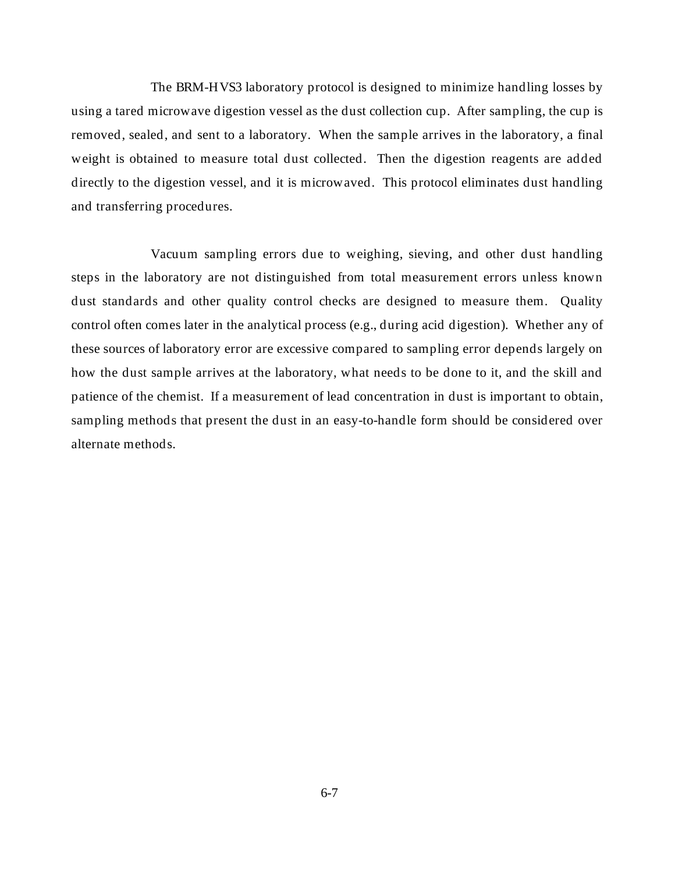The BRM-HVS3 laboratory protocol is designed to minimize handling losses by using a tared microwave digestion vessel as the dust collection cup. After sampling, the cup is removed, sealed, and sent to a laboratory. When the sample arrives in the laboratory, a final weight is obtained to measure total dust collected. Then the digestion reagents are added directly to the digestion vessel, and it is microwaved. This protocol eliminates dust handling and transferring procedures.

Vacuum sampling errors due to weighing, sieving, and other dust handling steps in the laboratory are not distinguished from total measurement errors unless known dust standards and other quality control checks are designed to measure them. Quality control often comes later in the analytical process (e.g., during acid digestion). Whether any of these sources of laboratory error are excessive compared to sampling error depends largely on how the dust sample arrives at the laboratory, what needs to be done to it, and the skill and patience of the chemist. If a measurement of lead concentration in dust is important to obtain, sampling methods that present the dust in an easy-to-handle form should be considered over alternate methods.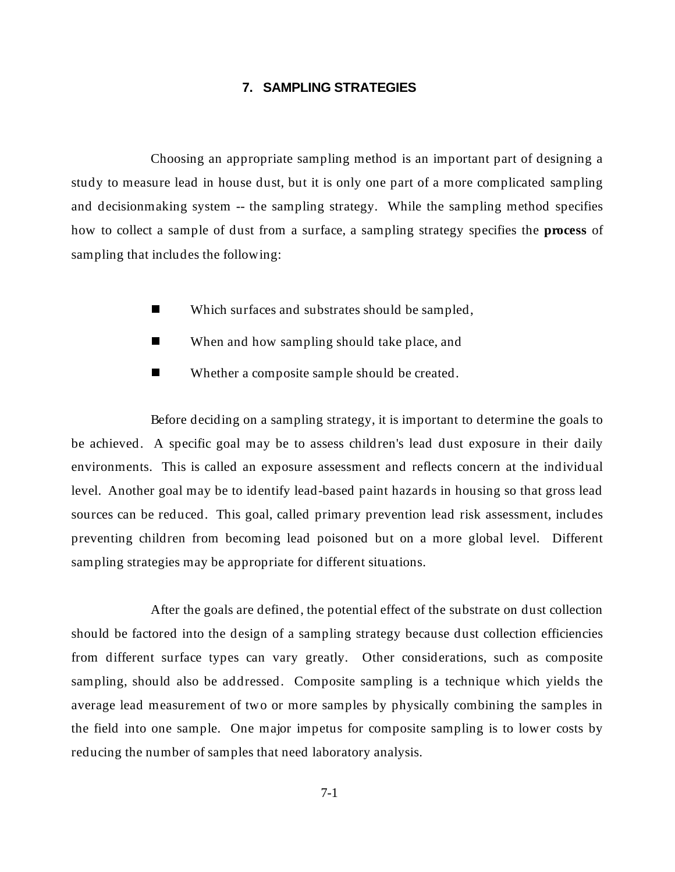# **7. SAMPLING STRATEGIES**

Choosing an appropriate sampling method is an important part of designing a study to measure lead in house dust, but it is only one part of a more complicated sampling and decisionmaking system -- the sampling strategy. While the sampling method specifies how to collect a sample of dust from a surface, a sampling strategy specifies the **process** of sampling that includes the following:

- nWhich surfaces and substrates should be sampled,
- nWhen and how sampling should take place, and
- nWhether a composite sample should be created.

Before deciding on a sampling strategy, it is important to determine the goals to be achieved. A specific goal may be to assess children's lead dust exposure in their daily environments. This is called an exposure assessment and reflects concern at the individual level. Another goal may be to identify lead-based paint hazards in housing so that gross lead sources can be reduced. This goal, called primary prevention lead risk assessment, includes preventing children from becoming lead poisoned but on a more global level. Different sampling strategies may be appropriate for different situations.

After the goals are defined, the potential effect of the substrate on dust collection should be factored into the design of a sampling strategy because dust collection efficiencies from different surface types can vary greatly. Other considerations, such as composite sampling, should also be addressed. Composite sampling is a technique which yields the average lead measurement of two or more samples by physically combining the samples in the field into one sample. One major impetus for composite sampling is to lower costs by reducing the number of samples that need laboratory analysis.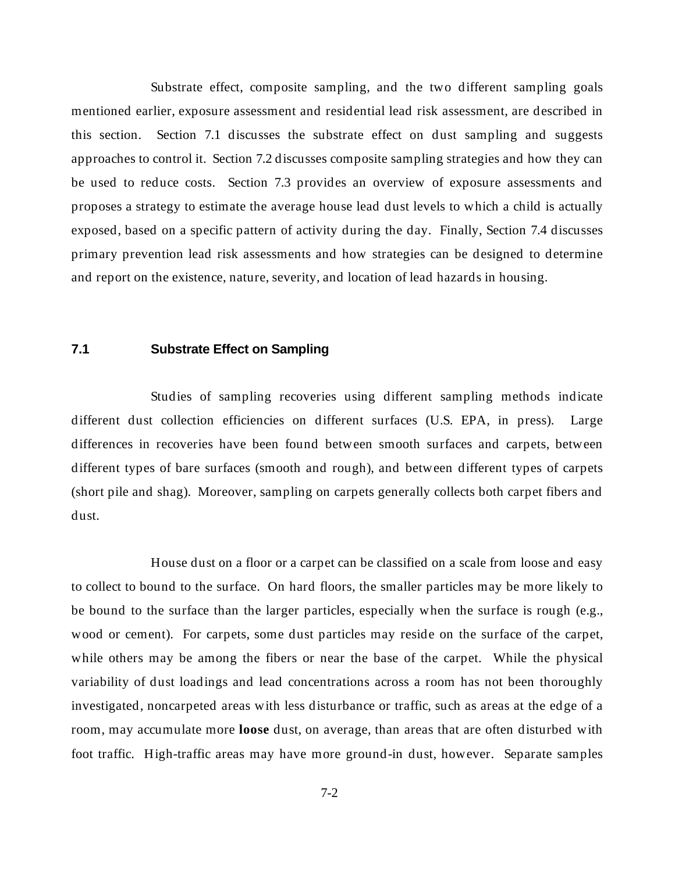Substrate effect, composite sampling, and the two different sampling goals mentioned earlier, exposure assessment and residential lead risk assessment, are described in this section. Section 7.1 discusses the substrate effect on dust sampling and suggests approaches to control it. Section 7.2 discusses composite sampling strategies and how they can be used to reduce costs. Section 7.3 provides an overview of exposure assessments and proposes a strategy to estimate the average house lead dust levels to which a child is actually exposed, based on a specific pattern of activity during the day. Finally, Section 7.4 discusses primary prevention lead risk assessments and how strategies can be designed to determine and report on the existence, nature, severity, and location of lead hazards in housing.

# **7.1 Substrate Effect on Sampling**

Studies of sampling recoveries using different sampling methods indicate different dust collection efficiencies on different surfaces (U.S. EPA, in press). Large differences in recoveries have been found between smooth surfaces and carpets, between different types of bare surfaces (smooth and rough), and between different types of carpets (short pile and shag). Moreover, sampling on carpets generally collects both carpet fibers and dust.

House dust on a floor or a carpet can be classified on a scale from loose and easy to collect to bound to the surface. On hard floors, the smaller particles may be more likely to be bound to the surface than the larger particles, especially when the surface is rough (e.g., wood or cement). For carpets, some dust particles may reside on the surface of the carpet, while others may be among the fibers or near the base of the carpet. While the physical variability of dust loadings and lead concentrations across a room has not been thoroughly investigated, noncarpeted areas with less disturbance or traffic, such as areas at the edge of a room, may accumulate more **loose** dust, on average, than areas that are often disturbed with foot traffic. High-traffic areas may have more ground-in dust, however. Separate samples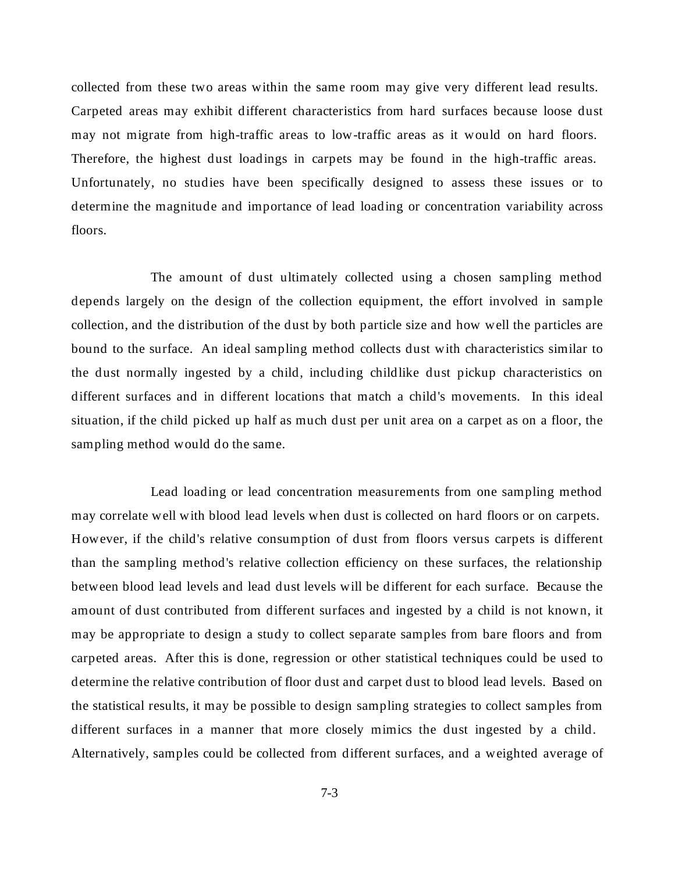collected from these two areas within the same room may give very different lead results. Carpeted areas may exhibit different characteristics from hard surfaces because loose dust may not migrate from high-traffic areas to low-traffic areas as it would on hard floors. Therefore, the highest dust loadings in carpets may be found in the high-traffic areas. Unfortunately, no studies have been specifically designed to assess these issues or to determine the magnitude and importance of lead loading or concentration variability across floors.

The amount of dust ultimately collected using a chosen sampling method depends largely on the design of the collection equipment, the effort involved in sample collection, and the distribution of the dust by both particle size and how well the particles are bound to the surface. An ideal sampling method collects dust with characteristics similar to the dust normally ingested by a child, including childlike dust pickup characteristics on different surfaces and in different locations that match a child's movements. In this ideal situation, if the child picked up half as much dust per unit area on a carpet as on a floor, the sampling method would do the same.

Lead loading or lead concentration measurements from one sampling method may correlate well with blood lead levels when dust is collected on hard floors or on carpets. However, if the child's relative consumption of dust from floors versus carpets is different than the sampling method's relative collection efficiency on these surfaces, the relationship between blood lead levels and lead dust levels will be different for each surface. Because the amount of dust contributed from different surfaces and ingested by a child is not known, it may be appropriate to design a study to collect separate samples from bare floors and from carpeted areas. After this is done, regression or other statistical techniques could be used to determine the relative contribution of floor dust and carpet dust to blood lead levels. Based on the statistical results, it may be possible to design sampling strategies to collect samples from different surfaces in a manner that more closely mimics the dust ingested by a child. Alternatively, samples could be collected from different surfaces, and a weighted average of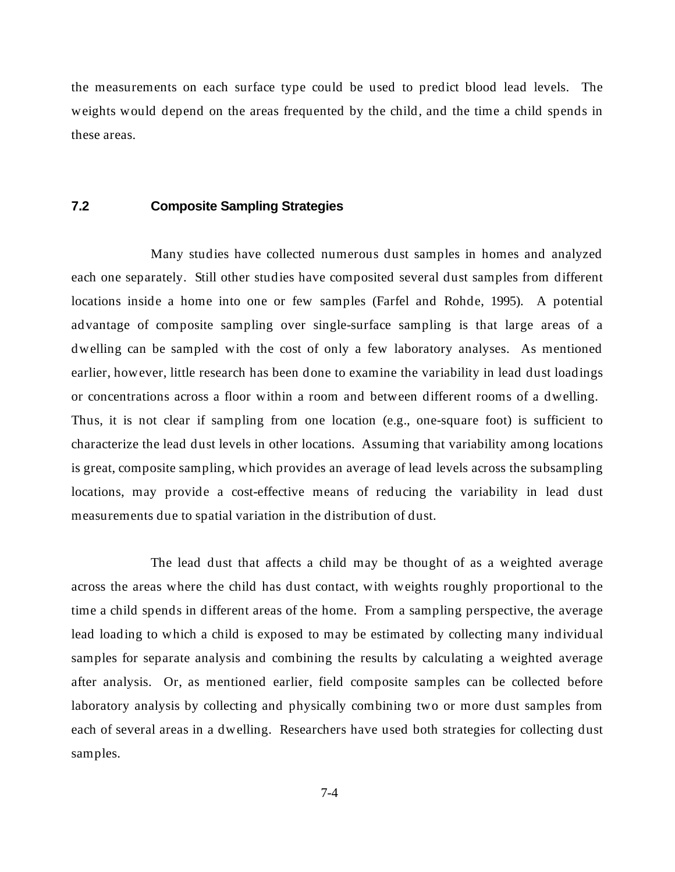the measurements on each surface type could be used to predict blood lead levels. The weights would depend on the areas frequented by the child, and the time a child spends in these areas.

# **7.2 Composite Sampling Strategies**

Many studies have collected numerous dust samples in homes and analyzed each one separately. Still other studies have composited several dust samples from different locations inside a home into one or few samples (Farfel and Rohde, 1995). A potential advantage of composite sampling over single-surface sampling is that large areas of a dwelling can be sampled with the cost of only a few laboratory analyses. As mentioned earlier, however, little research has been done to examine the variability in lead dust loadings or concentrations across a floor within a room and between different rooms of a dwelling. Thus, it is not clear if sampling from one location (e.g., one-square foot) is sufficient to characterize the lead dust levels in other locations. Assuming that variability among locations is great, composite sampling, which provides an average of lead levels across the subsampling locations, may provide a cost-effective means of reducing the variability in lead dust measurements due to spatial variation in the distribution of dust.

The lead dust that affects a child may be thought of as a weighted average across the areas where the child has dust contact, with weights roughly proportional to the time a child spends in different areas of the home. From a sampling perspective, the average lead loading to which a child is exposed to may be estimated by collecting many individual samples for separate analysis and combining the results by calculating a weighted average after analysis. Or, as mentioned earlier, field composite samples can be collected before laboratory analysis by collecting and physically combining two or more dust samples from each of several areas in a dwelling. Researchers have used both strategies for collecting dust samples.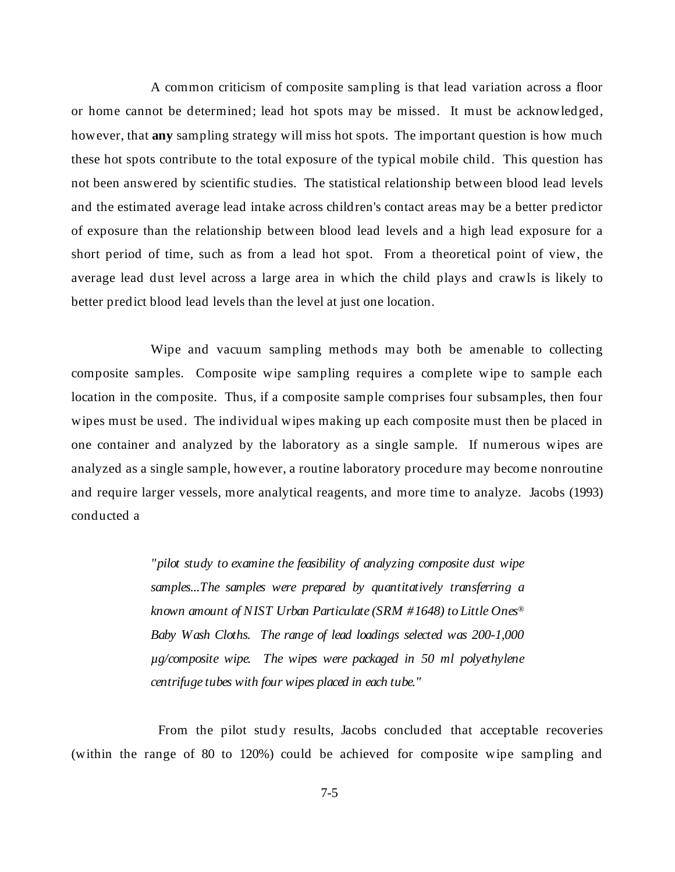A common criticism of composite sampling is that lead variation across a floor or home cannot be determined; lead hot spots may be missed. It must be acknowledged, however, that **any** sampling strategy will miss hot spots. The important question is how much these hot spots contribute to the total exposure of the typical mobile child. This question has not been answered by scientific studies. The statistical relationship between blood lead levels and the estimated average lead intake across children's contact areas may be a better predictor of exposure than the relationship between blood lead levels and a high lead exposure for a short period of time, such as from a lead hot spot. From a theoretical point of view, the average lead dust level across a large area in which the child plays and crawls is likely to better predict blood lead levels than the level at just one location.

Wipe and vacuum sampling methods may both be amenable to collecting composite samples. Composite wipe sampling requires a complete wipe to sample each location in the composite. Thus, if a composite sample comprises four subsamples, then four wipes must be used. The individual wipes making up each composite must then be placed in one container and analyzed by the laboratory as a single sample. If numerous wipes are analyzed as a single sample, however, a routine laboratory procedure may become nonroutine and require larger vessels, more analytical reagents, and more time to analyze. Jacobs (1993) conducted a

> *"pilot study to examine the feasibility of analyzing composite dust wipe samples...The samples were prepared by quantitatively transferring a known amount of NIST Urban Particulate (SRM #1648) to Little Ones® Baby Wash Cloths. The range of lead loadings selected was 200-1,000 µg/composite wipe. The wipes were packaged in 50 ml polyethylene centrifuge tubes with four wipes placed in each tube."*

 From the pilot study results, Jacobs concluded that acceptable recoveries (within the range of 80 to 120%) could be achieved for composite wipe sampling and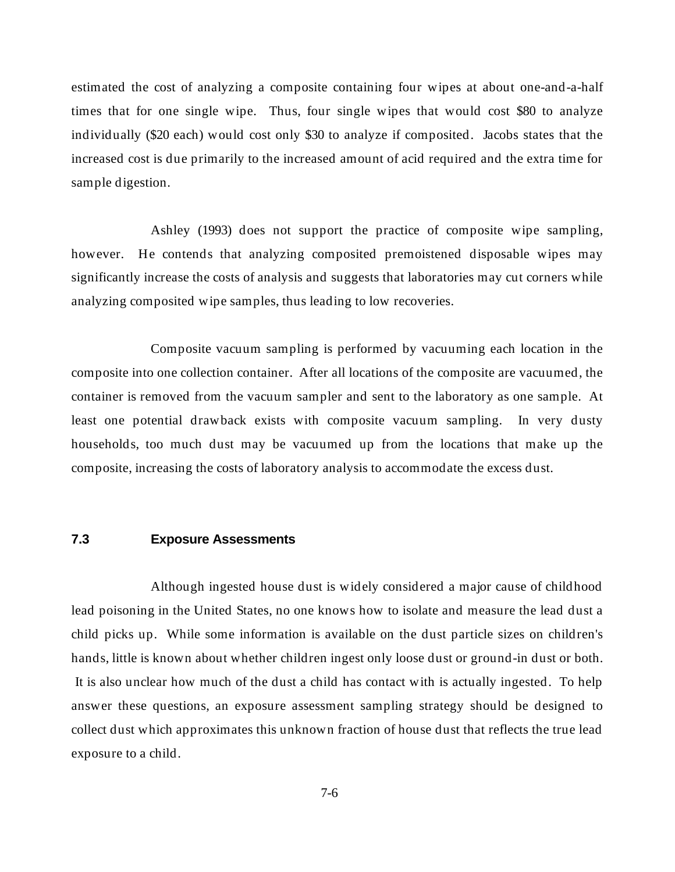estimated the cost of analyzing a composite containing four wipes at about one-and-a-half times that for one single wipe. Thus, four single wipes that would cost \$80 to analyze individually (\$20 each) would cost only \$30 to analyze if composited. Jacobs states that the increased cost is due primarily to the increased amount of acid required and the extra time for sample digestion.

Ashley (1993) does not support the practice of composite wipe sampling, however. He contends that analyzing composited premoistened disposable wipes may significantly increase the costs of analysis and suggests that laboratories may cut corners while analyzing composited wipe samples, thus leading to low recoveries.

Composite vacuum sampling is performed by vacuuming each location in the composite into one collection container. After all locations of the composite are vacuumed, the container is removed from the vacuum sampler and sent to the laboratory as one sample. At least one potential drawback exists with composite vacuum sampling. In very dusty households, too much dust may be vacuumed up from the locations that make up the composite, increasing the costs of laboratory analysis to accommodate the excess dust.

# **7.3 Exposure Assessments**

Although ingested house dust is widely considered a major cause of childhood lead poisoning in the United States, no one knows how to isolate and measure the lead dust a child picks up. While some information is available on the dust particle sizes on children's hands, little is known about whether children ingest only loose dust or ground-in dust or both. It is also unclear how much of the dust a child has contact with is actually ingested. To help answer these questions, an exposure assessment sampling strategy should be designed to collect dust which approximates this unknown fraction of house dust that reflects the true lead exposure to a child.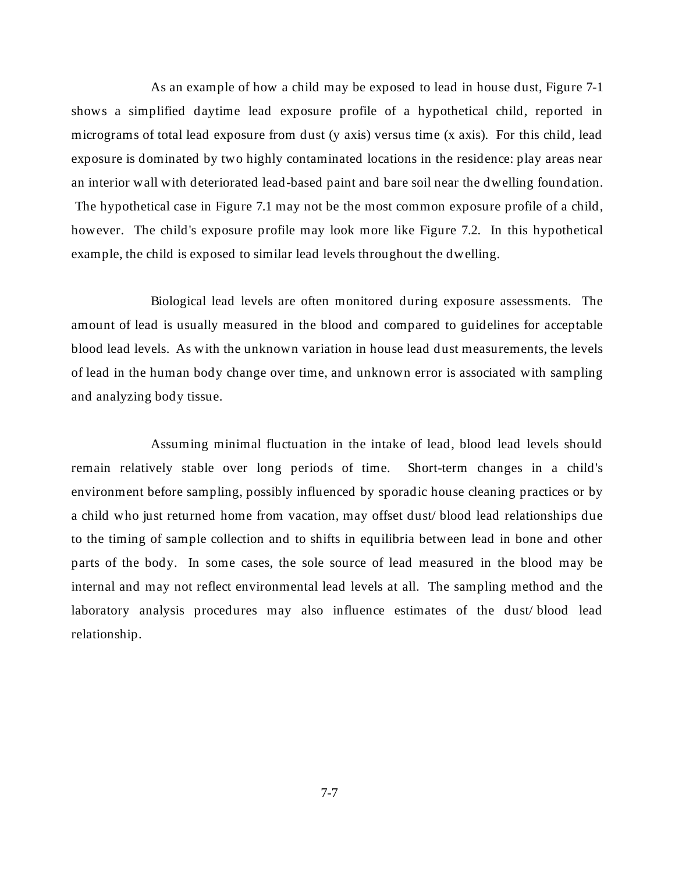As an example of how a child may be exposed to lead in house dust, Figure 7-1 shows a simplified daytime lead exposure profile of a hypothetical child, reported in micrograms of total lead exposure from dust (y axis) versus time (x axis). For this child, lead exposure is dominated by two highly contaminated locations in the residence: play areas near an interior wall with deteriorated lead-based paint and bare soil near the dwelling foundation. The hypothetical case in Figure 7.1 may not be the most common exposure profile of a child, however. The child's exposure profile may look more like Figure 7.2. In this hypothetical example, the child is exposed to similar lead levels throughout the dwelling.

Biological lead levels are often monitored during exposure assessments. The amount of lead is usually measured in the blood and compared to guidelines for acceptable blood lead levels. As with the unknown variation in house lead dust measurements, the levels of lead in the human body change over time, and unknown error is associated with sampling and analyzing body tissue.

Assuming minimal fluctuation in the intake of lead, blood lead levels should remain relatively stable over long periods of time. Short-term changes in a child's environment before sampling, possibly influenced by sporadic house cleaning practices or by a child who just returned home from vacation, may offset dust/ blood lead relationships due to the timing of sample collection and to shifts in equilibria between lead in bone and other parts of the body. In some cases, the sole source of lead measured in the blood may be internal and may not reflect environmental lead levels at all. The sampling method and the laboratory analysis procedures may also influence estimates of the dust/ blood lead relationship.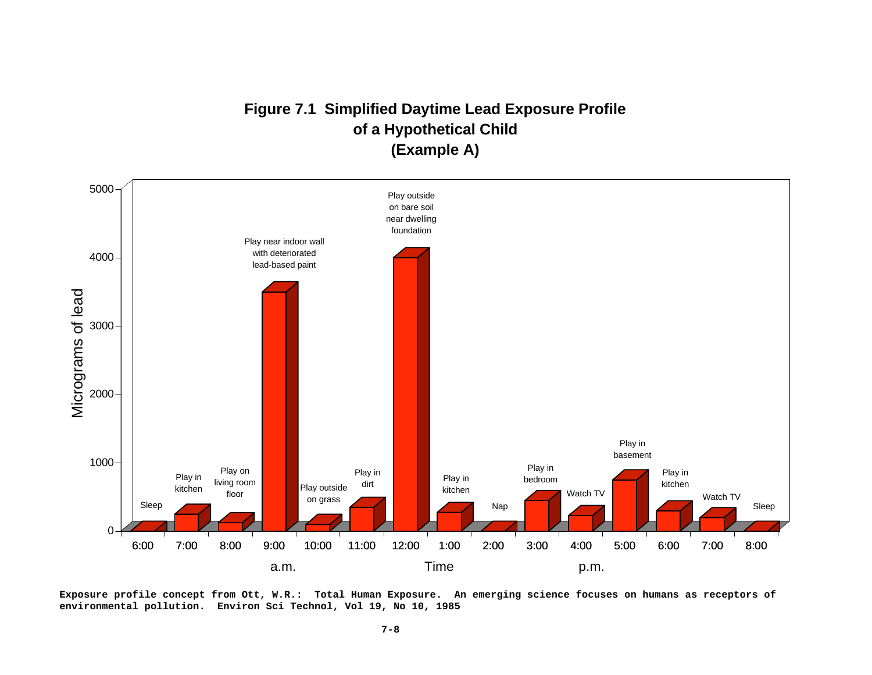# **Figure 7.1 Simplified Daytime Lead Exposure Profile of a Hypothetical Child (Example A)**



**Exposure profile concept from Ott, W.R.: Total Human Exposure. An emerging science focuses on humans as receptors of environmental pollution. Environ Sci Technol, Vol 19, No 10, 1985**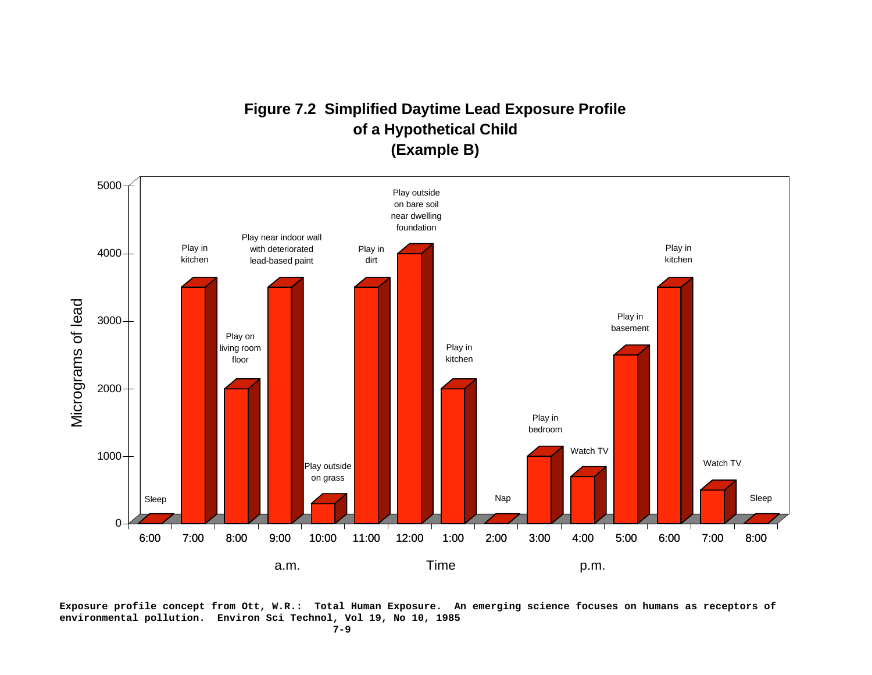# **Figure 7.2 Simplified Daytime Lead Exposure Profile of a Hypothetical Child (Example B)**



**Exposure profile concept from Ott, W.R.: Total Human Exposure. An emerging science focuses on humans as receptors of environmental pollution. Environ Sci Technol, Vol 19, No 10, 1985**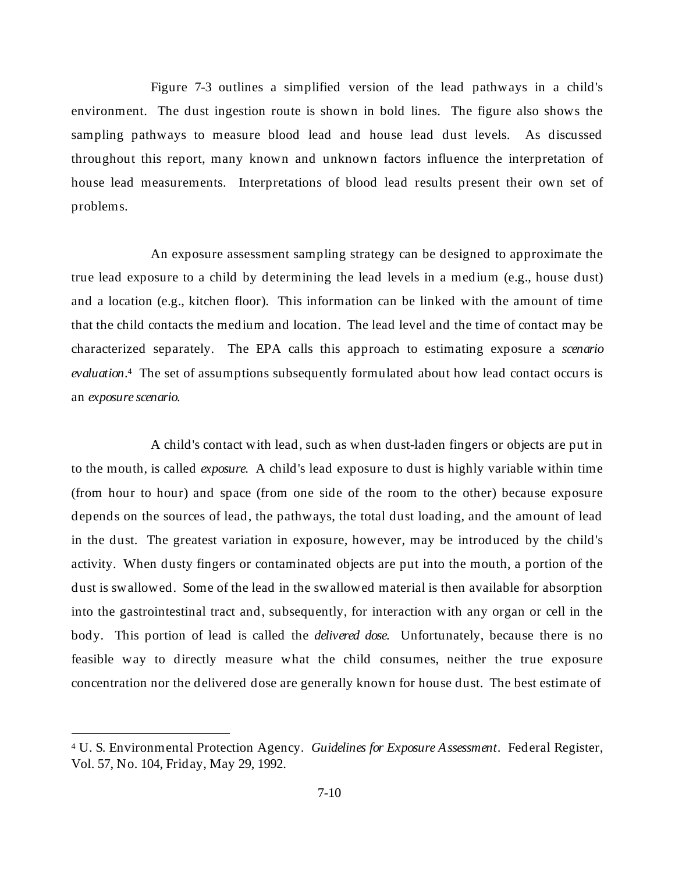Figure 7-3 outlines a simplified version of the lead pathways in a child's environment. The dust ingestion route is shown in bold lines. The figure also shows the sampling pathways to measure blood lead and house lead dust levels. As discussed throughout this report, many known and unknown factors influence the interpretation of house lead measurements. Interpretations of blood lead results present their own set of problems.

An exposure assessment sampling strategy can be designed to approximate the true lead exposure to a child by determining the lead levels in a medium (e.g., house dust) and a location (e.g., kitchen floor). This information can be linked with the amount of time that the child contacts the medium and location. The lead level and the time of contact may be characterized separately. The EPA calls this approach to estimating exposure a *scenario evaluation*.4 The set of assumptions subsequently formulated about how lead contact occurs is an *exposure scenario*.

A child's contact with lead, such as when dust-laden fingers or objects are put in to the mouth, is called *exposure*. A child's lead exposure to dust is highly variable within time (from hour to hour) and space (from one side of the room to the other) because exposure depends on the sources of lead, the pathways, the total dust loading, and the amount of lead in the dust. The greatest variation in exposure, however, may be introduced by the child's activity. When dusty fingers or contaminated objects are put into the mouth, a portion of the dust is swallowed. Some of the lead in the swallowed material is then available for absorption into the gastrointestinal tract and, subsequently, for interaction with any organ or cell in the body. This portion of lead is called the *delivered dose*. Unfortunately, because there is no feasible way to directly measure what the child consumes, neither the true exposure concentration nor the delivered dose are generally known for house dust. The best estimate of

 $\overline{a}$ 

<sup>4</sup> U. S. Environmental Protection Agency. *Guidelines for Exposure Assessment*. Federal Register, Vol. 57, No. 104, Friday, May 29, 1992.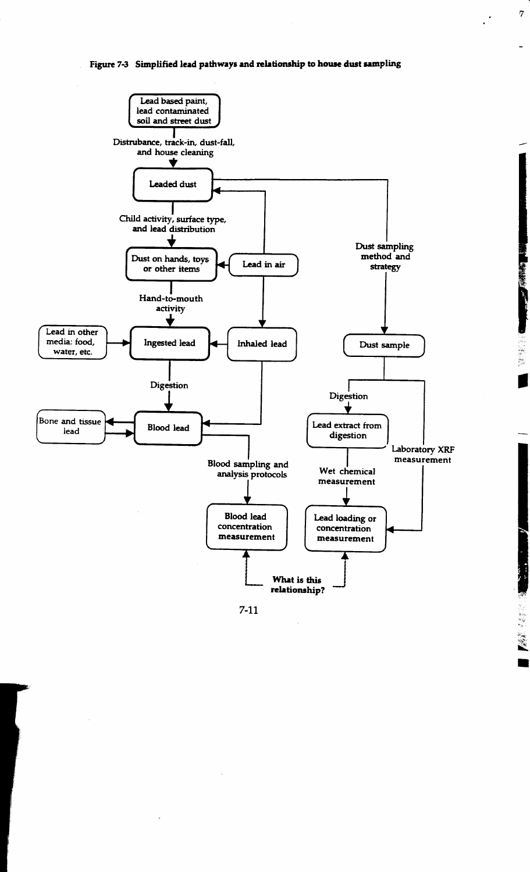Figure 7-3 Simplified lead pathways and relationship to house dust sampling

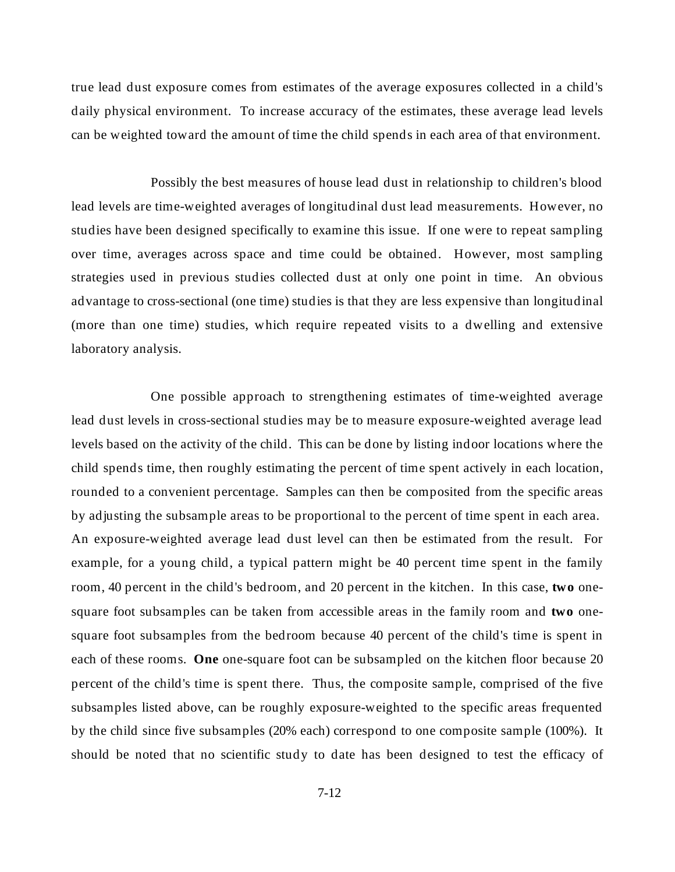true lead dust exposure comes from estimates of the average exposures collected in a child's daily physical environment. To increase accuracy of the estimates, these average lead levels can be weighted toward the amount of time the child spends in each area of that environment.

Possibly the best measures of house lead dust in relationship to children's blood lead levels are time-weighted averages of longitudinal dust lead measurements. However, no studies have been designed specifically to examine this issue. If one were to repeat sampling over time, averages across space and time could be obtained. However, most sampling strategies used in previous studies collected dust at only one point in time. An obvious advantage to cross-sectional (one time) studies is that they are less expensive than longitudinal (more than one time) studies, which require repeated visits to a dwelling and extensive laboratory analysis.

One possible approach to strengthening estimates of time-weighted average lead dust levels in cross-sectional studies may be to measure exposure-weighted average lead levels based on the activity of the child. This can be done by listing indoor locations where the child spends time, then roughly estimating the percent of time spent actively in each location, rounded to a convenient percentage. Samples can then be composited from the specific areas by adjusting the subsample areas to be proportional to the percent of time spent in each area. An exposure-weighted average lead dust level can then be estimated from the result. For example, for a young child, a typical pattern might be 40 percent time spent in the family room, 40 percent in the child's bedroom, and 20 percent in the kitchen. In this case, **two** onesquare foot subsamples can be taken from accessible areas in the family room and **two** onesquare foot subsamples from the bedroom because 40 percent of the child's time is spent in each of these rooms. **One** one-square foot can be subsampled on the kitchen floor because 20 percent of the child's time is spent there. Thus, the composite sample, comprised of the five subsamples listed above, can be roughly exposure-weighted to the specific areas frequented by the child since five subsamples (20% each) correspond to one composite sample (100%). It should be noted that no scientific study to date has been designed to test the efficacy of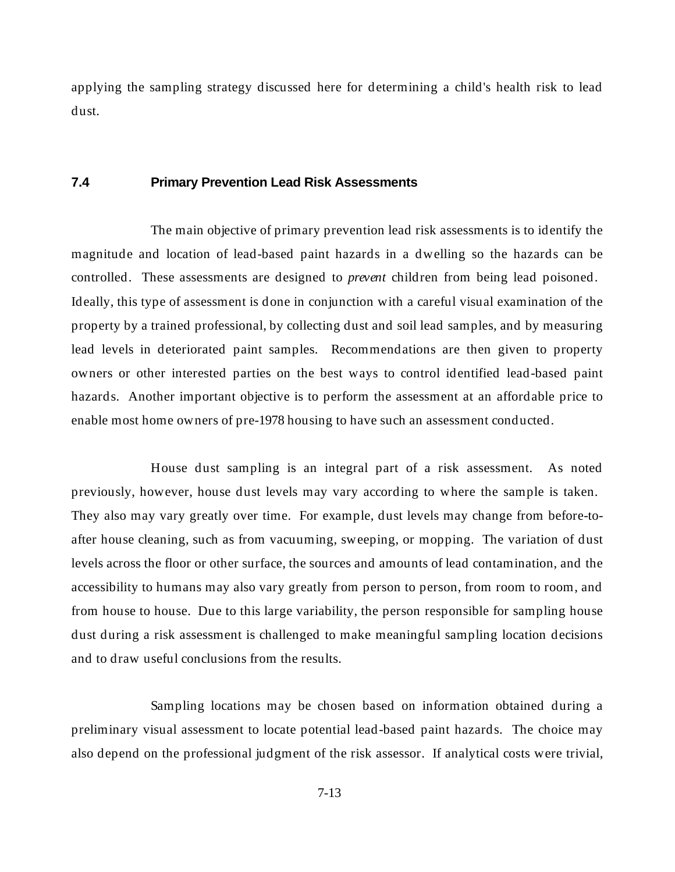applying the sampling strategy discussed here for determining a child's health risk to lead dust.

# **7.4 Primary Prevention Lead Risk Assessments**

The main objective of primary prevention lead risk assessments is to identify the magnitude and location of lead-based paint hazards in a dwelling so the hazards can be controlled. These assessments are designed to *prevent* children from being lead poisoned. Ideally, this type of assessment is done in conjunction with a careful visual examination of the property by a trained professional, by collecting dust and soil lead samples, and by measuring lead levels in deteriorated paint samples. Recommendations are then given to property owners or other interested parties on the best ways to control identified lead-based paint hazards. Another important objective is to perform the assessment at an affordable price to enable most home owners of pre-1978 housing to have such an assessment conducted.

House dust sampling is an integral part of a risk assessment. As noted previously, however, house dust levels may vary according to where the sample is taken. They also may vary greatly over time. For example, dust levels may change from before-toafter house cleaning, such as from vacuuming, sweeping, or mopping. The variation of dust levels across the floor or other surface, the sources and amounts of lead contamination, and the accessibility to humans may also vary greatly from person to person, from room to room, and from house to house. Due to this large variability, the person responsible for sampling house dust during a risk assessment is challenged to make meaningful sampling location decisions and to draw useful conclusions from the results.

Sampling locations may be chosen based on information obtained during a preliminary visual assessment to locate potential lead-based paint hazards. The choice may also depend on the professional judgment of the risk assessor. If analytical costs were trivial,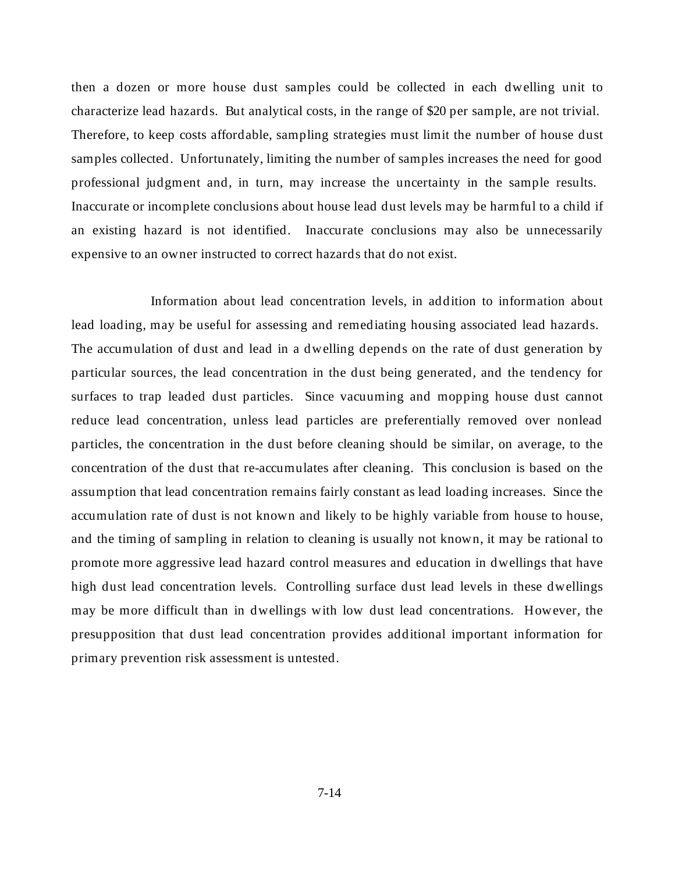then a dozen or more house dust samples could be collected in each dwelling unit to characterize lead hazards. But analytical costs, in the range of \$20 per sample, are not trivial. Therefore, to keep costs affordable, sampling strategies must limit the number of house dust samples collected. Unfortunately, limiting the number of samples increases the need for good professional judgment and, in turn, may increase the uncertainty in the sample results. Inaccurate or incomplete conclusions about house lead dust levels may be harmful to a child if an existing hazard is not identified. Inaccurate conclusions may also be unnecessarily expensive to an owner instructed to correct hazards that do not exist.

Information about lead concentration levels, in addition to information about lead loading, may be useful for assessing and remediating housing associated lead hazards. The accumulation of dust and lead in a dwelling depends on the rate of dust generation by particular sources, the lead concentration in the dust being generated, and the tendency for surfaces to trap leaded dust particles. Since vacuuming and mopping house dust cannot reduce lead concentration, unless lead particles are preferentially removed over nonlead particles, the concentration in the dust before cleaning should be similar, on average, to the concentration of the dust that re-accumulates after cleaning. This conclusion is based on the assumption that lead concentration remains fairly constant as lead loading increases. Since the accumulation rate of dust is not known and likely to be highly variable from house to house, and the timing of sampling in relation to cleaning is usually not known, it may be rational to promote more aggressive lead hazard control measures and education in dwellings that have high dust lead concentration levels. Controlling surface dust lead levels in these dwellings may be more difficult than in dwellings with low dust lead concentrations. However, the presupposition that dust lead concentration provides additional important information for primary prevention risk assessment is untested.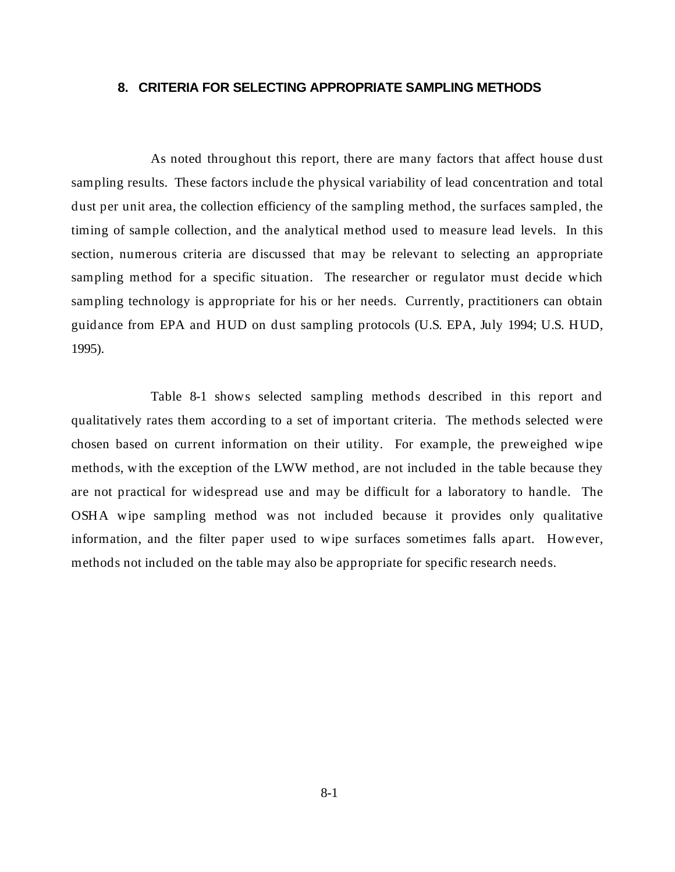#### **8. CRITERIA FOR SELECTING APPROPRIATE SAMPLING METHODS**

As noted throughout this report, there are many factors that affect house dust sampling results. These factors include the physical variability of lead concentration and total dust per unit area, the collection efficiency of the sampling method, the surfaces sampled, the timing of sample collection, and the analytical method used to measure lead levels. In this section, numerous criteria are discussed that may be relevant to selecting an appropriate sampling method for a specific situation. The researcher or regulator must decide which sampling technology is appropriate for his or her needs. Currently, practitioners can obtain guidance from EPA and HUD on dust sampling protocols (U.S. EPA, July 1994; U.S. HUD, 1995).

Table 8-1 shows selected sampling methods described in this report and qualitatively rates them according to a set of important criteria. The methods selected were chosen based on current information on their utility. For example, the preweighed wipe methods, with the exception of the LWW method, are not included in the table because they are not practical for widespread use and may be difficult for a laboratory to handle. The OSHA wipe sampling method was not included because it provides only qualitative information, and the filter paper used to wipe surfaces sometimes falls apart. However, methods not included on the table may also be appropriate for specific research needs.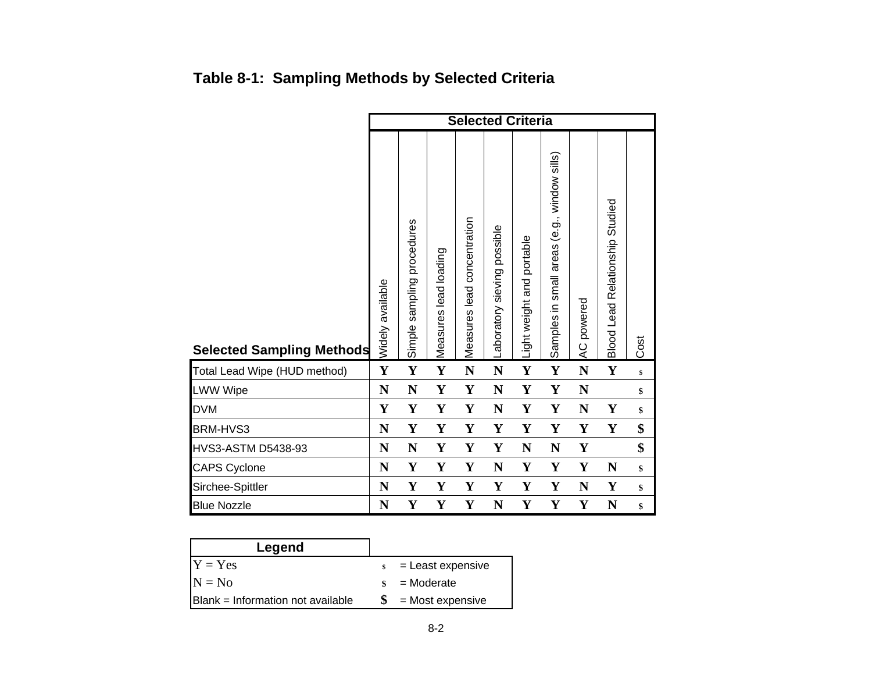|                                  | <b>Selected Criteria</b> |                            |                       |                             |                             |                           |                                             |                            |                                        |      |  |
|----------------------------------|--------------------------|----------------------------|-----------------------|-----------------------------|-----------------------------|---------------------------|---------------------------------------------|----------------------------|----------------------------------------|------|--|
| <b>Selected Sampling Methods</b> | Widely available         | Simple sampling procedures | Measures lead loading | Measures lead concentration | Laboratory sieving possible | Light weight and portable | Samples in small areas (e.g., window sills) | powered<br>$\overline{AC}$ | <b>Blood Lead Relationship Studied</b> | Cost |  |
| Total Lead Wipe (HUD method)     | $\mathbf Y$              | $\mathbf Y$                | $\mathbf Y$           | $\mathbf N$                 | $\mathbf N$                 | $\mathbf Y$               | Y                                           | N                          | $\mathbf Y$                            | \$   |  |
| <b>LWW Wipe</b>                  | $\mathbf N$              | N                          | Y                     | Y                           | $\mathbf N$                 | Y                         | Y                                           | N                          |                                        | \$   |  |
| DVM                              | $\mathbf Y$              | Y                          | Y                     | Y                           | N                           | Y                         | Y                                           | N                          | Y                                      | \$   |  |
| BRM-HVS3                         | N                        | $\mathbf Y$                | Y                     | $\mathbf Y$                 | $\mathbf Y$                 | $\mathbf Y$               | Y                                           | $\mathbf Y$                | $\mathbf Y$                            | \$   |  |
| HVS3-ASTM D5438-93               | N                        | N                          | Y                     | Y                           | $\mathbf Y$                 | ${\bf N}$                 | $\mathbf N$                                 | $\mathbf Y$                |                                        | \$   |  |
| <b>CAPS Cyclone</b>              | N                        | $\mathbf Y$                | $\mathbf Y$           | Y                           | N                           | Y                         | Y                                           | Y                          | $\mathbf N$                            | \$   |  |
| Sirchee-Spittler                 | N                        | $\mathbf{Y}$               | Y                     | Y                           | $\mathbf Y$                 | Y                         | Y                                           | $\mathbf N$                | Y                                      | \$   |  |
| <b>Blue Nozzle</b>               | N                        | Y                          | Y                     | Y                           | N                           | Y                         | Y                                           | Y                          | ${\bf N}$                              | \$   |  |

# **Table 8-1: Sampling Methods by Selected Criteria**

| Legend                                    |                    |                   |
|-------------------------------------------|--------------------|-------------------|
| $Y = Yes$                                 | $\mathbf{s}$       | = Least expensive |
| $N = No$                                  | $\mathbf{\hat{S}}$ | = Moderate        |
| <b>IBlank = Information not available</b> |                    | = Most expensive  |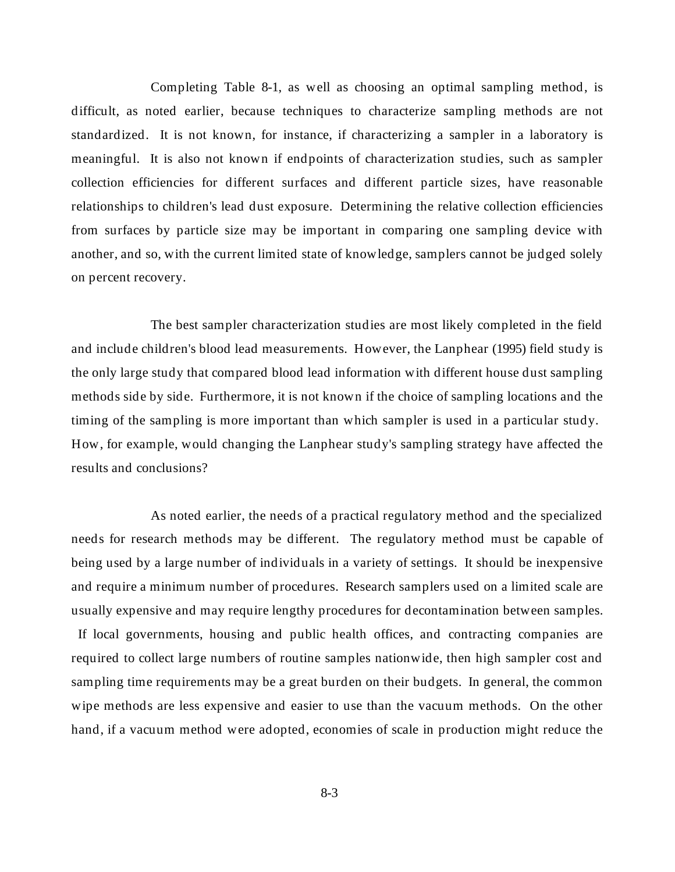Completing Table 8-1, as well as choosing an optimal sampling method, is difficult, as noted earlier, because techniques to characterize sampling methods are not standardized. It is not known, for instance, if characterizing a sampler in a laboratory is meaningful. It is also not known if endpoints of characterization studies, such as sampler collection efficiencies for different surfaces and different particle sizes, have reasonable relationships to children's lead dust exposure. Determining the relative collection efficiencies from surfaces by particle size may be important in comparing one sampling device with another, and so, with the current limited state of knowledge, samplers cannot be judged solely on percent recovery.

The best sampler characterization studies are most likely completed in the field and include children's blood lead measurements. However, the Lanphear (1995) field study is the only large study that compared blood lead information with different house dust sampling methods side by side. Furthermore, it is not known if the choice of sampling locations and the timing of the sampling is more important than which sampler is used in a particular study. How, for example, would changing the Lanphear study's sampling strategy have affected the results and conclusions?

As noted earlier, the needs of a practical regulatory method and the specialized needs for research methods may be different. The regulatory method must be capable of being used by a large number of individuals in a variety of settings. It should be inexpensive and require a minimum number of procedures. Research samplers used on a limited scale are usually expensive and may require lengthy procedures for decontamination between samples. If local governments, housing and public health offices, and contracting companies are required to collect large numbers of routine samples nationwide, then high sampler cost and sampling time requirements may be a great burden on their budgets. In general, the common wipe methods are less expensive and easier to use than the vacuum methods. On the other hand, if a vacuum method were adopted, economies of scale in production might reduce the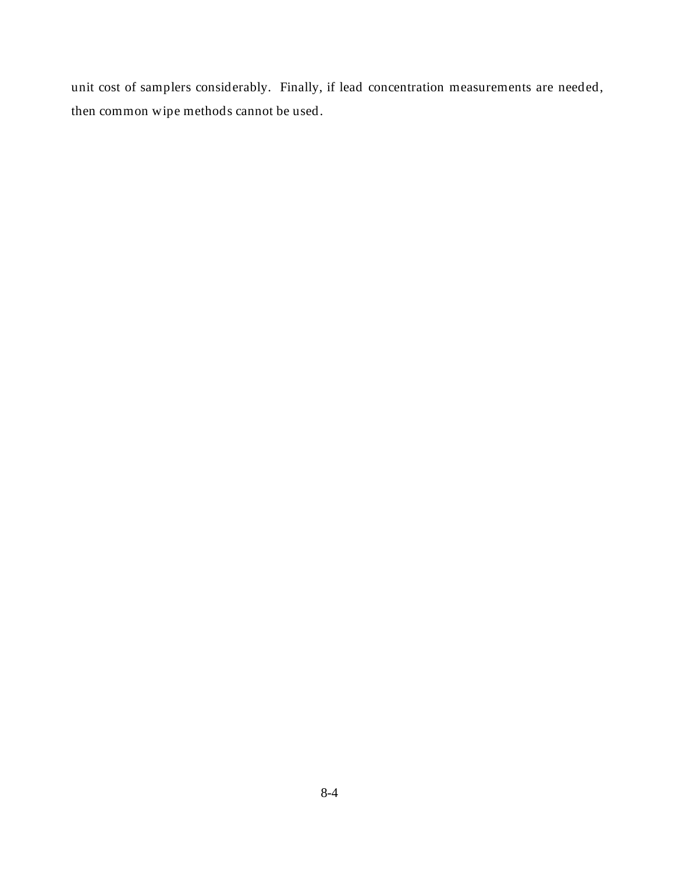unit cost of samplers considerably. Finally, if lead concentration measurements are needed, then common wipe methods cannot be used.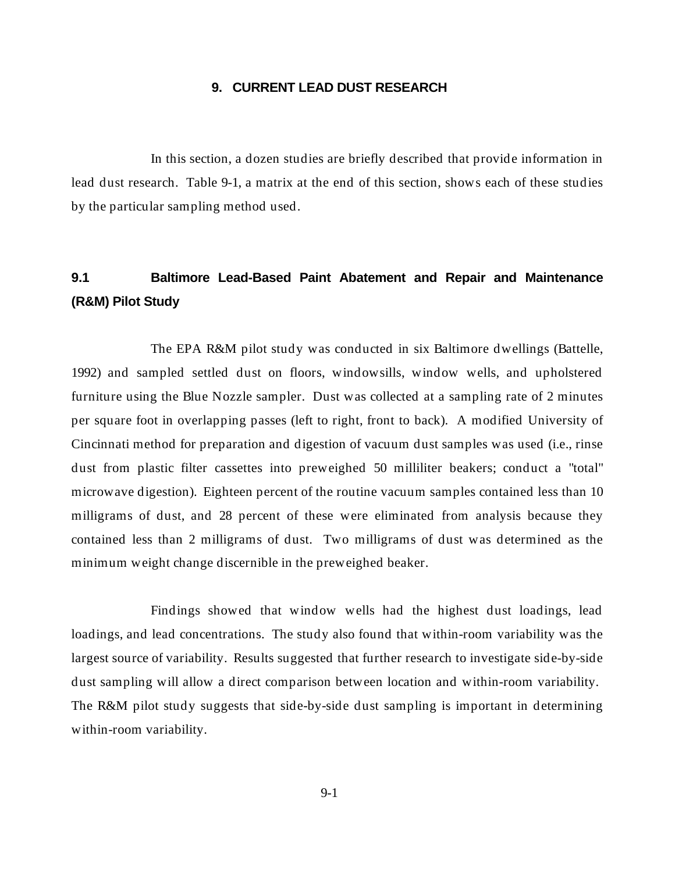#### **9. CURRENT LEAD DUST RESEARCH**

In this section, a dozen studies are briefly described that provide information in lead dust research. Table 9-1, a matrix at the end of this section, shows each of these studies by the particular sampling method used.

## **9.1 Baltimore Lead-Based Paint Abatement and Repair and Maintenance (R&M) Pilot Study**

The EPA R&M pilot study was conducted in six Baltimore dwellings (Battelle, 1992) and sampled settled dust on floors, windowsills, window wells, and upholstered furniture using the Blue Nozzle sampler. Dust was collected at a sampling rate of 2 minutes per square foot in overlapping passes (left to right, front to back). A modified University of Cincinnati method for preparation and digestion of vacuum dust samples was used (i.e., rinse dust from plastic filter cassettes into preweighed 50 milliliter beakers; conduct a "total" microwave digestion). Eighteen percent of the routine vacuum samples contained less than 10 milligrams of dust, and 28 percent of these were eliminated from analysis because they contained less than 2 milligrams of dust. Two milligrams of dust was determined as the minimum weight change discernible in the preweighed beaker.

Findings showed that window wells had the highest dust loadings, lead loadings, and lead concentrations. The study also found that within-room variability was the largest source of variability. Results suggested that further research to investigate side-by-side dust sampling will allow a direct comparison between location and within-room variability. The R&M pilot study suggests that side-by-side dust sampling is important in determining within-room variability.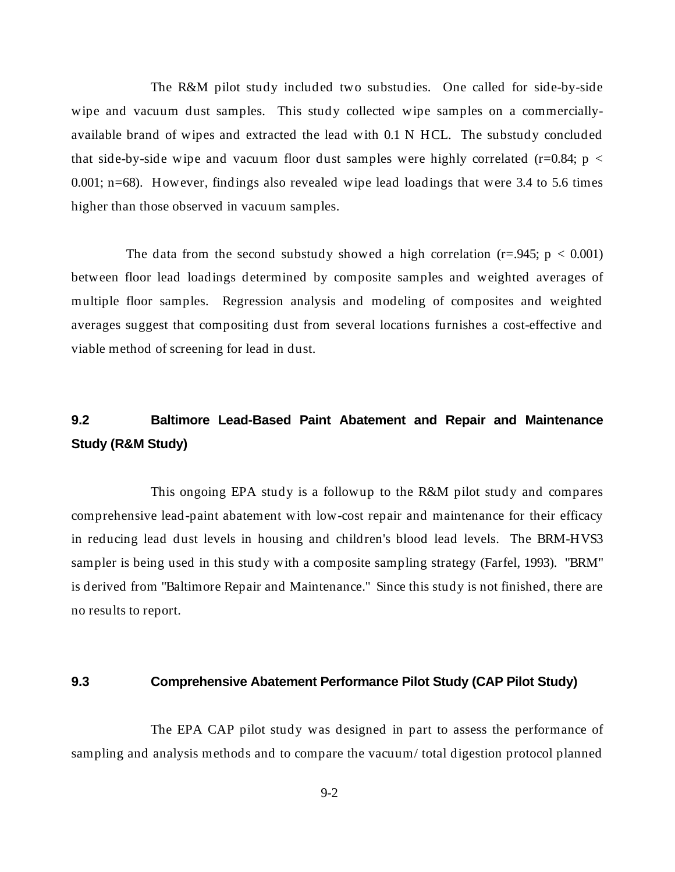The R&M pilot study included two substudies. One called for side-by-side wipe and vacuum dust samples. This study collected wipe samples on a commerciallyavailable brand of wipes and extracted the lead with 0.1 N HCL. The substudy concluded that side-by-side wipe and vacuum floor dust samples were highly correlated (r=0.84;  $p <$ 0.001; n=68). However, findings also revealed wipe lead loadings that were 3.4 to 5.6 times higher than those observed in vacuum samples.

The data from the second substudy showed a high correlation  $(r=.945; p < 0.001)$ between floor lead loadings determined by composite samples and weighted averages of multiple floor samples. Regression analysis and modeling of composites and weighted averages suggest that compositing dust from several locations furnishes a cost-effective and viable method of screening for lead in dust.

# **9.2 Baltimore Lead-Based Paint Abatement and Repair and Maintenance Study (R&M Study)**

This ongoing EPA study is a followup to the R&M pilot study and compares comprehensive lead-paint abatement with low-cost repair and maintenance for their efficacy in reducing lead dust levels in housing and children's blood lead levels. The BRM-HVS3 sampler is being used in this study with a composite sampling strategy (Farfel, 1993). "BRM" is derived from "Baltimore Repair and Maintenance." Since this study is not finished, there are no results to report.

#### **9.3 Comprehensive Abatement Performance Pilot Study (CAP Pilot Study)**

The EPA CAP pilot study was designed in part to assess the performance of sampling and analysis methods and to compare the vacuum/ total digestion protocol planned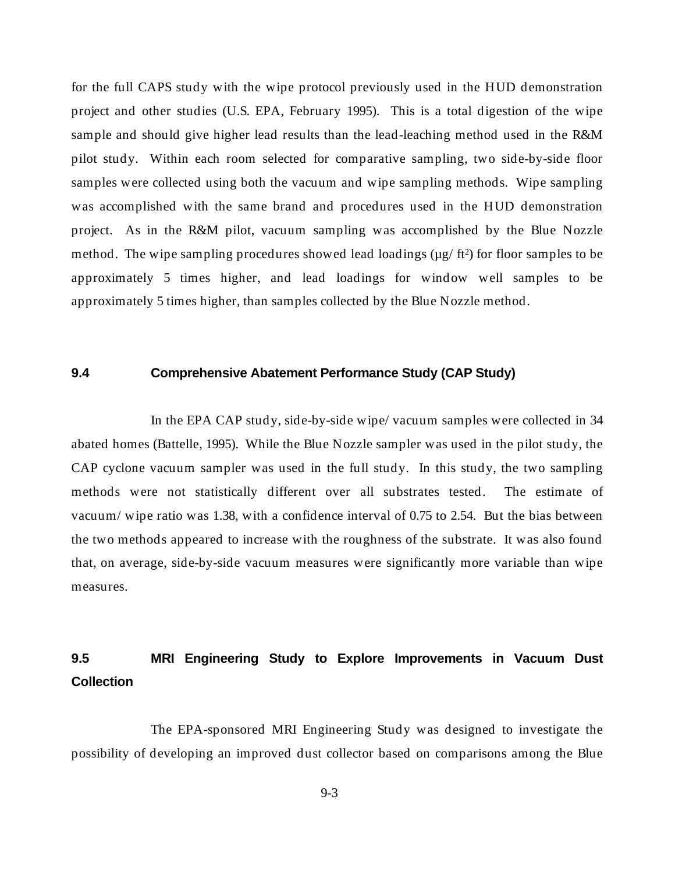for the full CAPS study with the wipe protocol previously used in the HUD demonstration project and other studies (U.S. EPA, February 1995). This is a total digestion of the wipe sample and should give higher lead results than the lead-leaching method used in the R&M pilot study. Within each room selected for comparative sampling, two side-by-side floor samples were collected using both the vacuum and wipe sampling methods. Wipe sampling was accomplished with the same brand and procedures used in the HUD demonstration project. As in the R&M pilot, vacuum sampling was accomplished by the Blue Nozzle method. The wipe sampling procedures showed lead loadings  $(\mu g / ft^2)$  for floor samples to be approximately 5 times higher, and lead loadings for window well samples to be approximately 5 times higher, than samples collected by the Blue Nozzle method.

### **9.4 Comprehensive Abatement Performance Study (CAP Study)**

In the EPA CAP study, side-by-side wipe/ vacuum samples were collected in 34 abated homes (Battelle, 1995). While the Blue Nozzle sampler was used in the pilot study, the CAP cyclone vacuum sampler was used in the full study. In this study, the two sampling methods were not statistically different over all substrates tested. The estimate of vacuum/ wipe ratio was 1.38, with a confidence interval of 0.75 to 2.54. But the bias between the two methods appeared to increase with the roughness of the substrate. It was also found that, on average, side-by-side vacuum measures were significantly more variable than wipe measures.

# **9.5 MRI Engineering Study to Explore Improvements in Vacuum Dust Collection**

The EPA-sponsored MRI Engineering Study was designed to investigate the possibility of developing an improved dust collector based on comparisons among the Blue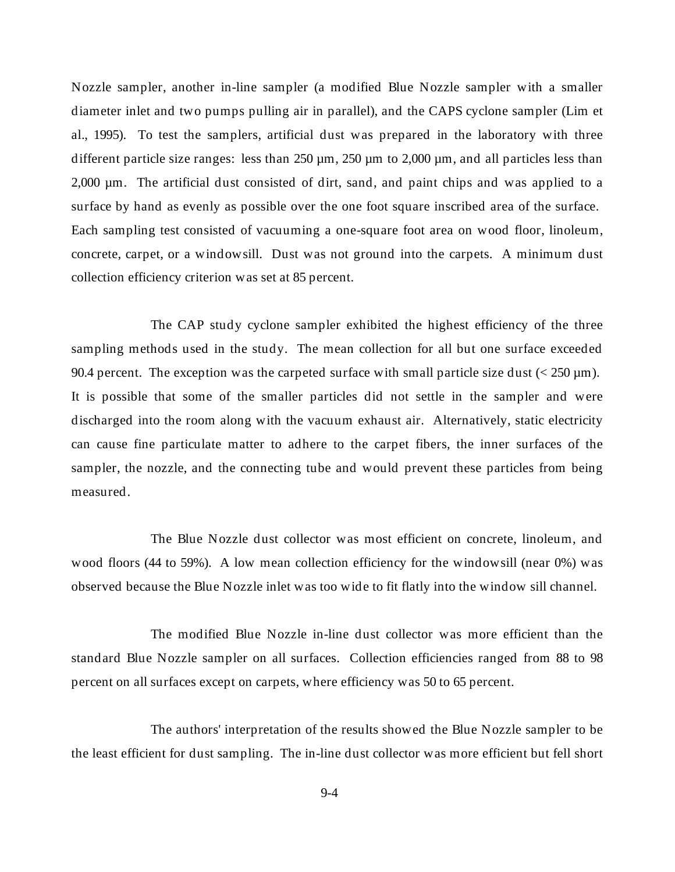Nozzle sampler, another in-line sampler (a modified Blue Nozzle sampler with a smaller diameter inlet and two pumps pulling air in parallel), and the CAPS cyclone sampler (Lim et al., 1995). To test the samplers, artificial dust was prepared in the laboratory with three different particle size ranges: less than  $250 \mu m$ ,  $250 \mu m$  to  $2,000 \mu m$ , and all particles less than 2,000 µm. The artificial dust consisted of dirt, sand, and paint chips and was applied to a surface by hand as evenly as possible over the one foot square inscribed area of the surface. Each sampling test consisted of vacuuming a one-square foot area on wood floor, linoleum, concrete, carpet, or a windowsill. Dust was not ground into the carpets. A minimum dust collection efficiency criterion was set at 85 percent.

The CAP study cyclone sampler exhibited the highest efficiency of the three sampling methods used in the study. The mean collection for all but one surface exceeded 90.4 percent. The exception was the carpeted surface with small particle size dust  $\left($  < 250  $\mu$ m). It is possible that some of the smaller particles did not settle in the sampler and were discharged into the room along with the vacuum exhaust air. Alternatively, static electricity can cause fine particulate matter to adhere to the carpet fibers, the inner surfaces of the sampler, the nozzle, and the connecting tube and would prevent these particles from being measured.

The Blue Nozzle dust collector was most efficient on concrete, linoleum, and wood floors (44 to 59%). A low mean collection efficiency for the windowsill (near 0%) was observed because the Blue Nozzle inlet was too wide to fit flatly into the window sill channel.

The modified Blue Nozzle in-line dust collector was more efficient than the standard Blue Nozzle sampler on all surfaces. Collection efficiencies ranged from 88 to 98 percent on all surfaces except on carpets, where efficiency was 50 to 65 percent.

The authors' interpretation of the results showed the Blue Nozzle sampler to be the least efficient for dust sampling. The in-line dust collector was more efficient but fell short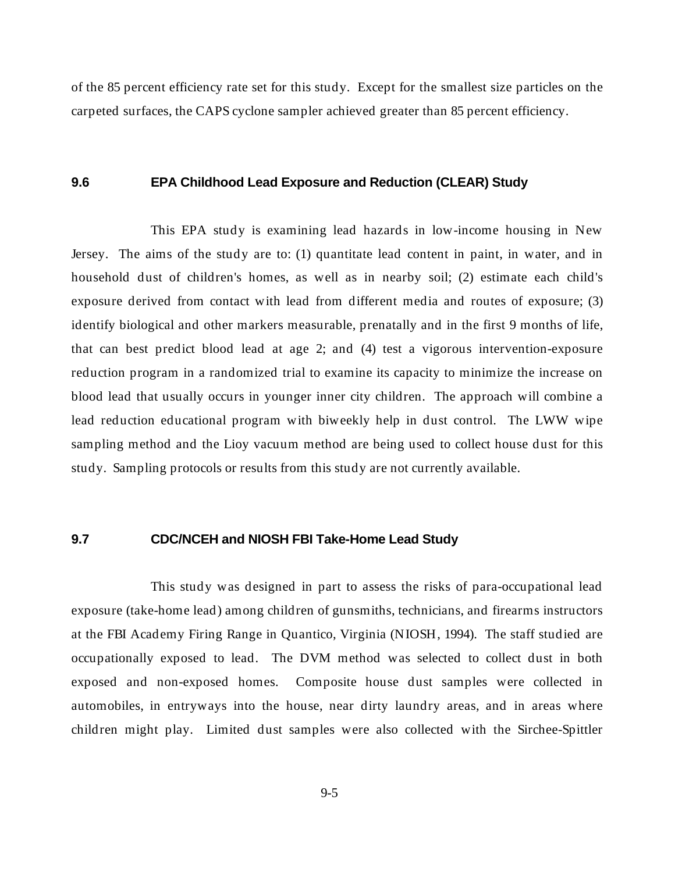of the 85 percent efficiency rate set for this study. Except for the smallest size particles on the carpeted surfaces, the CAPS cyclone sampler achieved greater than 85 percent efficiency.

#### **9.6 EPA Childhood Lead Exposure and Reduction (CLEAR) Study**

This EPA study is examining lead hazards in low-income housing in New Jersey. The aims of the study are to: (1) quantitate lead content in paint, in water, and in household dust of children's homes, as well as in nearby soil; (2) estimate each child's exposure derived from contact with lead from different media and routes of exposure; (3) identify biological and other markers measurable, prenatally and in the first 9 months of life, that can best predict blood lead at age 2; and (4) test a vigorous intervention-exposure reduction program in a randomized trial to examine its capacity to minimize the increase on blood lead that usually occurs in younger inner city children. The approach will combine a lead reduction educational program with biweekly help in dust control. The LWW wipe sampling method and the Lioy vacuum method are being used to collect house dust for this study. Sampling protocols or results from this study are not currently available.

#### **9.7 CDC/NCEH and NIOSH FBI Take-Home Lead Study**

This study was designed in part to assess the risks of para-occupational lead exposure (take-home lead) among children of gunsmiths, technicians, and firearms instructors at the FBI Academy Firing Range in Quantico, Virginia (NIOSH, 1994). The staff studied are occupationally exposed to lead. The DVM method was selected to collect dust in both exposed and non-exposed homes. Composite house dust samples were collected in automobiles, in entryways into the house, near dirty laundry areas, and in areas where children might play. Limited dust samples were also collected with the Sirchee-Spittler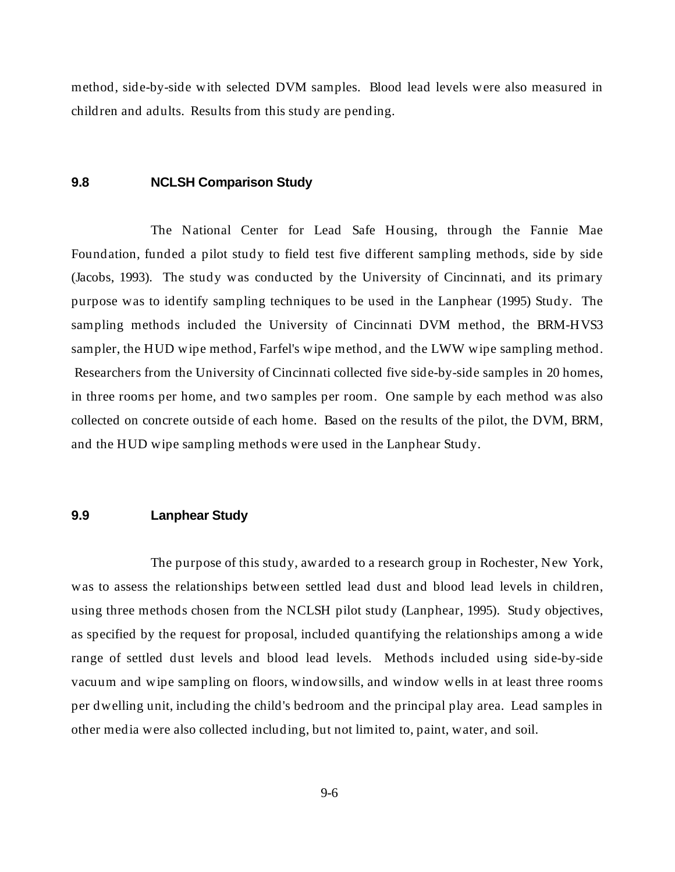method, side-by-side with selected DVM samples. Blood lead levels were also measured in children and adults. Results from this study are pending.

#### **9.8 NCLSH Comparison Study**

The National Center for Lead Safe Housing, through the Fannie Mae Foundation, funded a pilot study to field test five different sampling methods, side by side (Jacobs, 1993). The study was conducted by the University of Cincinnati, and its primary purpose was to identify sampling techniques to be used in the Lanphear (1995) Study. The sampling methods included the University of Cincinnati DVM method, the BRM-HVS3 sampler, the HUD wipe method, Farfel's wipe method, and the LWW wipe sampling method. Researchers from the University of Cincinnati collected five side-by-side samples in 20 homes, in three rooms per home, and two samples per room. One sample by each method was also collected on concrete outside of each home. Based on the results of the pilot, the DVM, BRM, and the HUD wipe sampling methods were used in the Lanphear Study.

#### **9.9 Lanphear Study**

The purpose of this study, awarded to a research group in Rochester, New York, was to assess the relationships between settled lead dust and blood lead levels in children, using three methods chosen from the NCLSH pilot study (Lanphear, 1995). Study objectives, as specified by the request for proposal, included quantifying the relationships among a wide range of settled dust levels and blood lead levels. Methods included using side-by-side vacuum and wipe sampling on floors, windowsills, and window wells in at least three rooms per dwelling unit, including the child's bedroom and the principal play area. Lead samples in other media were also collected including, but not limited to, paint, water, and soil.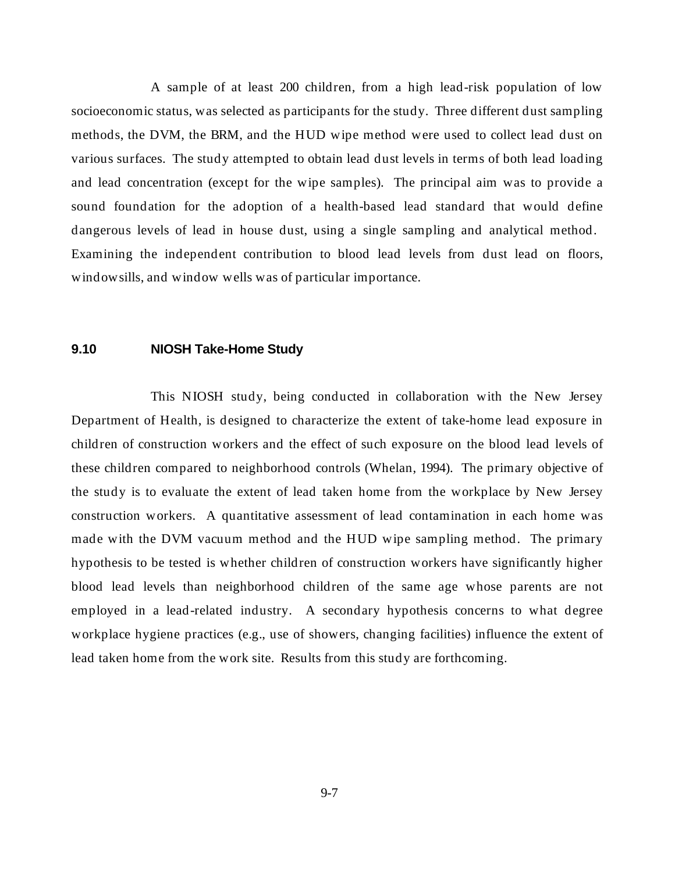A sample of at least 200 children, from a high lead-risk population of low socioeconomic status, was selected as participants for the study. Three different dust sampling methods, the DVM, the BRM, and the HUD wipe method were used to collect lead dust on various surfaces. The study attempted to obtain lead dust levels in terms of both lead loading and lead concentration (except for the wipe samples). The principal aim was to provide a sound foundation for the adoption of a health-based lead standard that would define dangerous levels of lead in house dust, using a single sampling and analytical method. Examining the independent contribution to blood lead levels from dust lead on floors, windowsills, and window wells was of particular importance.

#### **9.10 NIOSH Take-Home Study**

This NIOSH study, being conducted in collaboration with the New Jersey Department of Health, is designed to characterize the extent of take-home lead exposure in children of construction workers and the effect of such exposure on the blood lead levels of these children compared to neighborhood controls (Whelan, 1994). The primary objective of the study is to evaluate the extent of lead taken home from the workplace by New Jersey construction workers. A quantitative assessment of lead contamination in each home was made with the DVM vacuum method and the HUD wipe sampling method. The primary hypothesis to be tested is whether children of construction workers have significantly higher blood lead levels than neighborhood children of the same age whose parents are not employed in a lead-related industry. A secondary hypothesis concerns to what degree workplace hygiene practices (e.g., use of showers, changing facilities) influence the extent of lead taken home from the work site. Results from this study are forthcoming.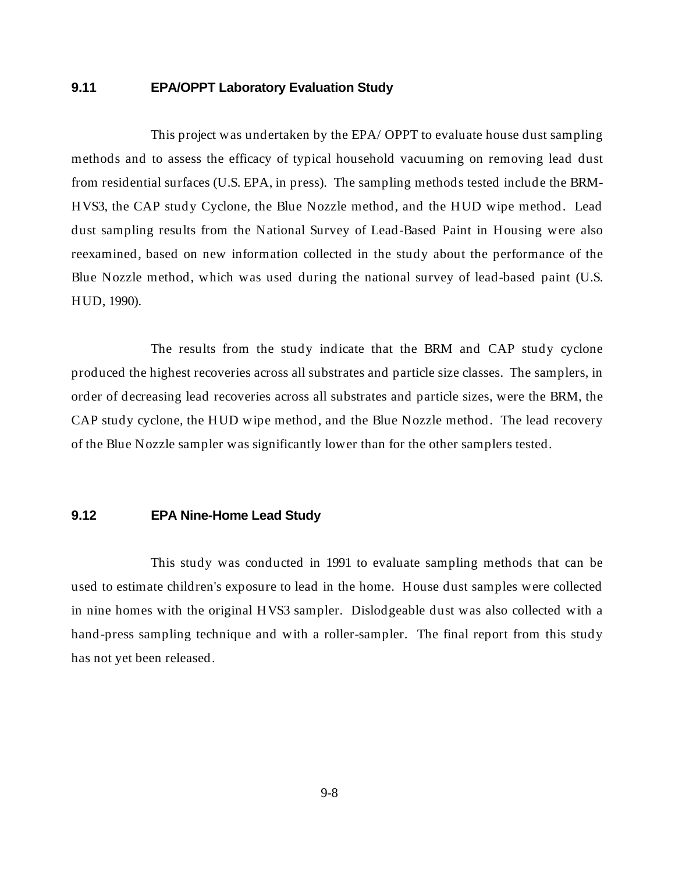#### **9.11 EPA/OPPT Laboratory Evaluation Study**

This project was undertaken by the EPA/ OPPT to evaluate house dust sampling methods and to assess the efficacy of typical household vacuuming on removing lead dust from residential surfaces (U.S. EPA, in press). The sampling methods tested include the BRM-HVS3, the CAP study Cyclone, the Blue Nozzle method, and the HUD wipe method. Lead dust sampling results from the National Survey of Lead-Based Paint in Housing were also reexamined, based on new information collected in the study about the performance of the Blue Nozzle method, which was used during the national survey of lead-based paint (U.S. HUD, 1990).

The results from the study indicate that the BRM and CAP study cyclone produced the highest recoveries across all substrates and particle size classes. The samplers, in order of decreasing lead recoveries across all substrates and particle sizes, were the BRM, the CAP study cyclone, the HUD wipe method, and the Blue Nozzle method. The lead recovery of the Blue Nozzle sampler was significantly lower than for the other samplers tested.

#### **9.12 EPA Nine-Home Lead Study**

This study was conducted in 1991 to evaluate sampling methods that can be used to estimate children's exposure to lead in the home. House dust samples were collected in nine homes with the original HVS3 sampler. Dislodgeable dust was also collected with a hand-press sampling technique and with a roller-sampler. The final report from this study has not yet been released.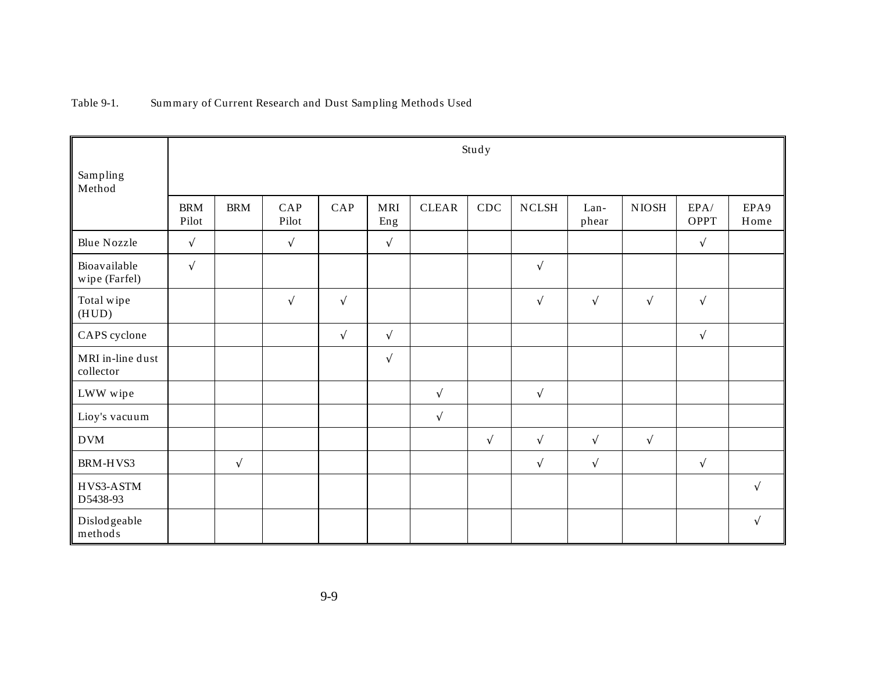### Table 9-1. Summary of Current Research and Dust Sampling Methods Used

| Sampling<br>Method            | Study               |            |              |            |                   |              |            |               |               |             |                     |              |
|-------------------------------|---------------------|------------|--------------|------------|-------------------|--------------|------------|---------------|---------------|-------------|---------------------|--------------|
|                               | <b>BRM</b><br>Pilot | <b>BRM</b> | CAP<br>Pilot | CAP        | <b>MRI</b><br>Eng | <b>CLEAR</b> | CDC        | ${\bf NCLSH}$ | Lan-<br>phear | $\rm NIOSH$ | EPA/<br><b>OPPT</b> | EPA9<br>Home |
| <b>Blue Nozzle</b>            | $\sqrt{ }$          |            | $\sqrt{ }$   |            | $\sqrt{ }$        |              |            |               |               |             | $\sqrt{}$           |              |
| Bioavailable<br>wipe (Farfel) | $\sqrt{ }$          |            |              |            |                   |              |            | $\sqrt{ }$    |               |             |                     |              |
| Total wipe<br>(HUD)           |                     |            | $\sqrt{ }$   | $\sqrt{ }$ |                   |              |            | $\sqrt{ }$    | $\sqrt{ }$    | $\sqrt{}$   | $\sqrt{ }$          |              |
| CAPS cyclone                  |                     |            |              | $\sqrt{}$  | $\sqrt{ }$        |              |            |               |               |             | $\sqrt{}$           |              |
| MRI in-line dust<br>collector |                     |            |              |            | $\sqrt{ }$        |              |            |               |               |             |                     |              |
| LWW wipe                      |                     |            |              |            |                   | $\sqrt{}$    |            | $\sqrt{}$     |               |             |                     |              |
| Lioy's vacuum                 |                     |            |              |            |                   | $\sqrt{ }$   |            |               |               |             |                     |              |
| <b>DVM</b>                    |                     |            |              |            |                   |              | $\sqrt{ }$ | $\sqrt{ }$    | $\sqrt{ }$    | $\sqrt{}$   |                     |              |
| BRM-HVS3                      |                     | $\sqrt{ }$ |              |            |                   |              |            | $\sqrt{ }$    | $\sqrt{ }$    |             | $\sqrt{}$           |              |
| HVS3-ASTM<br>D5438-93         |                     |            |              |            |                   |              |            |               |               |             |                     | $\sqrt{ }$   |
| Dislodgeable<br>methods       |                     |            |              |            |                   |              |            |               |               |             |                     | $\sqrt{ }$   |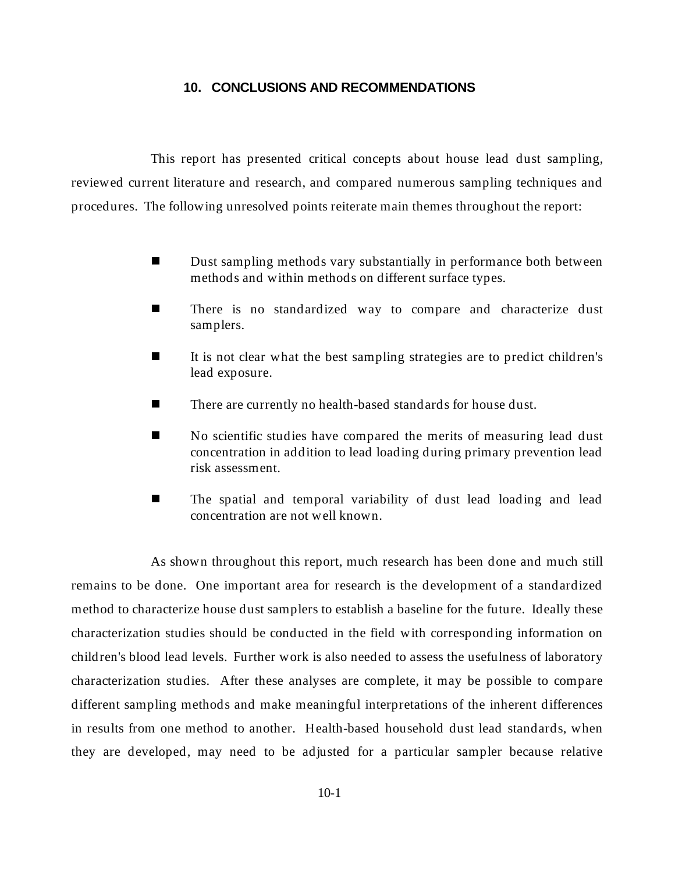#### **10. CONCLUSIONS AND RECOMMENDATIONS**

This report has presented critical concepts about house lead dust sampling, reviewed current literature and research, and compared numerous sampling techniques and procedures. The following unresolved points reiterate main themes throughout the report:

- n Dust sampling methods vary substantially in performance both between methods and within methods on different surface types.
- n There is no standardized way to compare and characterize dust samplers.
- n It is not clear what the best sampling strategies are to predict children's lead exposure.
- nThere are currently no health-based standards for house dust.
- n No scientific studies have compared the merits of measuring lead dust concentration in addition to lead loading during primary prevention lead risk assessment.
- n The spatial and temporal variability of dust lead loading and lead concentration are not well known.

As shown throughout this report, much research has been done and much still remains to be done. One important area for research is the development of a standardized method to characterize house dust samplers to establish a baseline for the future. Ideally these characterization studies should be conducted in the field with corresponding information on children's blood lead levels. Further work is also needed to assess the usefulness of laboratory characterization studies. After these analyses are complete, it may be possible to compare different sampling methods and make meaningful interpretations of the inherent differences in results from one method to another. Health-based household dust lead standards, when they are developed, may need to be adjusted for a particular sampler because relative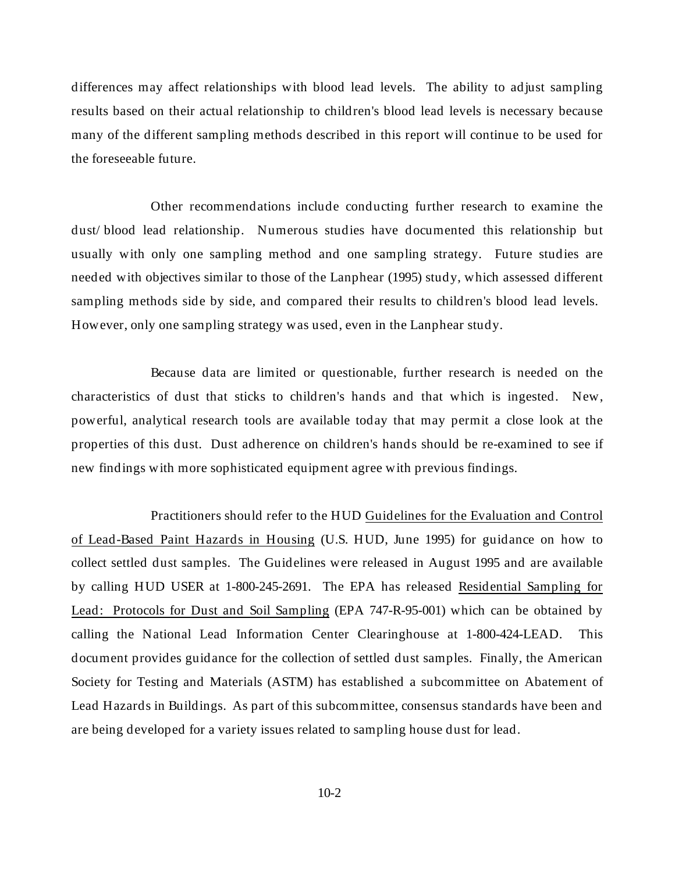differences may affect relationships with blood lead levels. The ability to adjust sampling results based on their actual relationship to children's blood lead levels is necessary because many of the different sampling methods described in this report will continue to be used for the foreseeable future.

Other recommendations include conducting further research to examine the dust/ blood lead relationship. Numerous studies have documented this relationship but usually with only one sampling method and one sampling strategy. Future studies are needed with objectives similar to those of the Lanphear (1995) study, which assessed different sampling methods side by side, and compared their results to children's blood lead levels. However, only one sampling strategy was used, even in the Lanphear study.

Because data are limited or questionable, further research is needed on the characteristics of dust that sticks to children's hands and that which is ingested. New, powerful, analytical research tools are available today that may permit a close look at the properties of this dust. Dust adherence on children's hands should be re-examined to see if new findings with more sophisticated equipment agree with previous findings.

Practitioners should refer to the HUD Guidelines for the Evaluation and Control of Lead-Based Paint Hazards in Housing (U.S. HUD, June 1995) for guidance on how to collect settled dust samples. The Guidelines were released in August 1995 and are available by calling HUD USER at 1-800-245-2691. The EPA has released Residential Sampling for Lead: Protocols for Dust and Soil Sampling (EPA 747-R-95-001) which can be obtained by calling the National Lead Information Center Clearinghouse at 1-800-424-LEAD. This document provides guidance for the collection of settled dust samples. Finally, the American Society for Testing and Materials (ASTM) has established a subcommittee on Abatement of Lead Hazards in Buildings. As part of this subcommittee, consensus standards have been and are being developed for a variety issues related to sampling house dust for lead.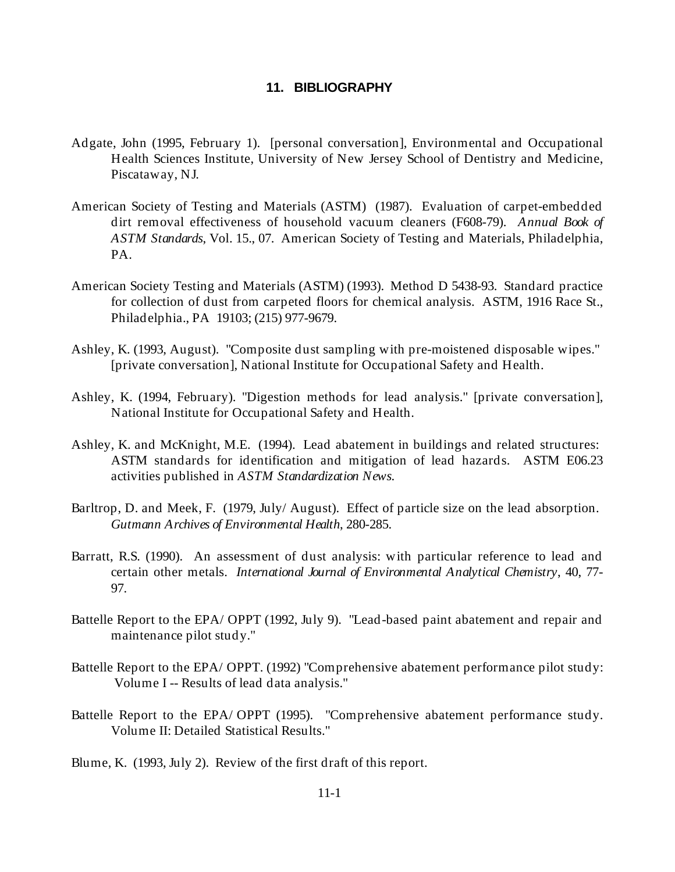#### **11. BIBLIOGRAPHY**

- Adgate, John (1995, February 1). [personal conversation], Environmental and Occupational Health Sciences Institute, University of New Jersey School of Dentistry and Medicine, Piscataway, NJ.
- American Society of Testing and Materials (ASTM) (1987). Evaluation of carpet-embedded dirt removal effectiveness of household vacuum cleaners (F608-79). *Annual Book of ASTM Standards*, Vol. 15., 07. American Society of Testing and Materials, Philadelphia, PA.
- American Society Testing and Materials (ASTM) (1993). Method D 5438-93. Standard practice for collection of dust from carpeted floors for chemical analysis. ASTM, 1916 Race St., Philadelphia., PA 19103; (215) 977-9679.
- Ashley, K. (1993, August). "Composite dust sampling with pre-moistened disposable wipes." [private conversation], National Institute for Occupational Safety and Health.
- Ashley, K. (1994, February). "Digestion methods for lead analysis." [private conversation], National Institute for Occupational Safety and Health.
- Ashley, K. and McKnight, M.E. (1994). Lead abatement in buildings and related structures: ASTM standards for identification and mitigation of lead hazards. ASTM E06.23 activities published in *ASTM Standardization News*.
- Barltrop, D. and Meek, F. (1979, July/ August). Effect of particle size on the lead absorption. *Gutmann Archives of Environmental Health*, 280-285.
- Barratt, R.S. (1990). An assessment of dust analysis: with particular reference to lead and certain other metals. *International Journal of Environmental Analytical Chemistry*, 40, 77- 97.
- Battelle Report to the EPA/ OPPT (1992, July 9). "Lead-based paint abatement and repair and maintenance pilot study."
- Battelle Report to the EPA/ OPPT. (1992) "Comprehensive abatement performance pilot study: Volume I -- Results of lead data analysis."
- Battelle Report to the EPA/ OPPT (1995). "Comprehensive abatement performance study. Volume II: Detailed Statistical Results."
- Blume, K. (1993, July 2). Review of the first draft of this report.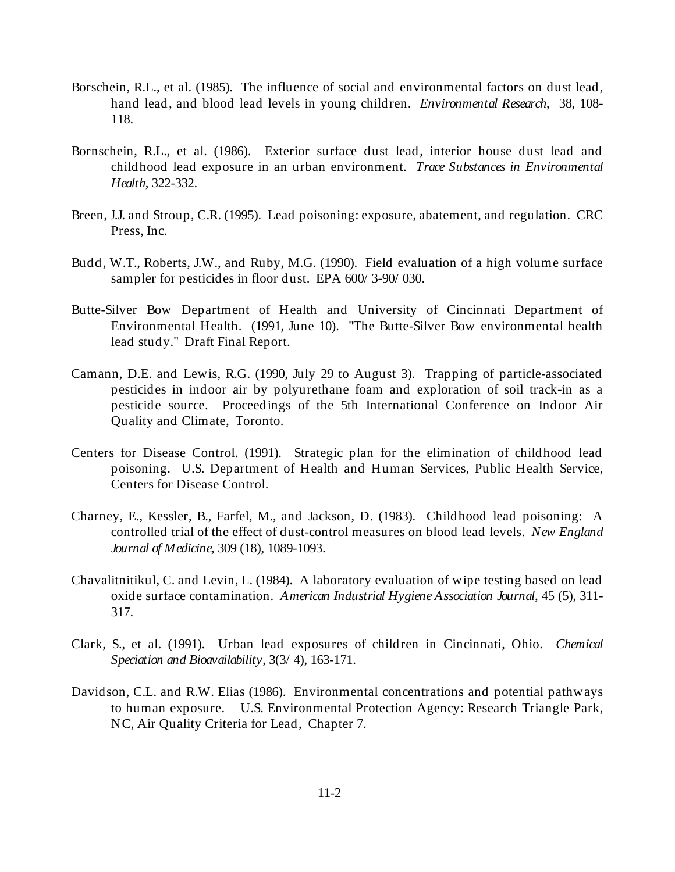- Borschein, R.L., et al. (1985). The influence of social and environmental factors on dust lead, hand lead, and blood lead levels in young children. *Environmental Research*, 38, 108- 118.
- Bornschein, R.L., et al. (1986). Exterior surface dust lead, interior house dust lead and childhood lead exposure in an urban environment. *Trace Substances in Environmental Health*, 322-332.
- Breen, J.J. and Stroup, C.R. (1995). Lead poisoning: exposure, abatement, and regulation. CRC Press, Inc.
- Budd, W.T., Roberts, J.W., and Ruby, M.G. (1990). Field evaluation of a high volume surface sampler for pesticides in floor dust. EPA 600/ 3-90/ 030.
- Butte-Silver Bow Department of Health and University of Cincinnati Department of Environmental Health. (1991, June 10). "The Butte-Silver Bow environmental health lead study." Draft Final Report.
- Camann, D.E. and Lewis, R.G. (1990, July 29 to August 3). Trapping of particle-associated pesticides in indoor air by polyurethane foam and exploration of soil track-in as a pesticide source. Proceedings of the 5th International Conference on Indoor Air Quality and Climate, Toronto.
- Centers for Disease Control. (1991). Strategic plan for the elimination of childhood lead poisoning. U.S. Department of Health and Human Services, Public Health Service, Centers for Disease Control.
- Charney, E., Kessler, B., Farfel, M., and Jackson, D. (1983). Childhood lead poisoning: A controlled trial of the effect of dust-control measures on blood lead levels. *New England Journal of Medicine*, 309 (18), 1089-1093.
- Chavalitnitikul, C. and Levin, L. (1984). A laboratory evaluation of wipe testing based on lead oxide surface contamination. *American Industrial Hygiene Association Journal*, 45 (5), 311- 317.
- Clark, S., et al. (1991). Urban lead exposures of children in Cincinnati, Ohio. *Chemical Speciation and Bioavailability*, 3(3/ 4), 163-171.
- Davidson, C.L. and R.W. Elias (1986). Environmental concentrations and potential pathways to human exposure. U.S. Environmental Protection Agency: Research Triangle Park, NC, Air Quality Criteria for Lead, Chapter 7.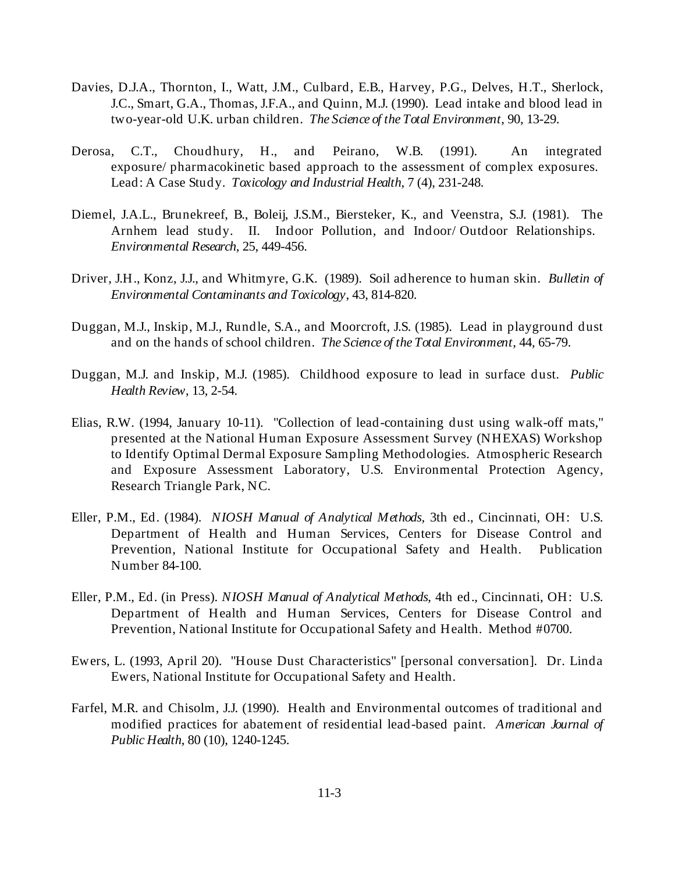- Davies, D.J.A., Thornton, I., Watt, J.M., Culbard, E.B., Harvey, P.G., Delves, H.T., Sherlock, J.C., Smart, G.A., Thomas, J.F.A., and Quinn, M.J. (1990). Lead intake and blood lead in two-year-old U.K. urban children. *The Science of the Total Environment*, 90, 13-29.
- Derosa, C.T., Choudhury, H., and Peirano, W.B. (1991). An integrated exposure/ pharmacokinetic based approach to the assessment of complex exposures. Lead: A Case Study. *Toxicology and Industrial Health*, 7 (4), 231-248.
- Diemel, J.A.L., Brunekreef, B., Boleij, J.S.M., Biersteker, K., and Veenstra, S.J. (1981). The Arnhem lead study. II. Indoor Pollution, and Indoor/ Outdoor Relationships. *Environmental Research*, 25, 449-456.
- Driver, J.H., Konz, J.J., and Whitmyre, G.K. (1989). Soil adherence to human skin. *Bulletin of Environmental Contaminants and Toxicology*, 43, 814-820.
- Duggan, M.J., Inskip, M.J., Rundle, S.A., and Moorcroft, J.S. (1985). Lead in playground dust and on the hands of school children. *The Science of the Total Environment*, 44, 65-79.
- Duggan, M.J. and Inskip, M.J. (1985). Childhood exposure to lead in surface dust. *Public Health Review*, 13, 2-54.
- Elias, R.W. (1994, January 10-11). "Collection of lead-containing dust using walk-off mats," presented at the National Human Exposure Assessment Survey (NHEXAS) Workshop to Identify Optimal Dermal Exposure Sampling Methodologies. Atmospheric Research and Exposure Assessment Laboratory, U.S. Environmental Protection Agency, Research Triangle Park, NC.
- Eller, P.M., Ed. (1984). *NIOSH Manual of Analytical Methods,* 3th ed., Cincinnati, OH: U.S. Department of Health and Human Services, Centers for Disease Control and Prevention, National Institute for Occupational Safety and Health. Publication Number 84-100.
- Eller, P.M., Ed. (in Press). *NIOSH Manual of Analytical Methods*, 4th ed., Cincinnati, OH: U.S. Department of Health and Human Services, Centers for Disease Control and Prevention, National Institute for Occupational Safety and Health. Method #0700.
- Ewers, L. (1993, April 20). "House Dust Characteristics" [personal conversation]. Dr. Linda Ewers, National Institute for Occupational Safety and Health.
- Farfel, M.R. and Chisolm, J.J. (1990). Health and Environmental outcomes of traditional and modified practices for abatement of residential lead-based paint. *American Journal of Public Health*, 80 (10), 1240-1245.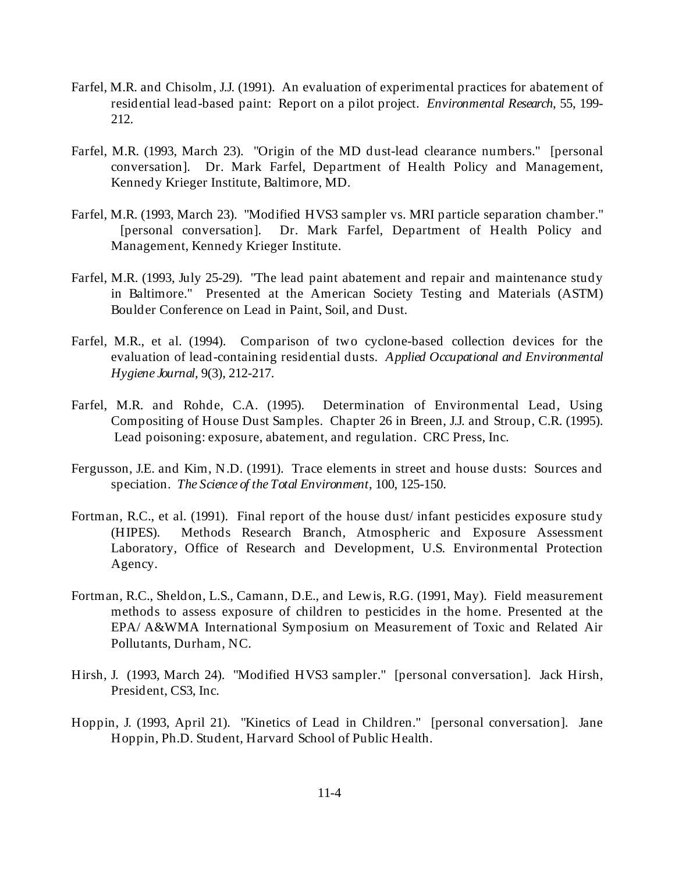- Farfel, M.R. and Chisolm, J.J. (1991). An evaluation of experimental practices for abatement of residential lead-based paint: Report on a pilot project. *Environmental Research*, 55, 199- 212.
- Farfel, M.R. (1993, March 23). "Origin of the MD dust-lead clearance numbers." [personal conversation]. Dr. Mark Farfel, Department of Health Policy and Management, Kennedy Krieger Institute, Baltimore, MD.
- Farfel, M.R. (1993, March 23). "Modified HVS3 sampler vs. MRI particle separation chamber." [personal conversation]. Dr. Mark Farfel, Department of Health Policy and Management, Kennedy Krieger Institute.
- Farfel, M.R. (1993, July 25-29). "The lead paint abatement and repair and maintenance study in Baltimore." Presented at the American Society Testing and Materials (ASTM) Boulder Conference on Lead in Paint, Soil, and Dust.
- Farfel, M.R., et al. (1994). Comparison of two cyclone-based collection devices for the evaluation of lead-containing residential dusts. *Applied Occupational and Environmental Hygiene Journal*, 9(3), 212-217.
- Farfel, M.R. and Rohde, C.A. (1995). Determination of Environmental Lead, Using Compositing of House Dust Samples. Chapter 26 in Breen, J.J. and Stroup, C.R. (1995). Lead poisoning: exposure, abatement, and regulation. CRC Press, Inc.
- Fergusson, J.E. and Kim, N.D. (1991). Trace elements in street and house dusts: Sources and speciation. *The Science of the Total Environment*, 100, 125-150.
- Fortman, R.C., et al. (1991). Final report of the house dust/ infant pesticides exposure study (HIPES). Methods Research Branch, Atmospheric and Exposure Assessment Laboratory, Office of Research and Development, U.S. Environmental Protection Agency.
- Fortman, R.C., Sheldon, L.S., Camann, D.E., and Lewis, R.G. (1991, May). Field measurement methods to assess exposure of children to pesticides in the home. Presented at the EPA/ A&WMA International Symposium on Measurement of Toxic and Related Air Pollutants, Durham, NC.
- Hirsh, J. (1993, March 24). "Modified HVS3 sampler." [personal conversation]. Jack Hirsh, President, CS3, Inc.
- Hoppin, J. (1993, April 21). "Kinetics of Lead in Children." [personal conversation]. Jane Hoppin, Ph.D. Student, Harvard School of Public Health.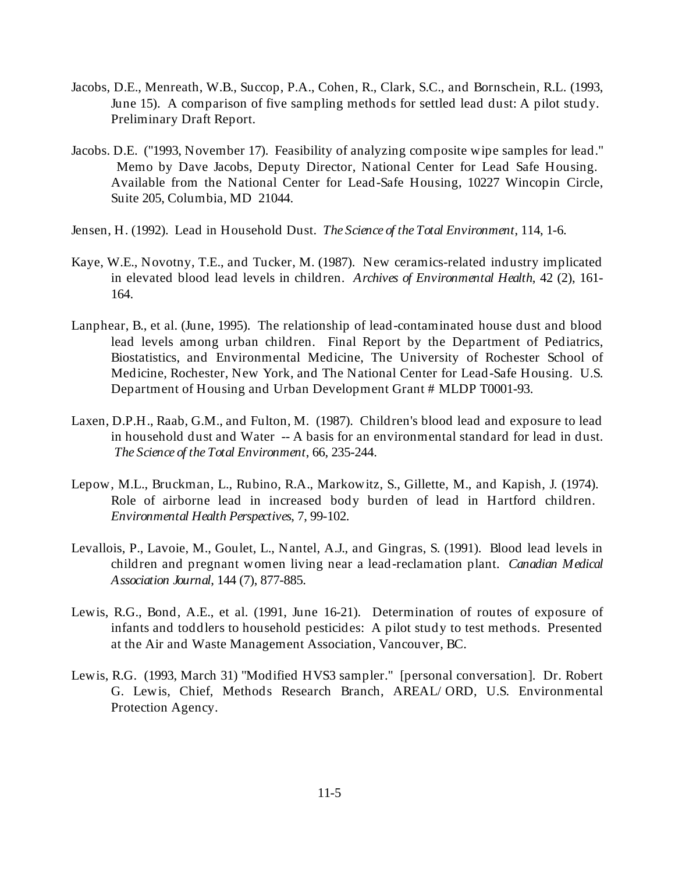- Jacobs, D.E., Menreath, W.B., Succop, P.A., Cohen, R., Clark, S.C., and Bornschein, R.L. (1993, June 15). A comparison of five sampling methods for settled lead dust: A pilot study. Preliminary Draft Report.
- Jacobs. D.E. ("1993, November 17). Feasibility of analyzing composite wipe samples for lead." Memo by Dave Jacobs, Deputy Director, National Center for Lead Safe Housing. Available from the National Center for Lead-Safe Housing, 10227 Wincopin Circle, Suite 205, Columbia, MD 21044.
- Jensen, H. (1992). Lead in Household Dust. *The Science of the Total Environment*, 114, 1-6.
- Kaye, W.E., Novotny, T.E., and Tucker, M. (1987). New ceramics-related industry implicated in elevated blood lead levels in children. *Archives of Environmental Health*, 42 (2), 161- 164.
- Lanphear, B., et al. (June, 1995). The relationship of lead-contaminated house dust and blood lead levels among urban children. Final Report by the Department of Pediatrics, Biostatistics, and Environmental Medicine, The University of Rochester School of Medicine, Rochester, New York, and The National Center for Lead-Safe Housing. U.S. Department of Housing and Urban Development Grant # MLDP T0001-93.
- Laxen, D.P.H., Raab, G.M., and Fulton, M. (1987). Children's blood lead and exposure to lead in household dust and Water -- A basis for an environmental standard for lead in dust. *The Science of the Total Environment*, 66, 235-244.
- Lepow, M.L., Bruckman, L., Rubino, R.A., Markowitz, S., Gillette, M., and Kapish, J. (1974). Role of airborne lead in increased body burden of lead in Hartford children. *Environmental Health Perspectives*, 7, 99-102.
- Levallois, P., Lavoie, M., Goulet, L., Nantel, A.J., and Gingras, S. (1991). Blood lead levels in children and pregnant women living near a lead-reclamation plant. *Canadian Medical Association Journal*, 144 (7), 877-885.
- Lewis, R.G., Bond, A.E., et al. (1991, June 16-21). Determination of routes of exposure of infants and toddlers to household pesticides: A pilot study to test methods. Presented at the Air and Waste Management Association, Vancouver, BC.
- Lewis, R.G. (1993, March 31) "Modified HVS3 sampler." [personal conversation]. Dr. Robert G. Lewis, Chief, Methods Research Branch, AREAL/ ORD, U.S. Environmental Protection Agency.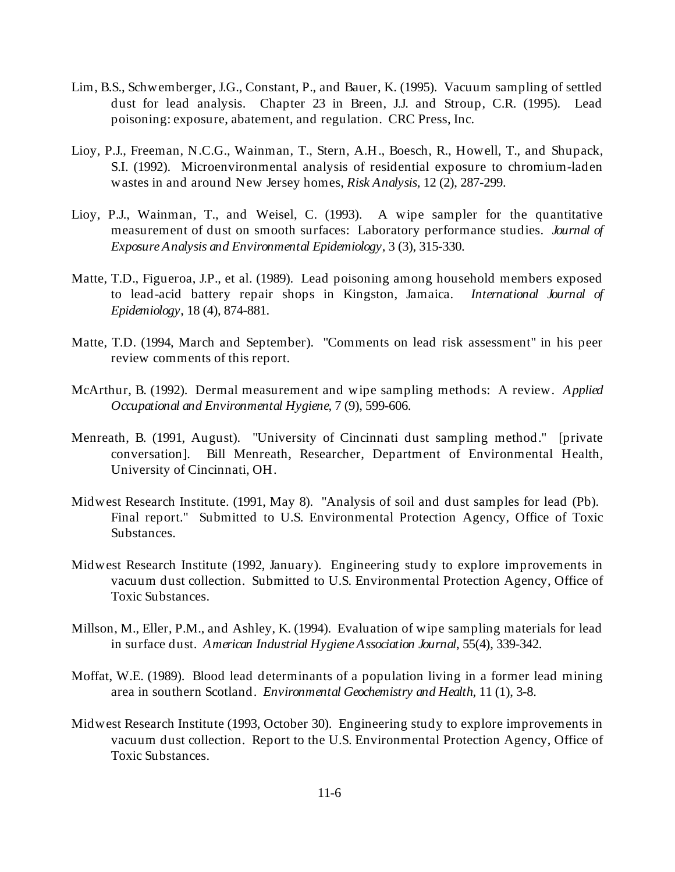- Lim, B.S., Schwemberger, J.G., Constant, P., and Bauer, K. (1995). Vacuum sampling of settled dust for lead analysis. Chapter 23 in Breen, J.J. and Stroup, C.R. (1995). Lead poisoning: exposure, abatement, and regulation. CRC Press, Inc.
- Lioy, P.J., Freeman, N.C.G., Wainman, T., Stern, A.H., Boesch, R., Howell, T., and Shupack, S.I. (1992). Microenvironmental analysis of residential exposure to chromium-laden wastes in and around New Jersey homes, *Risk Analysis*, 12 (2), 287-299.
- Lioy, P.J., Wainman, T., and Weisel, C. (1993). A wipe sampler for the quantitative measurement of dust on smooth surfaces: Laboratory performance studies. *Journal of Exposure Analysis and Environmental Epidemiology*, 3 (3), 315-330.
- Matte, T.D., Figueroa, J.P., et al. (1989). Lead poisoning among household members exposed to lead-acid battery repair shops in Kingston, Jamaica. *International Journal of Epidemiology*, 18 (4), 874-881.
- Matte, T.D. (1994, March and September). "Comments on lead risk assessment" in his peer review comments of this report.
- McArthur, B. (1992). Dermal measurement and wipe sampling methods: A review. *Applied Occupational and Environmental Hygiene*, 7 (9), 599-606.
- Menreath, B. (1991, August). "University of Cincinnati dust sampling method." [private conversation]. Bill Menreath, Researcher, Department of Environmental Health, University of Cincinnati, OH.
- Midwest Research Institute. (1991, May 8). "Analysis of soil and dust samples for lead (Pb). Final report." Submitted to U.S. Environmental Protection Agency, Office of Toxic Substances.
- Midwest Research Institute (1992, January). Engineering study to explore improvements in vacuum dust collection. Submitted to U.S. Environmental Protection Agency, Office of Toxic Substances.
- Millson, M., Eller, P.M., and Ashley, K. (1994). Evaluation of wipe sampling materials for lead in surface dust. *American Industrial Hygiene Association Journal*, 55(4), 339-342.
- Moffat, W.E. (1989). Blood lead determinants of a population living in a former lead mining area in southern Scotland. *Environmental Geochemistry and Health*, 11 (1), 3-8.
- Midwest Research Institute (1993, October 30). Engineering study to explore improvements in vacuum dust collection. Report to the U.S. Environmental Protection Agency, Office of Toxic Substances.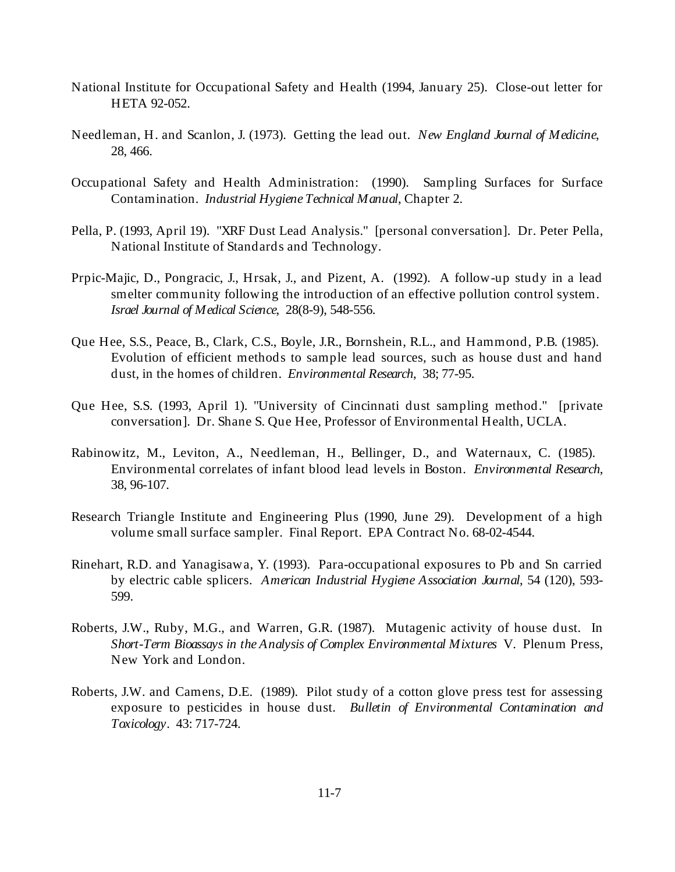- National Institute for Occupational Safety and Health (1994, January 25). Close-out letter for HETA 92-052.
- Needleman, H. and Scanlon, J. (1973). Getting the lead out. *New England Journal of Medicine*, 28, 466.
- Occupational Safety and Health Administration: (1990). Sampling Surfaces for Surface Contamination. *Industrial Hygiene Technical Manual*, Chapter 2.
- Pella, P. (1993, April 19). "XRF Dust Lead Analysis." [personal conversation]. Dr. Peter Pella, National Institute of Standards and Technology.
- Prpic-Majic, D., Pongracic, J., Hrsak, J., and Pizent, A. (1992). A follow-up study in a lead smelter community following the introduction of an effective pollution control system. *Israel Journal of Medical Science*, 28(8-9), 548-556.
- Que Hee, S.S., Peace, B., Clark, C.S., Boyle, J.R., Bornshein, R.L., and Hammond, P.B. (1985). Evolution of efficient methods to sample lead sources, such as house dust and hand dust, in the homes of children. *Environmental Research*, 38; 77-95.
- Que Hee, S.S. (1993, April 1). "University of Cincinnati dust sampling method." [private conversation]. Dr. Shane S. Que Hee, Professor of Environmental Health, UCLA.
- Rabinowitz, M., Leviton, A., Needleman, H., Bellinger, D., and Waternaux, C. (1985). Environmental correlates of infant blood lead levels in Boston. *Environmental Research*, 38, 96-107.
- Research Triangle Institute and Engineering Plus (1990, June 29). Development of a high volume small surface sampler. Final Report. EPA Contract No. 68-02-4544.
- Rinehart, R.D. and Yanagisawa, Y. (1993). Para-occupational exposures to Pb and Sn carried by electric cable splicers. *American Industrial Hygiene Association Journal*, 54 (120), 593- 599.
- Roberts, J.W., Ruby, M.G., and Warren, G.R. (1987). Mutagenic activity of house dust. In *Short-Term Bioassays in the Analysis of Complex Environmental Mixtures* V. Plenum Press, New York and London.
- Roberts, J.W. and Camens, D.E. (1989). Pilot study of a cotton glove press test for assessing exposure to pesticides in house dust. *Bulletin of Environmental Contamination and Toxicology*. 43: 717-724.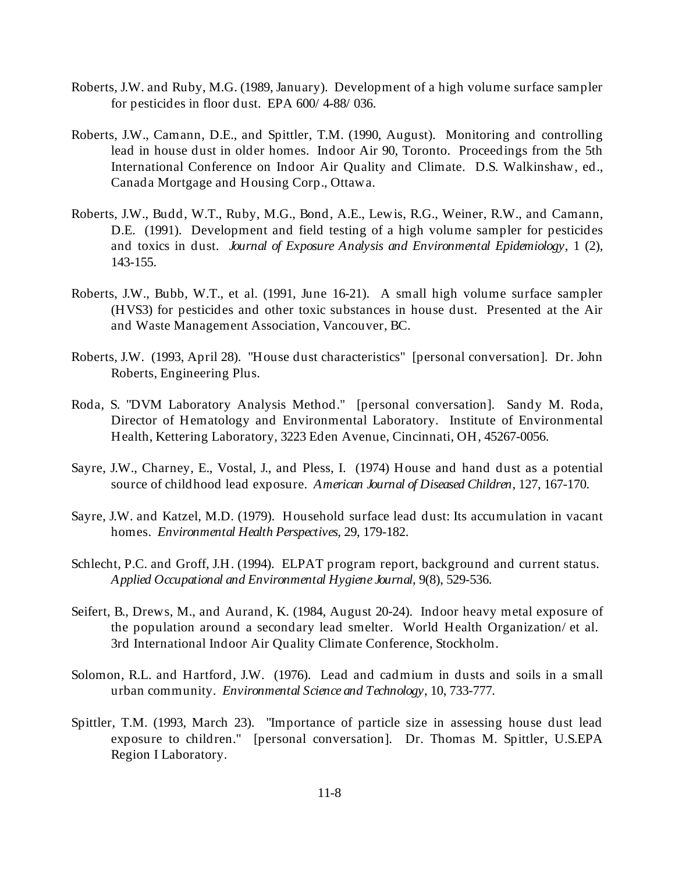- Roberts, J.W. and Ruby, M.G. (1989, January). Development of a high volume surface sampler for pesticides in floor dust. EPA 600/ 4-88/ 036.
- Roberts, J.W., Camann, D.E., and Spittler, T.M. (1990, August). Monitoring and controlling lead in house dust in older homes. Indoor Air 90, Toronto. Proceedings from the 5th International Conference on Indoor Air Quality and Climate. D.S. Walkinshaw, ed., Canada Mortgage and Housing Corp., Ottawa.
- Roberts, J.W., Budd, W.T., Ruby, M.G., Bond, A.E., Lewis, R.G., Weiner, R.W., and Camann, D.E. (1991). Development and field testing of a high volume sampler for pesticides and toxics in dust. *Journal of Exposure Analysis and Environmental Epidemiology*, 1 (2), 143-155.
- Roberts, J.W., Bubb, W.T., et al. (1991, June 16-21). A small high volume surface sampler (HVS3) for pesticides and other toxic substances in house dust. Presented at the Air and Waste Management Association, Vancouver, BC.
- Roberts, J.W. (1993, April 28). "House dust characteristics" [personal conversation]. Dr. John Roberts, Engineering Plus.
- Roda, S. "DVM Laboratory Analysis Method." [personal conversation]. Sandy M. Roda, Director of Hematology and Environmental Laboratory. Institute of Environmental Health, Kettering Laboratory, 3223 Eden Avenue, Cincinnati, OH, 45267-0056.
- Sayre, J.W., Charney, E., Vostal, J., and Pless, I. (1974) House and hand dust as a potential source of childhood lead exposure. *American Journal of Diseased Children,* 127, 167-170.
- Sayre, J.W. and Katzel, M.D. (1979). Household surface lead dust: Its accumulation in vacant homes. *Environmental Health Perspectives*, 29, 179-182.
- Schlecht, P.C. and Groff, J.H. (1994). ELPAT program report, background and current status. *Applied Occupational and Environmental Hygiene Journal*, 9(8), 529-536.
- Seifert, B., Drews, M., and Aurand, K. (1984, August 20-24). Indoor heavy metal exposure of the population around a secondary lead smelter. World Health Organization/ et al. 3rd International Indoor Air Quality Climate Conference, Stockholm.
- Solomon, R.L. and Hartford, J.W. (1976). Lead and cadmium in dusts and soils in a small urban community. *Environmental Science and Technology*, 10, 733-777.
- Spittler, T.M. (1993, March 23). "Importance of particle size in assessing house dust lead exposure to children." [personal conversation]. Dr. Thomas M. Spittler, U.S.EPA Region I Laboratory.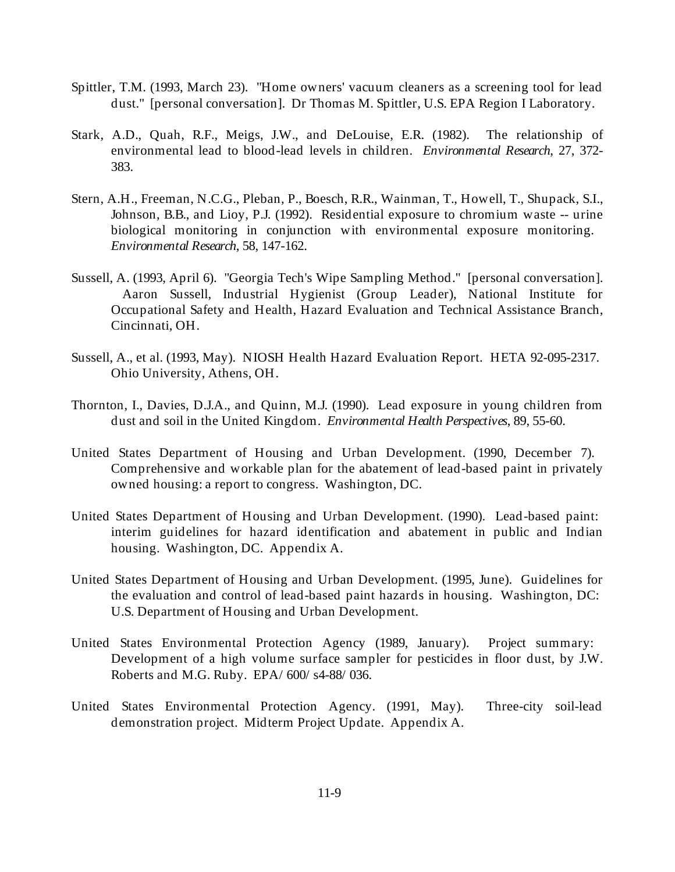- Spittler, T.M. (1993, March 23). "Home owners' vacuum cleaners as a screening tool for lead dust." [personal conversation]. Dr Thomas M. Spittler, U.S. EPA Region I Laboratory.
- Stark, A.D., Quah, R.F., Meigs, J.W., and DeLouise, E.R. (1982). The relationship of environmental lead to blood-lead levels in children. *Environmental Research*, 27, 372- 383.
- Stern, A.H., Freeman, N.C.G., Pleban, P., Boesch, R.R., Wainman, T., Howell, T., Shupack, S.I., Johnson, B.B., and Lioy, P.J. (1992). Residential exposure to chromium waste -- urine biological monitoring in conjunction with environmental exposure monitoring. *Environmental Research*, 58, 147-162.
- Sussell, A. (1993, April 6). "Georgia Tech's Wipe Sampling Method." [personal conversation]. Aaron Sussell, Industrial Hygienist (Group Leader), National Institute for Occupational Safety and Health, Hazard Evaluation and Technical Assistance Branch, Cincinnati, OH.
- Sussell, A., et al. (1993, May). NIOSH Health Hazard Evaluation Report. HETA 92-095-2317. Ohio University, Athens, OH.
- Thornton, I., Davies, D.J.A., and Quinn, M.J. (1990). Lead exposure in young children from dust and soil in the United Kingdom. *Environmental Health Perspectives*, 89, 55-60.
- United States Department of Housing and Urban Development. (1990, December 7). Comprehensive and workable plan for the abatement of lead-based paint in privately owned housing: a report to congress. Washington, DC.
- United States Department of Housing and Urban Development. (1990). Lead-based paint: interim guidelines for hazard identification and abatement in public and Indian housing. Washington, DC. Appendix A.
- United States Department of Housing and Urban Development. (1995, June). Guidelines for the evaluation and control of lead-based paint hazards in housing. Washington, DC: U.S. Department of Housing and Urban Development.
- United States Environmental Protection Agency (1989, January). Project summary: Development of a high volume surface sampler for pesticides in floor dust, by J.W. Roberts and M.G. Ruby. EPA/ 600/ s4-88/ 036.
- United States Environmental Protection Agency. (1991, May). Three-city soil-lead demonstration project. Midterm Project Update. Appendix A.